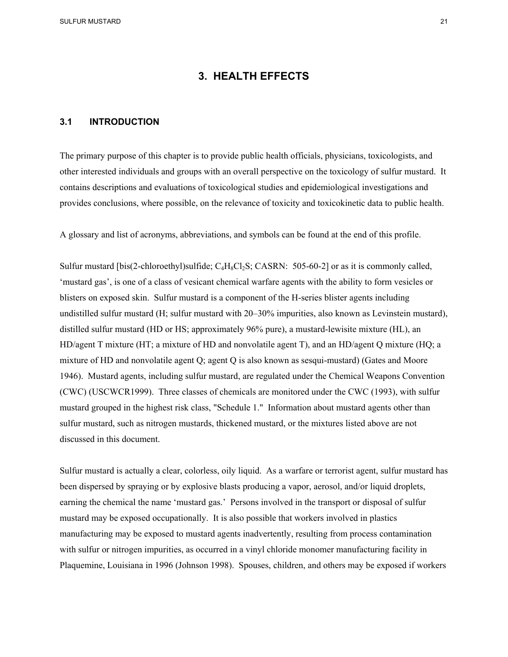# **3. HEALTH EFFECTS**

# **3.1 INTRODUCTION**

The primary purpose of this chapter is to provide public health officials, physicians, toxicologists, and other interested individuals and groups with an overall perspective on the toxicology of sulfur mustard. It contains descriptions and evaluations of toxicological studies and epidemiological investigations and provides conclusions, where possible, on the relevance of toxicity and toxicokinetic data to public health.

A glossary and list of acronyms, abbreviations, and symbols can be found at the end of this profile.

Sulfur mustard [bis(2-chloroethyl)sulfide;  $C_4H_8Cl_2S$ ; CASRN: 505-60-2] or as it is commonly called, 'mustard gas', is one of a class of vesicant chemical warfare agents with the ability to form vesicles or blisters on exposed skin. Sulfur mustard is a component of the H-series blister agents including undistilled sulfur mustard (H; sulfur mustard with 20–30% impurities, also known as Levinstein mustard), distilled sulfur mustard (HD or HS; approximately 96% pure), a mustard-lewisite mixture (HL), an HD/agent T mixture (HT; a mixture of HD and nonvolatile agent T), and an HD/agent Q mixture (HQ; a mixture of HD and nonvolatile agent Q; agent Q is also known as sesqui-mustard) (Gates and Moore 1946). Mustard agents, including sulfur mustard, are regulated under the Chemical Weapons Convention (CWC) (USCWCR1999). Three classes of chemicals are monitored under the CWC (1993), with sulfur mustard grouped in the highest risk class, "Schedule 1." Information about mustard agents other than sulfur mustard, such as nitrogen mustards, thickened mustard, or the mixtures listed above are not discussed in this document.

Sulfur mustard is actually a clear, colorless, oily liquid. As a warfare or terrorist agent, sulfur mustard has been dispersed by spraying or by explosive blasts producing a vapor, aerosol, and/or liquid droplets, earning the chemical the name 'mustard gas.' Persons involved in the transport or disposal of sulfur mustard may be exposed occupationally. It is also possible that workers involved in plastics manufacturing may be exposed to mustard agents inadvertently, resulting from process contamination with sulfur or nitrogen impurities, as occurred in a vinyl chloride monomer manufacturing facility in Plaquemine, Louisiana in 1996 (Johnson 1998). Spouses, children, and others may be exposed if workers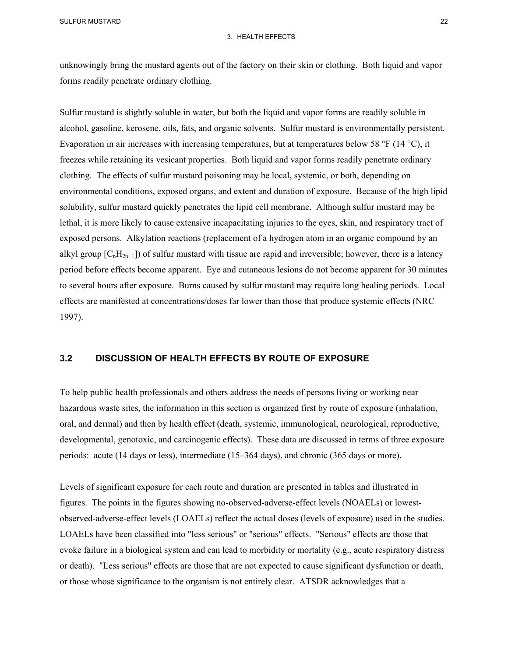forms readily penetrate ordinary clothing. unknowingly bring the mustard agents out of the factory on their skin or clothing. Both liquid and vapor

 1997). Sulfur mustard is slightly soluble in water, but both the liquid and vapor forms are readily soluble in alcohol, gasoline, kerosene, oils, fats, and organic solvents. Sulfur mustard is environmentally persistent. Evaporation in air increases with increasing temperatures, but at temperatures below 58 °F (14 °C), it freezes while retaining its vesicant properties. Both liquid and vapor forms readily penetrate ordinary clothing. The effects of sulfur mustard poisoning may be local, systemic, or both, depending on environmental conditions, exposed organs, and extent and duration of exposure. Because of the high lipid solubility, sulfur mustard quickly penetrates the lipid cell membrane. Although sulfur mustard may be lethal, it is more likely to cause extensive incapacitating injuries to the eyes, skin, and respiratory tract of exposed persons. Alkylation reactions (replacement of a hydrogen atom in an organic compound by an alkyl group  $[C_nH_{2n+1}]$ ) of sulfur mustard with tissue are rapid and irreversible; however, there is a latency period before effects become apparent. Eye and cutaneous lesions do not become apparent for 30 minutes to several hours after exposure. Burns caused by sulfur mustard may require long healing periods. Local effects are manifested at concentrations/doses far lower than those that produce systemic effects (NRC

# **3.2 DISCUSSION OF HEALTH EFFECTS BY ROUTE OF EXPOSURE**

To help public health professionals and others address the needs of persons living or working near hazardous waste sites, the information in this section is organized first by route of exposure (inhalation, oral, and dermal) and then by health effect (death, systemic, immunological, neurological, reproductive, developmental, genotoxic, and carcinogenic effects). These data are discussed in terms of three exposure periods: acute (14 days or less), intermediate (15–364 days), and chronic (365 days or more).

Levels of significant exposure for each route and duration are presented in tables and illustrated in figures. The points in the figures showing no-observed-adverse-effect levels (NOAELs) or lowestobserved-adverse-effect levels (LOAELs) reflect the actual doses (levels of exposure) used in the studies. LOAELs have been classified into "less serious" or "serious" effects. "Serious" effects are those that evoke failure in a biological system and can lead to morbidity or mortality (e.g., acute respiratory distress or death). "Less serious" effects are those that are not expected to cause significant dysfunction or death, or those whose significance to the organism is not entirely clear. ATSDR acknowledges that a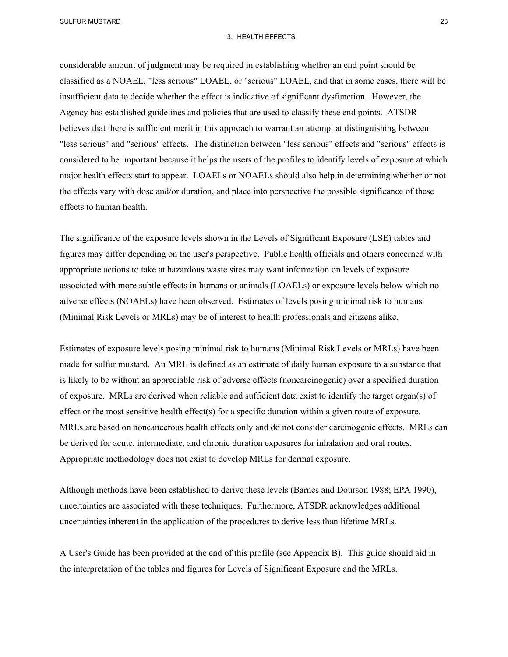### 3. HEALTH EFFECTS

considerable amount of judgment may be required in establishing whether an end point should be classified as a NOAEL, "less serious" LOAEL, or "serious" LOAEL, and that in some cases, there will be insufficient data to decide whether the effect is indicative of significant dysfunction. However, the Agency has established guidelines and policies that are used to classify these end points. ATSDR believes that there is sufficient merit in this approach to warrant an attempt at distinguishing between "less serious" and "serious" effects. The distinction between "less serious" effects and "serious" effects is considered to be important because it helps the users of the profiles to identify levels of exposure at which major health effects start to appear. LOAELs or NOAELs should also help in determining whether or not the effects vary with dose and/or duration, and place into perspective the possible significance of these effects to human health.

The significance of the exposure levels shown in the Levels of Significant Exposure (LSE) tables and figures may differ depending on the user's perspective. Public health officials and others concerned with appropriate actions to take at hazardous waste sites may want information on levels of exposure associated with more subtle effects in humans or animals (LOAELs) or exposure levels below which no adverse effects (NOAELs) have been observed. Estimates of levels posing minimal risk to humans (Minimal Risk Levels or MRLs) may be of interest to health professionals and citizens alike.

Estimates of exposure levels posing minimal risk to humans (Minimal Risk Levels or MRLs) have been made for sulfur mustard. An MRL is defined as an estimate of daily human exposure to a substance that is likely to be without an appreciable risk of adverse effects (noncarcinogenic) over a specified duration of exposure. MRLs are derived when reliable and sufficient data exist to identify the target organ(s) of effect or the most sensitive health effect(s) for a specific duration within a given route of exposure. MRLs are based on noncancerous health effects only and do not consider carcinogenic effects. MRLs can be derived for acute, intermediate, and chronic duration exposures for inhalation and oral routes. Appropriate methodology does not exist to develop MRLs for dermal exposure.

Although methods have been established to derive these levels (Barnes and Dourson 1988; EPA 1990), uncertainties are associated with these techniques. Furthermore, ATSDR acknowledges additional uncertainties inherent in the application of the procedures to derive less than lifetime MRLs.

A User's Guide has been provided at the end of this profile (see Appendix B). This guide should aid in the interpretation of the tables and figures for Levels of Significant Exposure and the MRLs.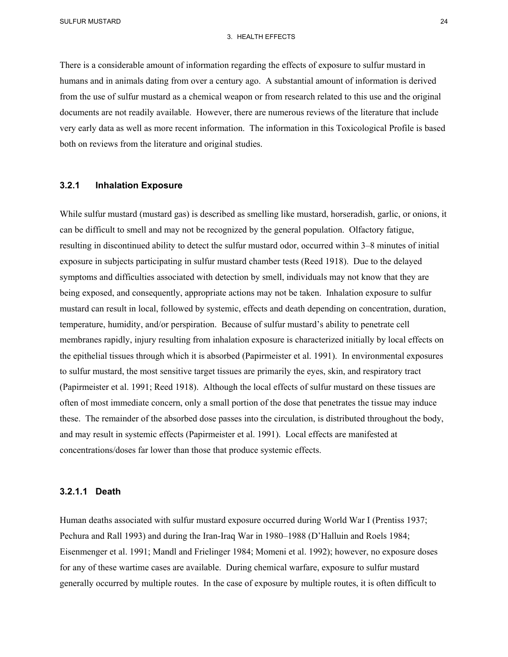### 3. HEALTH EFFECTS

There is a considerable amount of information regarding the effects of exposure to sulfur mustard in humans and in animals dating from over a century ago. A substantial amount of information is derived from the use of sulfur mustard as a chemical weapon or from research related to this use and the original documents are not readily available. However, there are numerous reviews of the literature that include very early data as well as more recent information. The information in this Toxicological Profile is based both on reviews from the literature and original studies.

# **3.2.1 Inhalation Exposure**

While sulfur mustard (mustard gas) is described as smelling like mustard, horseradish, garlic, or onions, it can be difficult to smell and may not be recognized by the general population. Olfactory fatigue, resulting in discontinued ability to detect the sulfur mustard odor, occurred within 3–8 minutes of initial exposure in subjects participating in sulfur mustard chamber tests (Reed 1918). Due to the delayed symptoms and difficulties associated with detection by smell, individuals may not know that they are being exposed, and consequently, appropriate actions may not be taken. Inhalation exposure to sulfur mustard can result in local, followed by systemic, effects and death depending on concentration, duration, temperature, humidity, and/or perspiration. Because of sulfur mustard's ability to penetrate cell membranes rapidly, injury resulting from inhalation exposure is characterized initially by local effects on the epithelial tissues through which it is absorbed (Papirmeister et al. 1991). In environmental exposures to sulfur mustard, the most sensitive target tissues are primarily the eyes, skin, and respiratory tract (Papirmeister et al. 1991; Reed 1918). Although the local effects of sulfur mustard on these tissues are often of most immediate concern, only a small portion of the dose that penetrates the tissue may induce these. The remainder of the absorbed dose passes into the circulation, is distributed throughout the body, and may result in systemic effects (Papirmeister et al. 1991). Local effects are manifested at concentrations/doses far lower than those that produce systemic effects.

# **3.2.1.1 Death**

Human deaths associated with sulfur mustard exposure occurred during World War I (Prentiss 1937; Pechura and Rall 1993) and during the Iran-Iraq War in 1980–1988 (D'Halluin and Roels 1984; Eisenmenger et al. 1991; Mandl and Frielinger 1984; Momeni et al. 1992); however, no exposure doses for any of these wartime cases are available. During chemical warfare, exposure to sulfur mustard generally occurred by multiple routes. In the case of exposure by multiple routes, it is often difficult to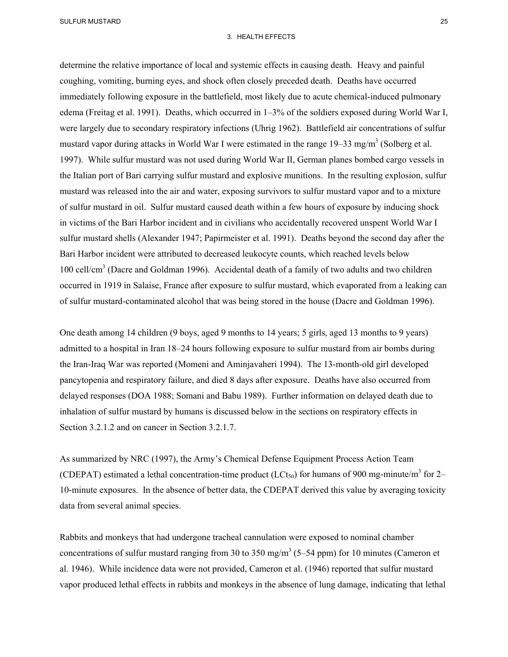### 3. HEALTH EFFECTS

determine the relative importance of local and systemic effects in causing death. Heavy and painful coughing, vomiting, burning eyes, and shock often closely preceded death. Deaths have occurred immediately following exposure in the battlefield, most likely due to acute chemical-induced pulmonary edema (Freitag et al. 1991). Deaths, which occurred in 1–3% of the soldiers exposed during World War I, were largely due to secondary respiratory infections (Uhrig 1962). Battlefield air concentrations of sulfur mustard vapor during attacks in World War I were estimated in the range  $19-33$  mg/m<sup>3</sup> (Solberg et al. 1997). While sulfur mustard was not used during World War II, German planes bombed cargo vessels in the Italian port of Bari carrying sulfur mustard and explosive munitions. In the resulting explosion, sulfur mustard was released into the air and water, exposing survivors to sulfur mustard vapor and to a mixture of sulfur mustard in oil. Sulfur mustard caused death within a few hours of exposure by inducing shock in victims of the Bari Harbor incident and in civilians who accidentally recovered unspent World War I sulfur mustard shells (Alexander 1947; Papirmeister et al. 1991). Deaths beyond the second day after the Bari Harbor incident were attributed to decreased leukocyte counts, which reached levels below 100 cell/cm<sup>3</sup> (Dacre and Goldman 1996). Accidental death of a family of two adults and two children occurred in 1919 in Salaise, France after exposure to sulfur mustard, which evaporated from a leaking can of sulfur mustard-contaminated alcohol that was being stored in the house (Dacre and Goldman 1996).

One death among 14 children (9 boys, aged 9 months to 14 years; 5 girls, aged 13 months to 9 years) admitted to a hospital in Iran 18–24 hours following exposure to sulfur mustard from air bombs during the Iran-Iraq War was reported (Momeni and Aminjavaheri 1994). The 13-month-old girl developed pancytopenia and respiratory failure, and died 8 days after exposure. Deaths have also occurred from delayed responses (DOA 1988; Somani and Babu 1989). Further information on delayed death due to inhalation of sulfur mustard by humans is discussed below in the sections on respiratory effects in Section 3.2.1.2 and on cancer in Section 3.2.1.7.

As summarized by NRC (1997), the Army's Chemical Defense Equipment Process Action Team (CDEPAT) estimated a lethal concentration-time product (LCt<sub>50</sub>) for humans of 900 mg-minute/m<sup>3</sup> for 2– 10-minute exposures. In the absence of better data, the CDEPAT derived this value by averaging toxicity data from several animal species.

Rabbits and monkeys that had undergone tracheal cannulation were exposed to nominal chamber concentrations of sulfur mustard ranging from 30 to 350 mg/m<sup>3</sup> (5–54 ppm) for 10 minutes (Cameron et al. 1946). While incidence data were not provided, Cameron et al. (1946) reported that sulfur mustard vapor produced lethal effects in rabbits and monkeys in the absence of lung damage, indicating that lethal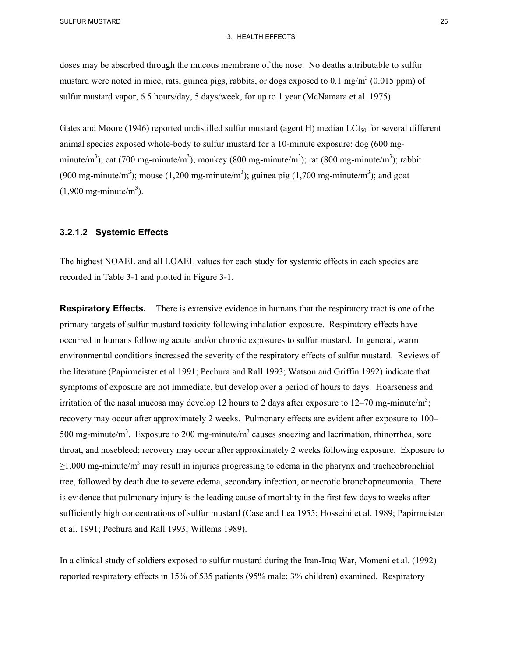## 3. HEALTH EFFECTS

doses may be absorbed through the mucous membrane of the nose. No deaths attributable to sulfur mustard were noted in mice, rats, guinea pigs, rabbits, or dogs exposed to 0.1 mg/m<sup>3</sup> (0.015 ppm) of sulfur mustard vapor, 6.5 hours/day, 5 days/week, for up to 1 year (McNamara et al. 1975).

Gates and Moore (1946) reported undistilled sulfur mustard (agent H) median  $LCt_{50}$  for several different animal species exposed whole-body to sulfur mustard for a 10-minute exposure: dog (600 mgminute/m<sup>3</sup>); cat (700 mg-minute/m<sup>3</sup>); monkey (800 mg-minute/m<sup>3</sup>); rat (800 mg-minute/m<sup>3</sup>); rabbit (900 mg-minute/m<sup>3</sup>); mouse (1,200 mg-minute/m<sup>3</sup>); guinea pig (1,700 mg-minute/m<sup>3</sup>); and goat  $(1,900 \text{ mg-minute/m}^3)$ .

# **3.2.1.2 Systemic Effects**

The highest NOAEL and all LOAEL values for each study for systemic effects in each species are recorded in Table 3-1 and plotted in Figure 3-1.

**Respiratory Effects.** There is extensive evidence in humans that the respiratory tract is one of the primary targets of sulfur mustard toxicity following inhalation exposure. Respiratory effects have occurred in humans following acute and/or chronic exposures to sulfur mustard. In general, warm environmental conditions increased the severity of the respiratory effects of sulfur mustard. Reviews of the literature (Papirmeister et al 1991; Pechura and Rall 1993; Watson and Griffin 1992) indicate that symptoms of exposure are not immediate, but develop over a period of hours to days. Hoarseness and irritation of the nasal mucosa may develop 12 hours to 2 days after exposure to 12–70 mg-minute/ $m^3$ ; recovery may occur after approximately 2 weeks. Pulmonary effects are evident after exposure to 100– 500 mg-minute/m<sup>3</sup>. Exposure to 200 mg-minute/m<sup>3</sup> causes sneezing and lacrimation, rhinorrhea, sore throat, and nosebleed; recovery may occur after approximately 2 weeks following exposure. Exposure to  $\geq$ 1,000 mg-minute/m<sup>3</sup> may result in injuries progressing to edema in the pharynx and tracheobronchial tree, followed by death due to severe edema, secondary infection, or necrotic bronchopneumonia. There is evidence that pulmonary injury is the leading cause of mortality in the first few days to weeks after sufficiently high concentrations of sulfur mustard (Case and Lea 1955; Hosseini et al. 1989; Papirmeister et al. 1991; Pechura and Rall 1993; Willems 1989).

 reported respiratory effects in 15% of 535 patients (95% male; 3% children) examined. Respiratory In a clinical study of soldiers exposed to sulfur mustard during the Iran-Iraq War, Momeni et al. (1992)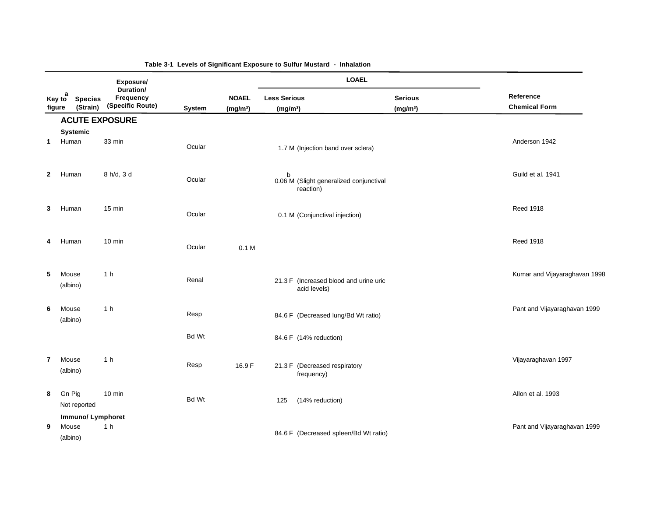|                  |                                               | Exposure/<br>Duration/<br>Frequency<br>(Specific Route) |               |                                      |                                                           | <b>LOAEL</b>                           |                                   |
|------------------|-----------------------------------------------|---------------------------------------------------------|---------------|--------------------------------------|-----------------------------------------------------------|----------------------------------------|-----------------------------------|
| Key to<br>figure | а<br><b>Species</b><br>(Strain)               |                                                         | <b>System</b> | <b>NOAEL</b><br>(mg/m <sup>3</sup> ) | <b>Less Serious</b><br>(mg/m <sup>3</sup> )               | <b>Serious</b><br>(mg/m <sup>3</sup> ) | Reference<br><b>Chemical Form</b> |
|                  | <b>ACUTE EXPOSURE</b>                         |                                                         |               |                                      |                                                           |                                        |                                   |
|                  | Systemic                                      |                                                         |               |                                      |                                                           |                                        |                                   |
| 1                | Human                                         | 33 min                                                  | Ocular        |                                      | 1.7 M (Injection band over sclera)                        |                                        | Anderson 1942                     |
| $\mathbf{2}$     | Human                                         | 8 h/d, 3 d                                              | Ocular        |                                      | b<br>0.06 M (Slight generalized conjunctival<br>reaction) |                                        | Guild et al. 1941                 |
| 3                | Human                                         | 15 min                                                  | Ocular        |                                      | 0.1 M (Conjunctival injection)                            |                                        | <b>Reed 1918</b>                  |
| 4                | Human                                         | $10 \text{ min}$                                        | Ocular        | 0.1 <sub>M</sub>                     |                                                           |                                        | <b>Reed 1918</b>                  |
| 5                | Mouse<br>(albino)                             | 1 <sub>h</sub>                                          | Renal         |                                      | 21.3 F (Increased blood and urine uric<br>acid levels)    |                                        | Kumar and Vijayaraghavan 1998     |
| 6                | Mouse<br>(albino)                             | 1 h                                                     | Resp          |                                      | 84.6 F (Decreased lung/Bd Wt ratio)                       |                                        | Pant and Vijayaraghavan 1999      |
|                  |                                               |                                                         | <b>Bd Wt</b>  |                                      | 84.6 F (14% reduction)                                    |                                        |                                   |
| $\overline{7}$   | Mouse<br>(albino)                             | 1 <sub>h</sub>                                          | Resp          | 16.9F                                | 21.3 F (Decreased respiratory<br>frequency)               |                                        | Vijayaraghavan 1997               |
| 8                | Gn Pig<br>Not reported                        | $10$ min                                                | <b>Bd Wt</b>  |                                      | (14% reduction)<br>125                                    |                                        | Allon et al. 1993                 |
| 9                | <b>Immuno/ Lymphoret</b><br>Mouse<br>(albino) | 1 <sub>h</sub>                                          |               |                                      | 84.6 F (Decreased spleen/Bd Wt ratio)                     |                                        | Pant and Vijayaraghavan 1999      |

**Table 3-1 Levels of Significant Exposure to Sulfur Mustard - Inhalation**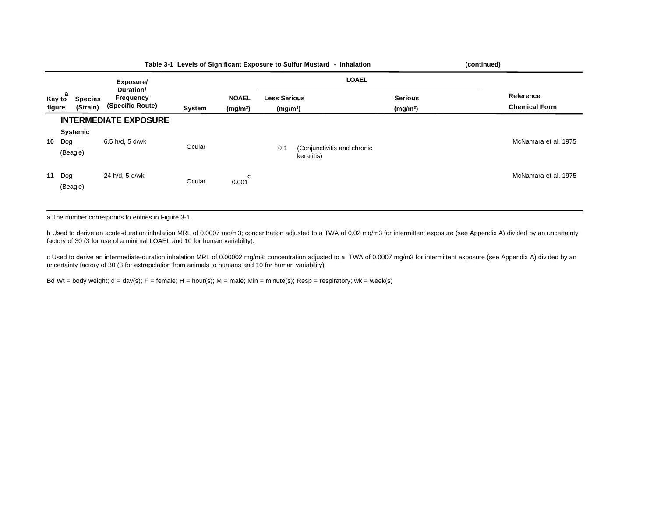|                  |                                    | (continued)                                                    |        |                                      |                                             |                                        |                                   |
|------------------|------------------------------------|----------------------------------------------------------------|--------|--------------------------------------|---------------------------------------------|----------------------------------------|-----------------------------------|
|                  |                                    | Exposure/<br>Duration/<br><b>Frequency</b><br>(Specific Route) |        | <b>NOAEL</b><br>(mg/m <sup>3</sup> ) |                                             | <b>LOAEL</b>                           |                                   |
| Key to<br>figure | a<br><b>Species</b><br>(Strain)    |                                                                | System |                                      | <b>Less Serious</b><br>(mg/m <sup>3</sup> ) | <b>Serious</b><br>(mg/m <sup>3</sup> ) | Reference<br><b>Chemical Form</b> |
|                  |                                    | <b>INTERMEDIATE EXPOSURE</b>                                   |        |                                      |                                             |                                        |                                   |
| 10               | <b>Systemic</b><br>Dog<br>(Beagle) | 6.5 h/d, 5 d/wk                                                | Ocular |                                      | 0.1<br>keratitis)                           | (Conjunctivitis and chronic            | McNamara et al. 1975              |
| 11               | Dog<br>(Beagle)                    | 24 h/d, 5 d/wk                                                 | Ocular | C<br>0.001                           |                                             |                                        | McNamara et al. 1975              |

a The number corresponds to entries in Figure 3-1.

b Used to derive an acute-duration inhalation MRL of 0.0007 mg/m3; concentration adjusted to a TWA of 0.02 mg/m3 for intermittent exposure (see Appendix A) divided by an uncertainty factory of 30 (3 for use of a minimal LOAEL and 10 for human variability).

c Used to derive an intermediate-duration inhalation MRL of 0.00002 mg/m3; concentration adjusted to a TWA of 0.0007 mg/m3 for intermittent exposure (see Appendix A) divided by an uncertainty factory of 30 (3 for extrapolation from animals to humans and 10 for human variability).

Bd Wt = body weight;  $d = day(s)$ ; F = female; H = hour(s); M = male; Min = minute(s); Resp = respiratory; wk = week(s)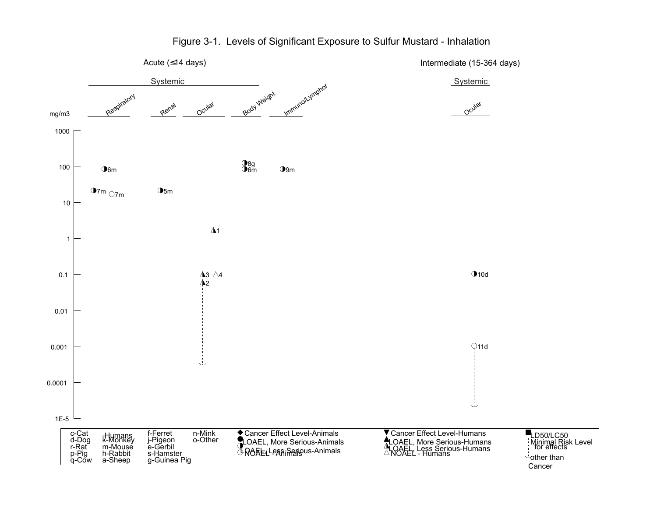

# Figure 3-1. Levels of Significant Exposure to Sulfur Mustard - Inhalation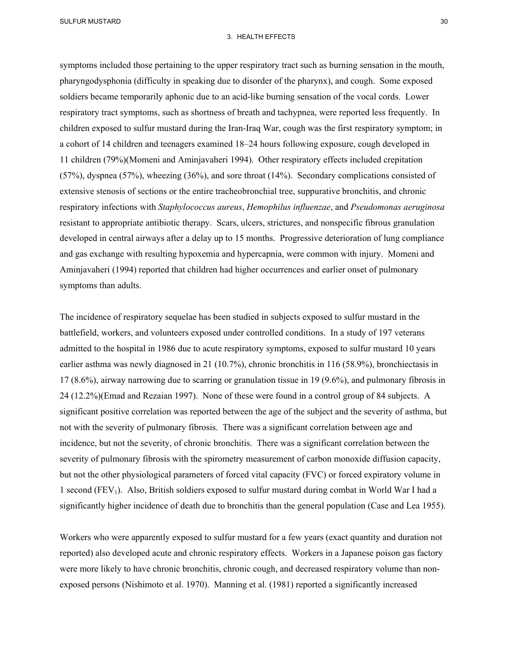### 3. HEALTH EFFECTS

symptoms included those pertaining to the upper respiratory tract such as burning sensation in the mouth, pharyngodysphonia (difficulty in speaking due to disorder of the pharynx), and cough. Some exposed soldiers became temporarily aphonic due to an acid-like burning sensation of the vocal cords. Lower respiratory tract symptoms, such as shortness of breath and tachypnea, were reported less frequently. In children exposed to sulfur mustard during the Iran-Iraq War, cough was the first respiratory symptom; in a cohort of 14 children and teenagers examined 18–24 hours following exposure, cough developed in 11 children (79%)(Momeni and Aminjavaheri 1994). Other respiratory effects included crepitation (57%), dyspnea (57%), wheezing (36%), and sore throat (14%). Secondary complications consisted of extensive stenosis of sections or the entire tracheobronchial tree, suppurative bronchitis, and chronic respiratory infections with *Staphylococcus aureus*, *Hemophilus influenzae*, and *Pseudomonas aeruginosa*  resistant to appropriate antibiotic therapy. Scars, ulcers, strictures, and nonspecific fibrous granulation developed in central airways after a delay up to 15 months. Progressive deterioration of lung compliance and gas exchange with resulting hypoxemia and hypercapnia, were common with injury. Momeni and Aminjavaheri (1994) reported that children had higher occurrences and earlier onset of pulmonary symptoms than adults.

The incidence of respiratory sequelae has been studied in subjects exposed to sulfur mustard in the battlefield, workers, and volunteers exposed under controlled conditions. In a study of 197 veterans admitted to the hospital in 1986 due to acute respiratory symptoms, exposed to sulfur mustard 10 years earlier asthma was newly diagnosed in 21 (10.7%), chronic bronchitis in 116 (58.9%), bronchiectasis in 17 (8.6%), airway narrowing due to scarring or granulation tissue in 19 (9.6%), and pulmonary fibrosis in 24 (12.2%)(Emad and Rezaian 1997). None of these were found in a control group of 84 subjects. A significant positive correlation was reported between the age of the subject and the severity of asthma, but not with the severity of pulmonary fibrosis. There was a significant correlation between age and incidence, but not the severity, of chronic bronchitis. There was a significant correlation between the severity of pulmonary fibrosis with the spirometry measurement of carbon monoxide diffusion capacity, but not the other physiological parameters of forced vital capacity (FVC) or forced expiratory volume in 1 second ( $FEV<sub>1</sub>$ ). Also, British soldiers exposed to sulfur mustard during combat in World War I had a significantly higher incidence of death due to bronchitis than the general population (Case and Lea 1955).

Workers who were apparently exposed to sulfur mustard for a few years (exact quantity and duration not reported) also developed acute and chronic respiratory effects. Workers in a Japanese poison gas factory were more likely to have chronic bronchitis, chronic cough, and decreased respiratory volume than nonexposed persons (Nishimoto et al. 1970). Manning et al. (1981) reported a significantly increased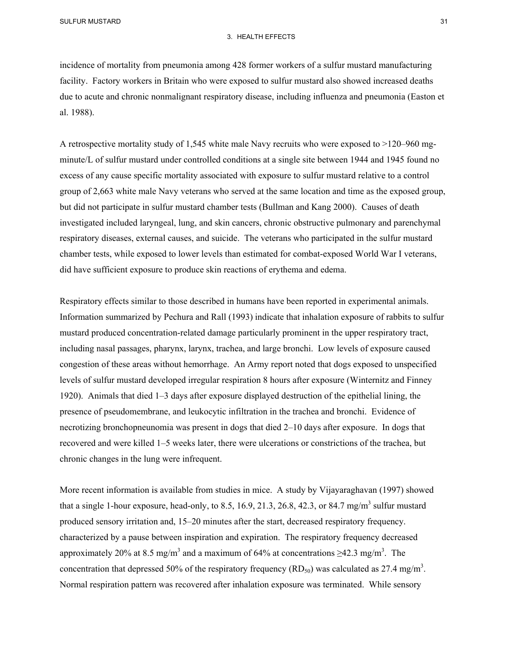incidence of mortality from pneumonia among 428 former workers of a sulfur mustard manufacturing facility. Factory workers in Britain who were exposed to sulfur mustard also showed increased deaths due to acute and chronic nonmalignant respiratory disease, including influenza and pneumonia (Easton et al. 1988).

A retrospective mortality study of 1,545 white male Navy recruits who were exposed to >120–960 mgminute/L of sulfur mustard under controlled conditions at a single site between 1944 and 1945 found no excess of any cause specific mortality associated with exposure to sulfur mustard relative to a control group of 2,663 white male Navy veterans who served at the same location and time as the exposed group, but did not participate in sulfur mustard chamber tests (Bullman and Kang 2000). Causes of death investigated included laryngeal, lung, and skin cancers, chronic obstructive pulmonary and parenchymal respiratory diseases, external causes, and suicide. The veterans who participated in the sulfur mustard chamber tests, while exposed to lower levels than estimated for combat-exposed World War I veterans, did have sufficient exposure to produce skin reactions of erythema and edema.

Respiratory effects similar to those described in humans have been reported in experimental animals. Information summarized by Pechura and Rall (1993) indicate that inhalation exposure of rabbits to sulfur mustard produced concentration-related damage particularly prominent in the upper respiratory tract, including nasal passages, pharynx, larynx, trachea, and large bronchi. Low levels of exposure caused congestion of these areas without hemorrhage. An Army report noted that dogs exposed to unspecified levels of sulfur mustard developed irregular respiration 8 hours after exposure (Winternitz and Finney 1920). Animals that died 1–3 days after exposure displayed destruction of the epithelial lining, the presence of pseudomembrane, and leukocytic infiltration in the trachea and bronchi. Evidence of necrotizing bronchopneunomia was present in dogs that died 2–10 days after exposure. In dogs that recovered and were killed 1–5 weeks later, there were ulcerations or constrictions of the trachea, but chronic changes in the lung were infrequent.

More recent information is available from studies in mice. A study by Vijayaraghavan (1997) showed that a single 1-hour exposure, head-only, to 8.5, 16.9, 21.3, 26.8, 42.3, or 84.7 mg/m<sup>3</sup> sulfur mustard produced sensory irritation and, 15–20 minutes after the start, decreased respiratory frequency. characterized by a pause between inspiration and expiration. The respiratory frequency decreased approximately 20% at 8.5 mg/m<sup>3</sup> and a maximum of 64% at concentrations  $\geq$ 42.3 mg/m<sup>3</sup>. The concentration that depressed 50% of the respiratory frequency  $(RD_{50})$  was calculated as 27.4 mg/m<sup>3</sup>. Normal respiration pattern was recovered after inhalation exposure was terminated. While sensory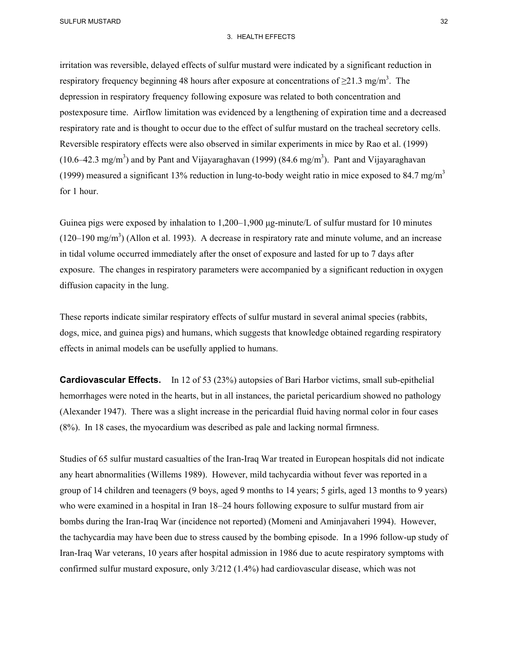### 3. HEALTH EFFECTS

irritation was reversible, delayed effects of sulfur mustard were indicated by a significant reduction in respiratory frequency beginning 48 hours after exposure at concentrations of  $\geq$ 21.3 mg/m<sup>3</sup>. The depression in respiratory frequency following exposure was related to both concentration and postexposure time. Airflow limitation was evidenced by a lengthening of expiration time and a decreased respiratory rate and is thought to occur due to the effect of sulfur mustard on the tracheal secretory cells. Reversible respiratory effects were also observed in similar experiments in mice by Rao et al. (1999)  $(10.6-42.3 \text{ mg/m}^3)$  and by Pant and Vijayaraghavan (1999) (84.6 mg/m<sup>3</sup>). Pant and Vijayaraghavan (1999) measured a significant 13% reduction in lung-to-body weight ratio in mice exposed to 84.7 mg/m<sup>3</sup> for 1 hour.

Guinea pigs were exposed by inhalation to  $1,200-1,900 \mu$ g-minute/L of sulfur mustard for 10 minutes  $(120-190 \text{ mg/m}^3)$  (Allon et al. 1993). A decrease in respiratory rate and minute volume, and an increase in tidal volume occurred immediately after the onset of exposure and lasted for up to 7 days after exposure. The changes in respiratory parameters were accompanied by a significant reduction in oxygen diffusion capacity in the lung.

These reports indicate similar respiratory effects of sulfur mustard in several animal species (rabbits, dogs, mice, and guinea pigs) and humans, which suggests that knowledge obtained regarding respiratory effects in animal models can be usefully applied to humans.

**Cardiovascular Effects.** In 12 of 53 (23%) autopsies of Bari Harbor victims, small sub-epithelial hemorrhages were noted in the hearts, but in all instances, the parietal pericardium showed no pathology (Alexander 1947). There was a slight increase in the pericardial fluid having normal color in four cases (8%). In 18 cases, the myocardium was described as pale and lacking normal firmness.

Studies of 65 sulfur mustard casualties of the Iran-Iraq War treated in European hospitals did not indicate any heart abnormalities (Willems 1989). However, mild tachycardia without fever was reported in a group of 14 children and teenagers (9 boys, aged 9 months to 14 years; 5 girls, aged 13 months to 9 years) who were examined in a hospital in Iran  $18-24$  hours following exposure to sulfur mustard from air bombs during the Iran-Iraq War (incidence not reported) (Momeni and Aminjavaheri 1994). However, the tachycardia may have been due to stress caused by the bombing episode. In a 1996 follow-up study of Iran-Iraq War veterans, 10 years after hospital admission in 1986 due to acute respiratory symptoms with confirmed sulfur mustard exposure, only 3/212 (1.4%) had cardiovascular disease, which was not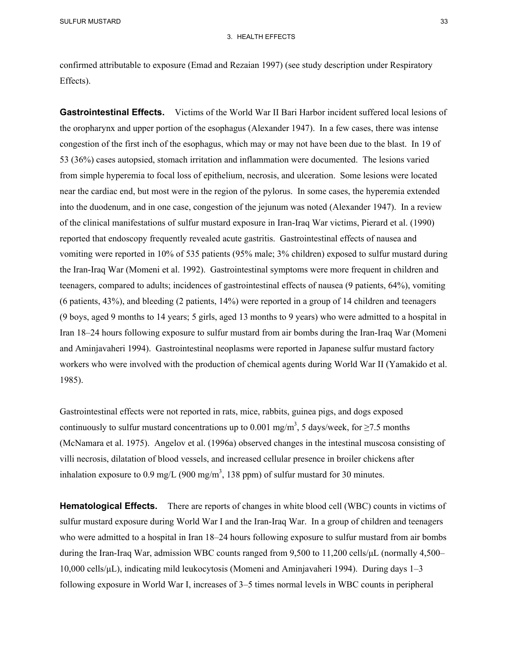confirmed attributable to exposure (Emad and Rezaian 1997) (see study description under Respiratory Effects).

1985). **Gastrointestinal Effects.** Victims of the World War II Bari Harbor incident suffered local lesions of the oropharynx and upper portion of the esophagus (Alexander 1947). In a few cases, there was intense congestion of the first inch of the esophagus, which may or may not have been due to the blast. In 19 of 53 (36%) cases autopsied, stomach irritation and inflammation were documented. The lesions varied from simple hyperemia to focal loss of epithelium, necrosis, and ulceration. Some lesions were located near the cardiac end, but most were in the region of the pylorus. In some cases, the hyperemia extended into the duodenum, and in one case, congestion of the jejunum was noted (Alexander 1947). In a review of the clinical manifestations of sulfur mustard exposure in Iran-Iraq War victims, Pierard et al. (1990) reported that endoscopy frequently revealed acute gastritis. Gastrointestinal effects of nausea and vomiting were reported in 10% of 535 patients (95% male; 3% children) exposed to sulfur mustard during the Iran-Iraq War (Momeni et al. 1992). Gastrointestinal symptoms were more frequent in children and teenagers, compared to adults; incidences of gastrointestinal effects of nausea (9 patients, 64%), vomiting (6 patients, 43%), and bleeding (2 patients, 14%) were reported in a group of 14 children and teenagers (9 boys, aged 9 months to 14 years; 5 girls, aged 13 months to 9 years) who were admitted to a hospital in Iran 18–24 hours following exposure to sulfur mustard from air bombs during the Iran-Iraq War (Momeni and Aminjavaheri 1994). Gastrointestinal neoplasms were reported in Japanese sulfur mustard factory workers who were involved with the production of chemical agents during World War II (Yamakido et al.

1985). Gastrointestinal effects were not reported in rats, mice, rabbits, guinea pigs, and dogs exposed continuously to sulfur mustard concentrations up to 0.001 mg/m<sup>3</sup>, 5 days/week, for  $\geq$ 7.5 months (McNamara et al. 1975). Angelov et al. (1996a) observed changes in the intestinal muscosa consisting of villi necrosis, dilatation of blood vessels, and increased cellular presence in broiler chickens after inhalation exposure to 0.9 mg/L (900 mg/m<sup>3</sup>, 138 ppm) of sulfur mustard for 30 minutes.

**Hematological Effects.** There are reports of changes in white blood cell (WBC) counts in victims of sulfur mustard exposure during World War I and the Iran-Iraq War. In a group of children and teenagers who were admitted to a hospital in Iran 18–24 hours following exposure to sulfur mustard from air bombs during the Iran-Iraq War, admission WBC counts ranged from 9,500 to 11,200 cells/µL (normally 4,500– 10,000 cells/µL), indicating mild leukocytosis (Momeni and Aminjavaheri 1994). During days 1–3 following exposure in World War I, increases of 3–5 times normal levels in WBC counts in peripheral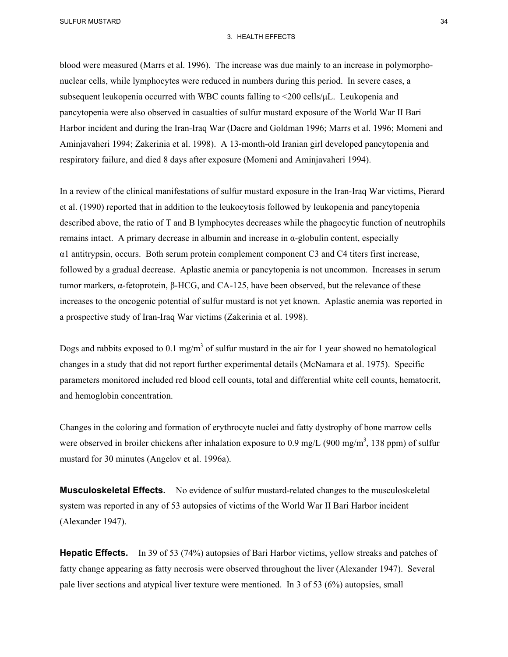### 3. HEALTH EFFECTS

blood were measured (Marrs et al. 1996). The increase was due mainly to an increase in polymorphonuclear cells, while lymphocytes were reduced in numbers during this period. In severe cases, a subsequent leukopenia occurred with WBC counts falling to  $\leq$ 200 cells/ $\mu$ L. Leukopenia and pancytopenia were also observed in casualties of sulfur mustard exposure of the World War II Bari Harbor incident and during the Iran-Iraq War (Dacre and Goldman 1996; Marrs et al. 1996; Momeni and Aminjavaheri 1994; Zakerinia et al. 1998). A 13-month-old Iranian girl developed pancytopenia and respiratory failure, and died 8 days after exposure (Momeni and Aminjavaheri 1994).

a prospective study of Iran-Iraq War victims (Zakerinia et al. 1998). In a review of the clinical manifestations of sulfur mustard exposure in the Iran-Iraq War victims, Pierard et al. (1990) reported that in addition to the leukocytosis followed by leukopenia and pancytopenia described above, the ratio of T and B lymphocytes decreases while the phagocytic function of neutrophils remains intact. A primary decrease in albumin and increase in α-globulin content, especially α1 antitrypsin, occurs. Both serum protein complement component C3 and C4 titers first increase, followed by a gradual decrease. Aplastic anemia or pancytopenia is not uncommon. Increases in serum tumor markers, α-fetoprotein, β-HCG, and CA-125, have been observed, but the relevance of these increases to the oncogenic potential of sulfur mustard is not yet known. Aplastic anemia was reported in

a prospective study of Iran-Iraq War victims (Zakerinia et al. 1998).<br>Dogs and rabbits exposed to 0.1 mg/m<sup>3</sup> of sulfur mustard in the air for 1 year showed no hematological changes in a study that did not report further experimental details (McNamara et al. 1975). Specific parameters monitored included red blood cell counts, total and differential white cell counts, hematocrit, and hemoglobin concentration.

Changes in the coloring and formation of erythrocyte nuclei and fatty dystrophy of bone marrow cells were observed in broiler chickens after inhalation exposure to 0.9 mg/L (900 mg/m<sup>3</sup>, 138 ppm) of sulfur mustard for 30 minutes (Angelov et al. 1996a).

**Musculoskeletal Effects.** No evidence of sulfur mustard-related changes to the musculoskeletal system was reported in any of 53 autopsies of victims of the World War II Bari Harbor incident (Alexander 1947).

**Hepatic Effects.** In 39 of 53 (74%) autopsies of Bari Harbor victims, yellow streaks and patches of fatty change appearing as fatty necrosis were observed throughout the liver (Alexander 1947). Several pale liver sections and atypical liver texture were mentioned. In 3 of 53 (6%) autopsies, small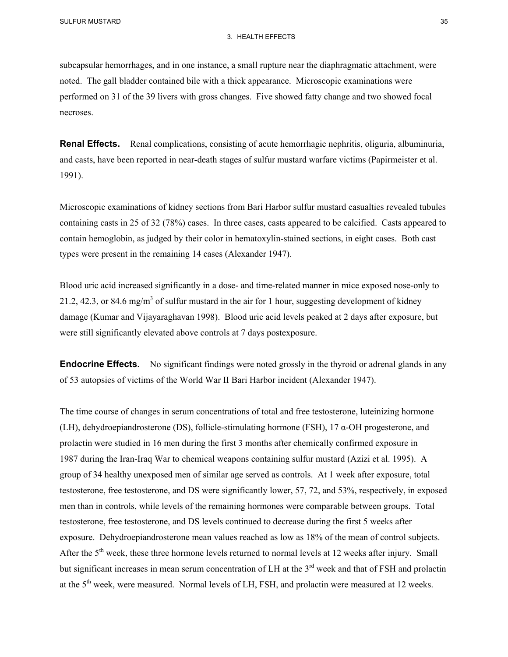subcapsular hemorrhages, and in one instance, a small rupture near the diaphragmatic attachment, were noted. The gall bladder contained bile with a thick appearance. Microscopic examinations were performed on 31 of the 39 livers with gross changes. Five showed fatty change and two showed focal necroses.

1991). **Renal Effects.** Renal complications, consisting of acute hemorrhagic nephritis, oliguria, albuminuria, and casts, have been reported in near-death stages of sulfur mustard warfare victims (Papirmeister et al.

1991). Microscopic examinations of kidney sections from Bari Harbor sulfur mustard casualties revealed tubules containing casts in 25 of 32 (78%) cases. In three cases, casts appeared to be calcified. Casts appeared to contain hemoglobin, as judged by their color in hematoxylin-stained sections, in eight cases. Both cast types were present in the remaining 14 cases (Alexander 1947).

Blood uric acid increased significantly in a dose- and time-related manner in mice exposed nose-only to 21.2, 42.3, or 84.6 mg/m<sup>3</sup> of sulfur mustard in the air for 1 hour, suggesting development of kidney damage (Kumar and Vijayaraghavan 1998). Blood uric acid levels peaked at 2 days after exposure, but were still significantly elevated above controls at 7 days postexposure.

**Endocrine Effects.** No significant findings were noted grossly in the thyroid or adrenal glands in any of 53 autopsies of victims of the World War II Bari Harbor incident (Alexander 1947).

The time course of changes in serum concentrations of total and free testosterone, luteinizing hormone (LH), dehydroepiandrosterone (DS), follicle-stimulating hormone (FSH), 17  $\alpha$ -OH progesterone, and prolactin were studied in 16 men during the first 3 months after chemically confirmed exposure in 1987 during the Iran-Iraq War to chemical weapons containing sulfur mustard (Azizi et al. 1995). A group of 34 healthy unexposed men of similar age served as controls. At 1 week after exposure, total testosterone, free testosterone, and DS were significantly lower, 57, 72, and 53%, respectively, in exposed men than in controls, while levels of the remaining hormones were comparable between groups. Total testosterone, free testosterone, and DS levels continued to decrease during the first 5 weeks after exposure. Dehydroepiandrosterone mean values reached as low as 18% of the mean of control subjects. After the  $5<sup>th</sup>$  week, these three hormone levels returned to normal levels at 12 weeks after injury. Small but significant increases in mean serum concentration of LH at the  $3<sup>rd</sup>$  week and that of FSH and prolactin at the 5<sup>th</sup> week, were measured. Normal levels of LH, FSH, and prolactin were measured at 12 weeks.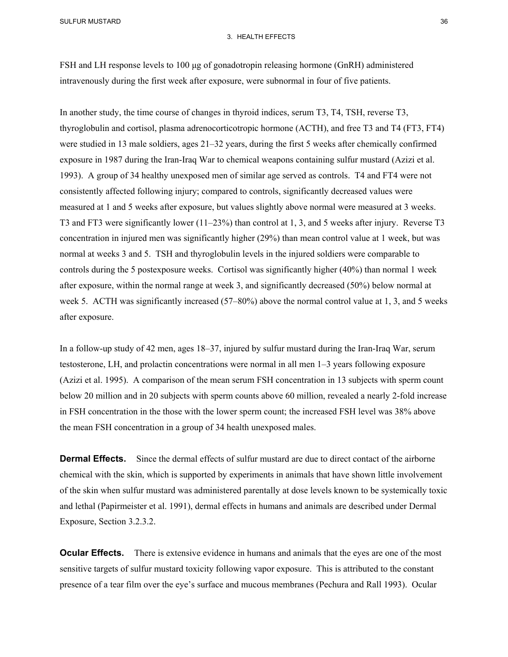### 3. HEALTH EFFECTS

FSH and LH response levels to 100 µg of gonadotropin releasing hormone (GnRH) administered intravenously during the first week after exposure, were subnormal in four of five patients.

In another study, the time course of changes in thyroid indices, serum T3, T4, TSH, reverse T3, thyroglobulin and cortisol, plasma adrenocorticotropic hormone (ACTH), and free T3 and T4 (FT3, FT4) were studied in 13 male soldiers, ages 21–32 years, during the first 5 weeks after chemically confirmed exposure in 1987 during the Iran-Iraq War to chemical weapons containing sulfur mustard (Azizi et al. 1993). A group of 34 healthy unexposed men of similar age served as controls. T4 and FT4 were not consistently affected following injury; compared to controls, significantly decreased values were measured at 1 and 5 weeks after exposure, but values slightly above normal were measured at 3 weeks. T3 and FT3 were significantly lower (11–23%) than control at 1, 3, and 5 weeks after injury. Reverse T3 concentration in injured men was significantly higher (29%) than mean control value at 1 week, but was normal at weeks 3 and 5. TSH and thyroglobulin levels in the injured soldiers were comparable to controls during the 5 postexposure weeks. Cortisol was significantly higher (40%) than normal 1 week after exposure, within the normal range at week 3, and significantly decreased (50%) below normal at week 5. ACTH was significantly increased (57–80%) above the normal control value at 1, 3, and 5 weeks after exposure.

In a follow-up study of 42 men, ages 18–37, injured by sulfur mustard during the Iran-Iraq War, serum testosterone, LH, and prolactin concentrations were normal in all men 1–3 years following exposure (Azizi et al. 1995). A comparison of the mean serum FSH concentration in 13 subjects with sperm count below 20 million and in 20 subjects with sperm counts above 60 million, revealed a nearly 2-fold increase in FSH concentration in the those with the lower sperm count; the increased FSH level was 38% above the mean FSH concentration in a group of 34 health unexposed males.

**Dermal Effects.** Since the dermal effects of sulfur mustard are due to direct contact of the airborne chemical with the skin, which is supported by experiments in animals that have shown little involvement of the skin when sulfur mustard was administered parentally at dose levels known to be systemically toxic and lethal (Papirmeister et al. 1991), dermal effects in humans and animals are described under Dermal Exposure, Section 3.2.3.2.

**Ocular Effects.** There is extensive evidence in humans and animals that the eyes are one of the most sensitive targets of sulfur mustard toxicity following vapor exposure. This is attributed to the constant presence of a tear film over the eye's surface and mucous membranes (Pechura and Rall 1993). Ocular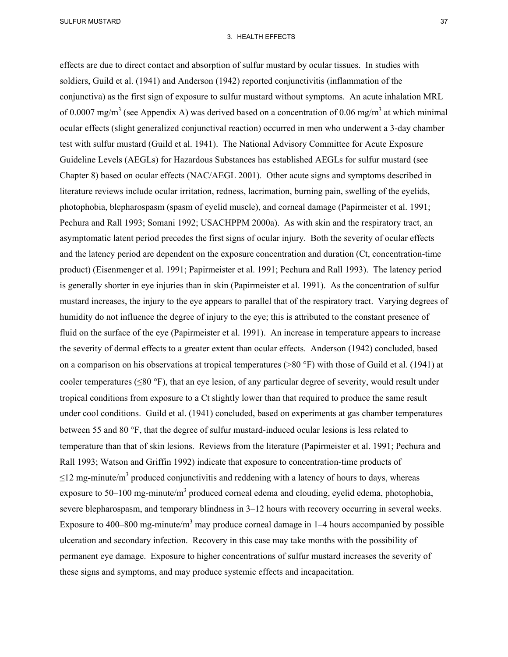### 3. HEALTH EFFECTS

effects are due to direct contact and absorption of sulfur mustard by ocular tissues. In studies with soldiers, Guild et al. (1941) and Anderson (1942) reported conjunctivitis (inflammation of the conjunctiva) as the first sign of exposure to sulfur mustard without symptoms. An acute inhalation MRL of 0.0007 mg/m<sup>3</sup> (see Appendix A) was derived based on a concentration of 0.06 mg/m<sup>3</sup> at which minimal ocular effects (slight generalized conjunctival reaction) occurred in men who underwent a 3-day chamber test with sulfur mustard (Guild et al. 1941). The National Advisory Committee for Acute Exposure Guideline Levels (AEGLs) for Hazardous Substances has established AEGLs for sulfur mustard (see Chapter 8) based on ocular effects (NAC/AEGL 2001). Other acute signs and symptoms described in literature reviews include ocular irritation, redness, lacrimation, burning pain, swelling of the eyelids, photophobia, blepharospasm (spasm of eyelid muscle), and corneal damage (Papirmeister et al. 1991; Pechura and Rall 1993; Somani 1992; USACHPPM 2000a). As with skin and the respiratory tract, an asymptomatic latent period precedes the first signs of ocular injury. Both the severity of ocular effects and the latency period are dependent on the exposure concentration and duration (Ct, concentration-time product) (Eisenmenger et al. 1991; Papirmeister et al. 1991; Pechura and Rall 1993). The latency period is generally shorter in eye injuries than in skin (Papirmeister et al. 1991). As the concentration of sulfur mustard increases, the injury to the eye appears to parallel that of the respiratory tract. Varying degrees of humidity do not influence the degree of injury to the eye; this is attributed to the constant presence of fluid on the surface of the eye (Papirmeister et al. 1991). An increase in temperature appears to increase the severity of dermal effects to a greater extent than ocular effects. Anderson (1942) concluded, based on a comparison on his observations at tropical temperatures (>80 °F) with those of Guild et al. (1941) at cooler temperatures ( $\leq 80^\circ$ F), that an eye lesion, of any particular degree of severity, would result under tropical conditions from exposure to a Ct slightly lower than that required to produce the same result under cool conditions. Guild et al. (1941) concluded, based on experiments at gas chamber temperatures between 55 and 80 °F, that the degree of sulfur mustard-induced ocular lesions is less related to temperature than that of skin lesions. Reviews from the literature (Papirmeister et al. 1991; Pechura and Rall 1993; Watson and Griffin 1992) indicate that exposure to concentration-time products of  $\leq$ 12 mg-minute/m<sup>3</sup> produced conjunctivitis and reddening with a latency of hours to days, whereas exposure to 50–100 mg-minute/ $m<sup>3</sup>$  produced corneal edema and clouding, eyelid edema, photophobia, severe blepharospasm, and temporary blindness in 3–12 hours with recovery occurring in several weeks. Exposure to 400–800 mg-minute/ $m<sup>3</sup>$  may produce corneal damage in 1–4 hours accompanied by possible ulceration and secondary infection. Recovery in this case may take months with the possibility of permanent eye damage. Exposure to higher concentrations of sulfur mustard increases the severity of these signs and symptoms, and may produce systemic effects and incapacitation.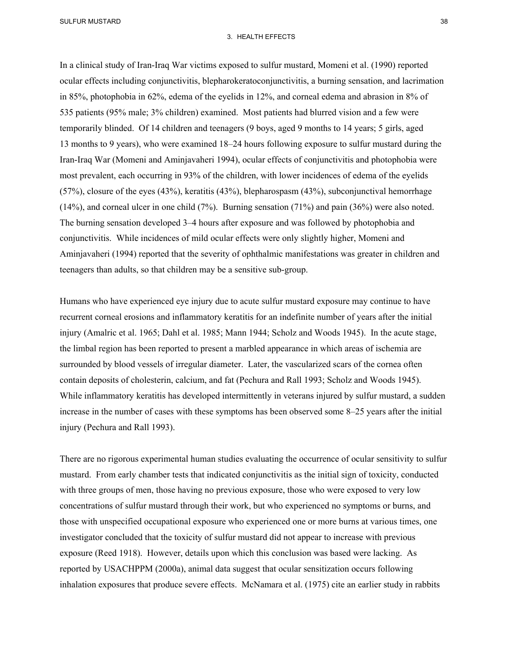### 3. HEALTH EFFECTS

In a clinical study of Iran-Iraq War victims exposed to sulfur mustard, Momeni et al. (1990) reported ocular effects including conjunctivitis, blepharokeratoconjunctivitis, a burning sensation, and lacrimation in 85%, photophobia in 62%, edema of the eyelids in 12%, and corneal edema and abrasion in 8% of 535 patients (95% male; 3% children) examined. Most patients had blurred vision and a few were temporarily blinded. Of 14 children and teenagers (9 boys, aged 9 months to 14 years; 5 girls, aged 13 months to 9 years), who were examined 18–24 hours following exposure to sulfur mustard during the Iran-Iraq War (Momeni and Aminjavaheri 1994), ocular effects of conjunctivitis and photophobia were most prevalent, each occurring in 93% of the children, with lower incidences of edema of the eyelids (57%), closure of the eyes (43%), keratitis (43%), blepharospasm (43%), subconjunctival hemorrhage (14%), and corneal ulcer in one child (7%). Burning sensation (71%) and pain (36%) were also noted. The burning sensation developed 3–4 hours after exposure and was followed by photophobia and conjunctivitis. While incidences of mild ocular effects were only slightly higher, Momeni and Aminjavaheri (1994) reported that the severity of ophthalmic manifestations was greater in children and teenagers than adults, so that children may be a sensitive sub-group.

Humans who have experienced eye injury due to acute sulfur mustard exposure may continue to have recurrent corneal erosions and inflammatory keratitis for an indefinite number of years after the initial injury (Amalric et al. 1965; Dahl et al. 1985; Mann 1944; Scholz and Woods 1945). In the acute stage, the limbal region has been reported to present a marbled appearance in which areas of ischemia are surrounded by blood vessels of irregular diameter. Later, the vascularized scars of the cornea often contain deposits of cholesterin, calcium, and fat (Pechura and Rall 1993; Scholz and Woods 1945). While inflammatory keratitis has developed intermittently in veterans injured by sulfur mustard, a sudden increase in the number of cases with these symptoms has been observed some 8–25 years after the initial injury (Pechura and Rall 1993).

There are no rigorous experimental human studies evaluating the occurrence of ocular sensitivity to sulfur mustard. From early chamber tests that indicated conjunctivitis as the initial sign of toxicity, conducted with three groups of men, those having no previous exposure, those who were exposed to very low concentrations of sulfur mustard through their work, but who experienced no symptoms or burns, and those with unspecified occupational exposure who experienced one or more burns at various times, one investigator concluded that the toxicity of sulfur mustard did not appear to increase with previous exposure (Reed 1918). However, details upon which this conclusion was based were lacking. As reported by USACHPPM (2000a), animal data suggest that ocular sensitization occurs following inhalation exposures that produce severe effects. McNamara et al. (1975) cite an earlier study in rabbits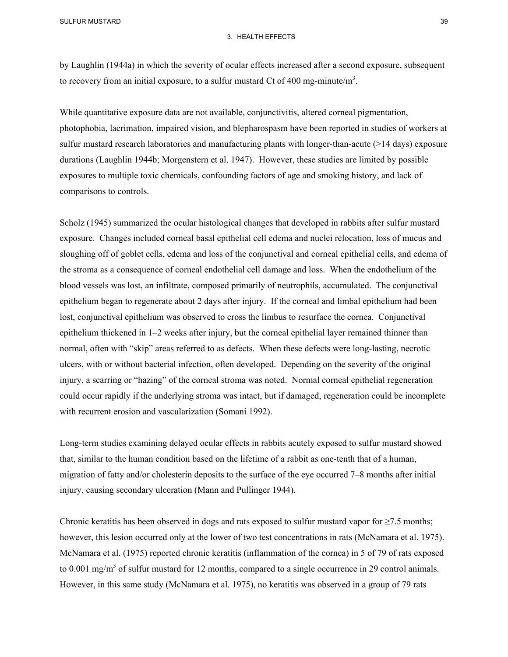### 3. HEALTH EFFECTS

by Laughlin (1944a) in which the severity of ocular effects increased after a second exposure, subsequent to recovery from an initial exposure, to a sulfur mustard Ct of 400 mg-minute/ $m<sup>3</sup>$ .

While quantitative exposure data are not available, conjunctivitis, altered corneal pigmentation, photophobia, lacrimation, impaired vision, and blepharospasm have been reported in studies of workers at sulfur mustard research laboratories and manufacturing plants with longer-than-acute (>14 days) exposure durations (Laughlin 1944b; Morgenstern et al. 1947). However, these studies are limited by possible exposures to multiple toxic chemicals, confounding factors of age and smoking history, and lack of comparisons to controls.

Scholz (1945) summarized the ocular histological changes that developed in rabbits after sulfur mustard exposure. Changes included corneal basal epithelial cell edema and nuclei relocation, loss of mucus and sloughing off of goblet cells, edema and loss of the conjunctival and corneal epithelial cells, and edema of the stroma as a consequence of corneal endothelial cell damage and loss. When the endothelium of the blood vessels was lost, an infiltrate, composed primarily of neutrophils, accumulated. The conjunctival epithelium began to regenerate about 2 days after injury. If the corneal and limbal epithelium had been lost, conjunctival epithelium was observed to cross the limbus to resurface the cornea. Conjunctival epithelium thickened in 1–2 weeks after injury, but the corneal epithelial layer remained thinner than normal, often with "skip" areas referred to as defects. When these defects were long-lasting, necrotic ulcers, with or without bacterial infection, often developed. Depending on the severity of the original injury, a scarring or "hazing" of the corneal stroma was noted. Normal corneal epithelial regeneration could occur rapidly if the underlying stroma was intact, but if damaged, regeneration could be incomplete with recurrent erosion and vascularization (Somani 1992).

Long-term studies examining delayed ocular effects in rabbits acutely exposed to sulfur mustard showed that, similar to the human condition based on the lifetime of a rabbit as one-tenth that of a human, migration of fatty and/or cholesterin deposits to the surface of the eye occurred 7–8 months after initial injury, causing secondary ulceration (Mann and Pullinger 1944).

Chronic keratitis has been observed in dogs and rats exposed to sulfur mustard vapor for  $\geq 7.5$  months; however, this lesion occurred only at the lower of two test concentrations in rats (McNamara et al. 1975). McNamara et al. (1975) reported chronic keratitis (inflammation of the cornea) in 5 of 79 of rats exposed to 0.001 mg/m<sup>3</sup> of sulfur mustard for 12 months, compared to a single occurrence in 29 control animals. However, in this same study (McNamara et al. 1975), no keratitis was observed in a group of 79 rats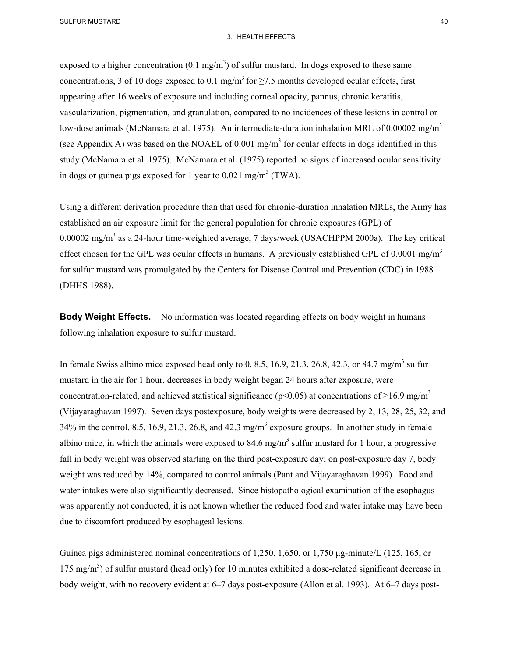## 3. HEALTH EFFECTS

exposed to a higher concentration  $(0.1 \text{ mg/m}^3)$  of sulfur mustard. In dogs exposed to these same concentrations, 3 of 10 dogs exposed to 0.1 mg/m<sup>3</sup> for  $\geq$ 7.5 months developed ocular effects, first appearing after 16 weeks of exposure and including corneal opacity, pannus, chronic keratitis, vascularization, pigmentation, and granulation, compared to no incidences of these lesions in control or low-dose animals (McNamara et al. 1975). An intermediate-duration inhalation MRL of 0.00002 mg/m<sup>3</sup> (see Appendix A) was based on the NOAEL of 0.001 mg/m<sup>3</sup> for ocular effects in dogs identified in this study (McNamara et al. 1975). McNamara et al. (1975) reported no signs of increased ocular sensitivity in dogs or guinea pigs exposed for 1 year to  $0.021$  mg/m<sup>3</sup> (TWA).

Using a different derivation procedure than that used for chronic-duration inhalation MRLs, the Army has established an air exposure limit for the general population for chronic exposures (GPL) of 0.00002 mg/m<sup>3</sup> as a 24-hour time-weighted average, 7 days/week (USACHPPM 2000a). The key critical effect chosen for the GPL was ocular effects in humans. A previously established GPL of 0.0001 mg/m<sup>3</sup> for sulfur mustard was promulgated by the Centers for Disease Control and Prevention (CDC) in 1988 (DHHS 1988).

**Body Weight Effects.** No information was located regarding effects on body weight in humans following inhalation exposure to sulfur mustard.

In female Swiss albino mice exposed head only to 0, 8.5, 16.9, 21.3, 26.8, 42.3, or 84.7 mg/m<sup>3</sup> sulfur mustard in the air for 1 hour, decreases in body weight began 24 hours after exposure, were concentration-related, and achieved statistical significance ( $p<0.05$ ) at concentrations of  $\geq 16.9$  mg/m<sup>3</sup> (Vijayaraghavan 1997). Seven days postexposure, body weights were decreased by 2, 13, 28, 25, 32, and 34% in the control, 8.5, 16.9, 21.3, 26.8, and 42.3 mg/m<sup>3</sup> exposure groups. In another study in female albino mice, in which the animals were exposed to 84.6 mg/m<sup>3</sup> sulfur mustard for 1 hour, a progressive fall in body weight was observed starting on the third post-exposure day; on post-exposure day 7, body weight was reduced by 14%, compared to control animals (Pant and Vijayaraghavan 1999). Food and water intakes were also significantly decreased. Since histopathological examination of the esophagus was apparently not conducted, it is not known whether the reduced food and water intake may have been due to discomfort produced by esophageal lesions.

Guinea pigs administered nominal concentrations of 1,250, 1,650, or 1,750 µg-minute/L (125, 165, or 175 mg/m<sup>3</sup>) of sulfur mustard (head only) for 10 minutes exhibited a dose-related significant decrease in body weight, with no recovery evident at 6–7 days post-exposure (Allon et al. 1993). At 6–7 days post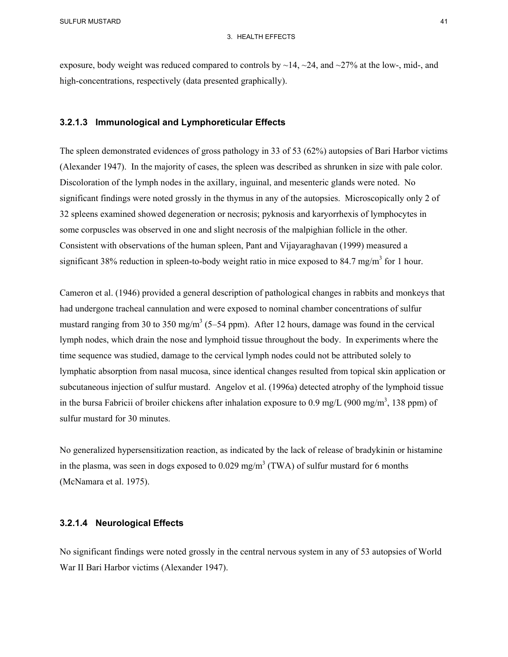exposure, body weight was reduced compared to controls by  $\sim$ 14,  $\sim$ 24, and  $\sim$ 27% at the low-, mid-, and high-concentrations, respectively (data presented graphically).

# **3.2.1.3 Immunological and Lymphoreticular Effects**

some corpuscles was observed in one and slight necrosis of the malpighian follicle in the other. The spleen demonstrated evidences of gross pathology in 33 of 53 (62%) autopsies of Bari Harbor victims (Alexander 1947). In the majority of cases, the spleen was described as shrunken in size with pale color. Discoloration of the lymph nodes in the axillary, inguinal, and mesenteric glands were noted. No significant findings were noted grossly in the thymus in any of the autopsies. Microscopically only 2 of 32 spleens examined showed degeneration or necrosis; pyknosis and karyorrhexis of lymphocytes in Consistent with observations of the human spleen, Pant and Vijayaraghavan (1999) measured a significant 38% reduction in spleen-to-body weight ratio in mice exposed to 84.7 mg/m<sup>3</sup> for 1 hour.

Cameron et al. (1946) provided a general description of pathological changes in rabbits and monkeys that had undergone tracheal cannulation and were exposed to nominal chamber concentrations of sulfur mustard ranging from 30 to 350 mg/m<sup>3</sup> (5–54 ppm). After 12 hours, damage was found in the cervical lymph nodes, which drain the nose and lymphoid tissue throughout the body. In experiments where the time sequence was studied, damage to the cervical lymph nodes could not be attributed solely to lymphatic absorption from nasal mucosa, since identical changes resulted from topical skin application or subcutaneous injection of sulfur mustard. Angelov et al. (1996a) detected atrophy of the lymphoid tissue in the bursa Fabricii of broiler chickens after inhalation exposure to 0.9 mg/L (900 mg/m<sup>3</sup>, 138 ppm) of sulfur mustard for 30 minutes.

No generalized hypersensitization reaction, as indicated by the lack of release of bradykinin or histamine in the plasma, was seen in dogs exposed to  $0.029 \text{ mg/m}^3$  (TWA) of sulfur mustard for 6 months (McNamara et al. 1975).

## **3.2.1.4 Neurological Effects**

No significant findings were noted grossly in the central nervous system in any of 53 autopsies of World War II Bari Harbor victims (Alexander 1947).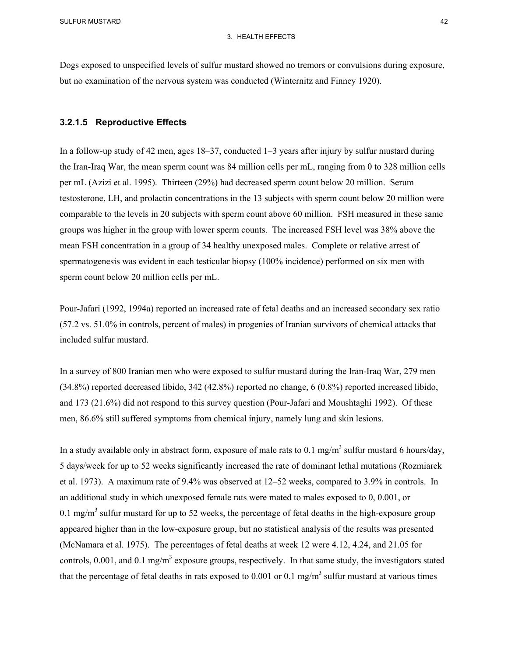Dogs exposed to unspecified levels of sulfur mustard showed no tremors or convulsions during exposure, but no examination of the nervous system was conducted (Winternitz and Finney 1920).

# **3.2.1.5 Reproductive Effects**

 In a follow-up study of 42 men, ages 18–37, conducted 1–3 years after injury by sulfur mustard during the Iran-Iraq War, the mean sperm count was 84 million cells per mL, ranging from 0 to 328 million cells per mL (Azizi et al. 1995). Thirteen (29%) had decreased sperm count below 20 million. Serum testosterone, LH, and prolactin concentrations in the 13 subjects with sperm count below 20 million were comparable to the levels in 20 subjects with sperm count above 60 million. FSH measured in these same groups was higher in the group with lower sperm counts. The increased FSH level was 38% above the mean FSH concentration in a group of 34 healthy unexposed males. Complete or relative arrest of spermatogenesis was evident in each testicular biopsy (100% incidence) performed on six men with sperm count below 20 million cells per mL.

Pour-Jafari (1992, 1994a) reported an increased rate of fetal deaths and an increased secondary sex ratio (57.2 vs. 51.0% in controls, percent of males) in progenies of Iranian survivors of chemical attacks that included sulfur mustard.

In a survey of 800 Iranian men who were exposed to sulfur mustard during the Iran-Iraq War, 279 men (34.8%) reported decreased libido, 342 (42.8%) reported no change, 6 (0.8%) reported increased libido, and 173 (21.6%) did not respond to this survey question (Pour-Jafari and Moushtaghi 1992). Of these men, 86.6% still suffered symptoms from chemical injury, namely lung and skin lesions.

 et al. 1973). A maximum rate of 9.4% was observed at 12–52 weeks, compared to 3.9% in controls. In In a study available only in abstract form, exposure of male rats to 0.1 mg/m<sup>3</sup> sulfur mustard 6 hours/day, 5 days/week for up to 52 weeks significantly increased the rate of dominant lethal mutations (Rozmiarek an additional study in which unexposed female rats were mated to males exposed to 0, 0.001, or 0.1 mg/m<sup>3</sup> sulfur mustard for up to 52 weeks, the percentage of fetal deaths in the high-exposure group appeared higher than in the low-exposure group, but no statistical analysis of the results was presented (McNamara et al. 1975). The percentages of fetal deaths at week 12 were 4.12, 4.24, and 21.05 for controls,  $0.001$ , and  $0.1 \text{ mg/m}^3$  exposure groups, respectively. In that same study, the investigators stated that the percentage of fetal deaths in rats exposed to  $0.001$  or  $0.1$  mg/m<sup>3</sup> sulfur mustard at various times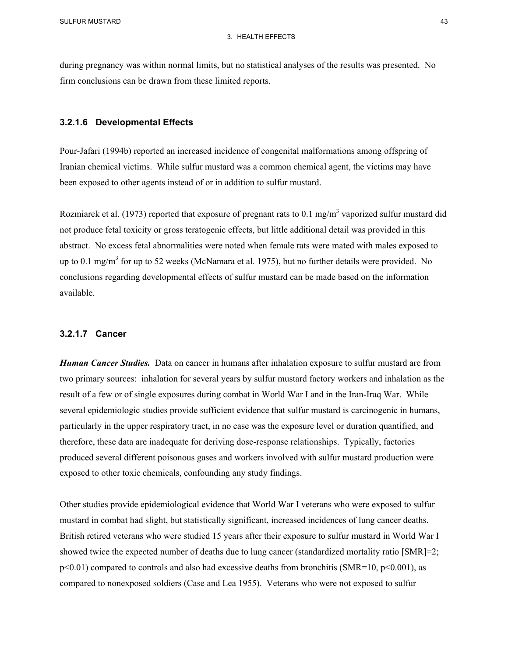during pregnancy was within normal limits, but no statistical analyses of the results was presented. No firm conclusions can be drawn from these limited reports.

# **3.2.1.6 Developmental Effects**

Pour-Jafari (1994b) reported an increased incidence of congenital malformations among offspring of Iranian chemical victims. While sulfur mustard was a common chemical agent, the victims may have been exposed to other agents instead of or in addition to sulfur mustard.

Rozmiarek et al. (1973) reported that exposure of pregnant rats to 0.1 mg/m<sup>3</sup> vaporized sulfur mustard did not produce fetal toxicity or gross teratogenic effects, but little additional detail was provided in this abstract. No excess fetal abnormalities were noted when female rats were mated with males exposed to up to 0.1 mg/m<sup>3</sup> for up to 52 weeks (McNamara et al. 1975), but no further details were provided. No conclusions regarding developmental effects of sulfur mustard can be made based on the information available.

# **3.2.1.7 Cancer**

*Human Cancer Studies.* Data on cancer in humans after inhalation exposure to sulfur mustard are from two primary sources: inhalation for several years by sulfur mustard factory workers and inhalation as the result of a few or of single exposures during combat in World War I and in the Iran-Iraq War. While several epidemiologic studies provide sufficient evidence that sulfur mustard is carcinogenic in humans, particularly in the upper respiratory tract, in no case was the exposure level or duration quantified, and therefore, these data are inadequate for deriving dose-response relationships. Typically, factories produced several different poisonous gases and workers involved with sulfur mustard production were exposed to other toxic chemicals, confounding any study findings.

Other studies provide epidemiological evidence that World War I veterans who were exposed to sulfur mustard in combat had slight, but statistically significant, increased incidences of lung cancer deaths. British retired veterans who were studied 15 years after their exposure to sulfur mustard in World War I showed twice the expected number of deaths due to lung cancer (standardized mortality ratio [SMR]=2;  $p<0.01$ ) compared to controls and also had excessive deaths from bronchitis (SMR=10,  $p<0.001$ ), as compared to nonexposed soldiers (Case and Lea 1955). Veterans who were not exposed to sulfur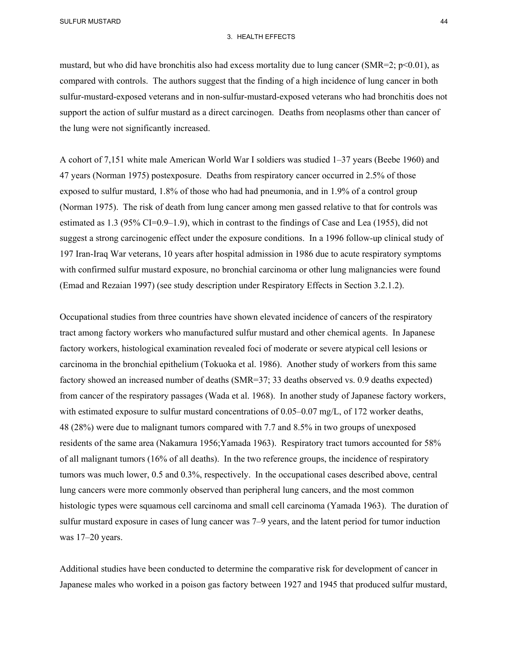### 3. HEALTH EFFECTS

mustard, but who did have bronchitis also had excess mortality due to lung cancer (SMR=2;  $p<0.01$ ), as compared with controls. The authors suggest that the finding of a high incidence of lung cancer in both sulfur-mustard-exposed veterans and in non-sulfur-mustard-exposed veterans who had bronchitis does not support the action of sulfur mustard as a direct carcinogen. Deaths from neoplasms other than cancer of the lung were not significantly increased.

A cohort of 7,151 white male American World War I soldiers was studied 1–37 years (Beebe 1960) and 47 years (Norman 1975) postexposure. Deaths from respiratory cancer occurred in 2.5% of those exposed to sulfur mustard, 1.8% of those who had had pneumonia, and in 1.9% of a control group (Norman 1975). The risk of death from lung cancer among men gassed relative to that for controls was estimated as  $1.3$  (95% CI=0.9–1.9), which in contrast to the findings of Case and Lea (1955), did not suggest a strong carcinogenic effect under the exposure conditions. In a 1996 follow-up clinical study of 197 Iran-Iraq War veterans, 10 years after hospital admission in 1986 due to acute respiratory symptoms with confirmed sulfur mustard exposure, no bronchial carcinoma or other lung malignancies were found (Emad and Rezaian 1997) (see study description under Respiratory Effects in Section 3.2.1.2).

Occupational studies from three countries have shown elevated incidence of cancers of the respiratory tract among factory workers who manufactured sulfur mustard and other chemical agents. In Japanese factory workers, histological examination revealed foci of moderate or severe atypical cell lesions or carcinoma in the bronchial epithelium (Tokuoka et al. 1986). Another study of workers from this same factory showed an increased number of deaths (SMR=37; 33 deaths observed vs. 0.9 deaths expected) from cancer of the respiratory passages (Wada et al. 1968). In another study of Japanese factory workers, with estimated exposure to sulfur mustard concentrations of 0.05–0.07 mg/L, of 172 worker deaths, 48 (28%) were due to malignant tumors compared with 7.7 and 8.5% in two groups of unexposed residents of the same area (Nakamura 1956;Yamada 1963). Respiratory tract tumors accounted for 58% of all malignant tumors (16% of all deaths). In the two reference groups, the incidence of respiratory tumors was much lower, 0.5 and 0.3%, respectively. In the occupational cases described above, central lung cancers were more commonly observed than peripheral lung cancers, and the most common histologic types were squamous cell carcinoma and small cell carcinoma (Yamada 1963). The duration of sulfur mustard exposure in cases of lung cancer was 7–9 years, and the latent period for tumor induction was 17–20 years.

Additional studies have been conducted to determine the comparative risk for development of cancer in Japanese males who worked in a poison gas factory between 1927 and 1945 that produced sulfur mustard,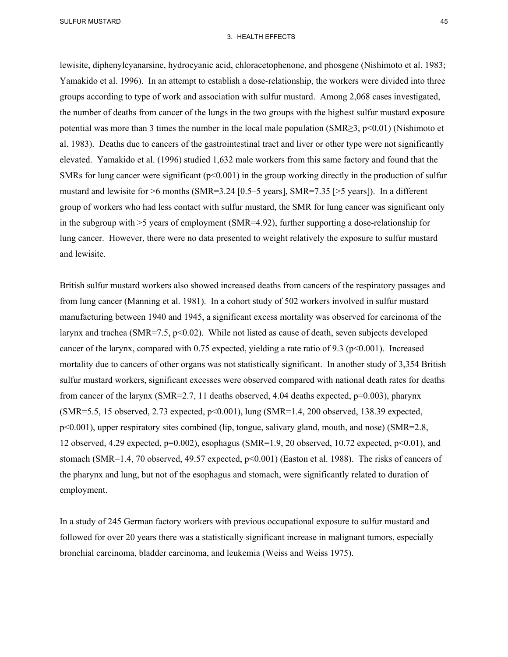### 3. HEALTH EFFECTS

lewisite, diphenylcyanarsine, hydrocyanic acid, chloracetophenone, and phosgene (Nishimoto et al. 1983; Yamakido et al. 1996). In an attempt to establish a dose-relationship, the workers were divided into three groups according to type of work and association with sulfur mustard. Among 2,068 cases investigated, the number of deaths from cancer of the lungs in the two groups with the highest sulfur mustard exposure potential was more than 3 times the number in the local male population (SMR≥3, p<0.01) (Nishimoto et al. 1983). Deaths due to cancers of the gastrointestinal tract and liver or other type were not significantly elevated. Yamakido et al. (1996) studied 1,632 male workers from this same factory and found that the SMRs for lung cancer were significant  $(p<0.001)$  in the group working directly in the production of sulfur mustard and lewisite for >6 months (SMR=3.24 [0.5–5 years], SMR=7.35 [>5 years]). In a different group of workers who had less contact with sulfur mustard, the SMR for lung cancer was significant only in the subgroup with >5 years of employment (SMR=4.92), further supporting a dose-relationship for lung cancer. However, there were no data presented to weight relatively the exposure to sulfur mustard and lewisite.

British sulfur mustard workers also showed increased deaths from cancers of the respiratory passages and from lung cancer (Manning et al. 1981). In a cohort study of 502 workers involved in sulfur mustard manufacturing between 1940 and 1945, a significant excess mortality was observed for carcinoma of the larynx and trachea (SMR=7.5,  $p<0.02$ ). While not listed as cause of death, seven subjects developed cancer of the larynx, compared with  $0.75$  expected, yielding a rate ratio of 9.3 (p<0.001). Increased mortality due to cancers of other organs was not statistically significant. In another study of 3,354 British sulfur mustard workers, significant excesses were observed compared with national death rates for deaths from cancer of the larynx (SMR=2.7, 11 deaths observed, 4.04 deaths expected,  $p=0.003$ ), pharynx (SMR=5.5, 15 observed, 2.73 expected, p<0.001), lung (SMR=1.4, 200 observed, 138.39 expected, p<0.001), upper respiratory sites combined (lip, tongue, salivary gland, mouth, and nose) (SMR=2.8, 12 observed, 4.29 expected,  $p=0.002$ ), esophagus (SMR=1.9, 20 observed, 10.72 expected,  $p<0.01$ ), and stomach (SMR=1.4, 70 observed, 49.57 expected,  $p<0.001$ ) (Easton et al. 1988). The risks of cancers of the pharynx and lung, but not of the esophagus and stomach, were significantly related to duration of employment.

 bronchial carcinoma, bladder carcinoma, and leukemia (Weiss and Weiss 1975). In a study of 245 German factory workers with previous occupational exposure to sulfur mustard and followed for over 20 years there was a statistically significant increase in malignant tumors, especially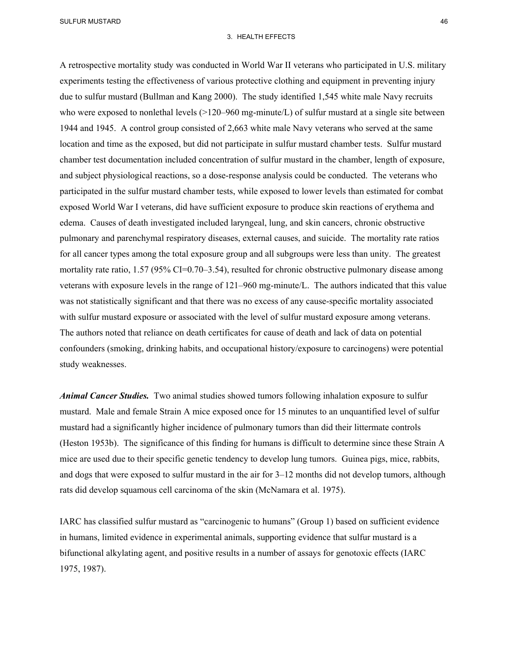### 3. HEALTH EFFECTS

A retrospective mortality study was conducted in World War II veterans who participated in U.S. military experiments testing the effectiveness of various protective clothing and equipment in preventing injury due to sulfur mustard (Bullman and Kang 2000). The study identified 1,545 white male Navy recruits who were exposed to nonlethal levels ( $>120-960$  mg-minute/L) of sulfur mustard at a single site between 1944 and 1945. A control group consisted of 2,663 white male Navy veterans who served at the same location and time as the exposed, but did not participate in sulfur mustard chamber tests. Sulfur mustard chamber test documentation included concentration of sulfur mustard in the chamber, length of exposure, and subject physiological reactions, so a dose-response analysis could be conducted. The veterans who participated in the sulfur mustard chamber tests, while exposed to lower levels than estimated for combat exposed World War I veterans, did have sufficient exposure to produce skin reactions of erythema and edema. Causes of death investigated included laryngeal, lung, and skin cancers, chronic obstructive pulmonary and parenchymal respiratory diseases, external causes, and suicide. The mortality rate ratios for all cancer types among the total exposure group and all subgroups were less than unity. The greatest mortality rate ratio, 1.57 (95% CI=0.70–3.54), resulted for chronic obstructive pulmonary disease among veterans with exposure levels in the range of 121–960 mg-minute/L. The authors indicated that this value was not statistically significant and that there was no excess of any cause-specific mortality associated with sulfur mustard exposure or associated with the level of sulfur mustard exposure among veterans. The authors noted that reliance on death certificates for cause of death and lack of data on potential confounders (smoking, drinking habits, and occupational history/exposure to carcinogens) were potential study weaknesses.

*Animal Cancer Studies.* Two animal studies showed tumors following inhalation exposure to sulfur mustard. Male and female Strain A mice exposed once for 15 minutes to an unquantified level of sulfur mustard had a significantly higher incidence of pulmonary tumors than did their littermate controls (Heston 1953b). The significance of this finding for humans is difficult to determine since these Strain A mice are used due to their specific genetic tendency to develop lung tumors. Guinea pigs, mice, rabbits, and dogs that were exposed to sulfur mustard in the air for 3–12 months did not develop tumors, although rats did develop squamous cell carcinoma of the skin (McNamara et al. 1975).

IARC has classified sulfur mustard as "carcinogenic to humans" (Group 1) based on sufficient evidence in humans, limited evidence in experimental animals, supporting evidence that sulfur mustard is a bifunctional alkylating agent, and positive results in a number of assays for genotoxic effects (IARC 1975, 1987).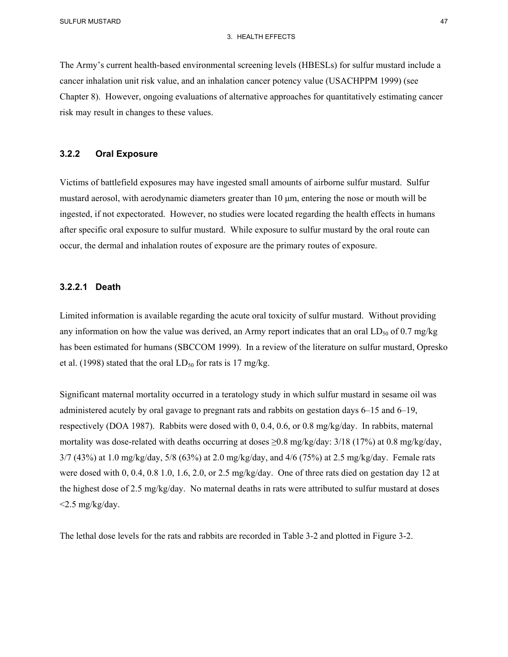The Army's current health-based environmental screening levels (HBESLs) for sulfur mustard include a cancer inhalation unit risk value, and an inhalation cancer potency value (USACHPPM 1999) (see Chapter 8). However, ongoing evaluations of alternative approaches for quantitatively estimating cancer risk may result in changes to these values.

# **3.2.2 Oral Exposure**

Victims of battlefield exposures may have ingested small amounts of airborne sulfur mustard. Sulfur mustard aerosol, with aerodynamic diameters greater than 10 µm, entering the nose or mouth will be ingested, if not expectorated. However, no studies were located regarding the health effects in humans after specific oral exposure to sulfur mustard. While exposure to sulfur mustard by the oral route can occur, the dermal and inhalation routes of exposure are the primary routes of exposure.

# **3.2.2.1 Death**

Limited information is available regarding the acute oral toxicity of sulfur mustard. Without providing any information on how the value was derived, an Army report indicates that an oral  $LD_{50}$  of 0.7 mg/kg has been estimated for humans (SBCCOM 1999). In a review of the literature on sulfur mustard, Opresko et al. (1998) stated that the oral  $LD_{50}$  for rats is 17 mg/kg.

 3/7 (43%) at 1.0 mg/kg/day, 5/8 (63%) at 2.0 mg/kg/day, and 4/6 (75%) at 2.5 mg/kg/day. Female rats  $<$ 2.5 mg/kg/day. Significant maternal mortality occurred in a teratology study in which sulfur mustard in sesame oil was administered acutely by oral gavage to pregnant rats and rabbits on gestation days 6–15 and 6–19, respectively (DOA 1987). Rabbits were dosed with 0, 0.4, 0.6, or 0.8 mg/kg/day. In rabbits, maternal mortality was dose-related with deaths occurring at doses  $\geq 0.8$  mg/kg/day: 3/18 (17%) at 0.8 mg/kg/day, were dosed with 0, 0.4, 0.8 1.0, 1.6, 2.0, or 2.5 mg/kg/day. One of three rats died on gestation day 12 at the highest dose of 2.5 mg/kg/day. No maternal deaths in rats were attributed to sulfur mustard at doses

The lethal dose levels for the rats and rabbits are recorded in Table 3-2 and plotted in Figure 3-2.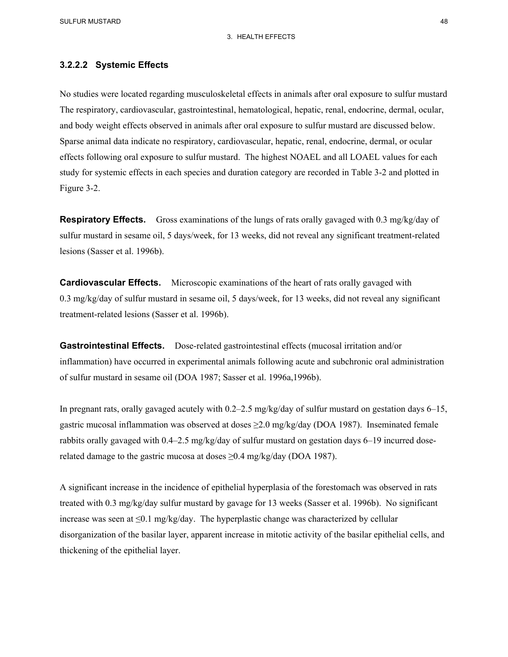# **3.2.2.2 Systemic Effects**

No studies were located regarding musculoskeletal effects in animals after oral exposure to sulfur mustard The respiratory, cardiovascular, gastrointestinal, hematological, hepatic, renal, endocrine, dermal, ocular, and body weight effects observed in animals after oral exposure to sulfur mustard are discussed below. Sparse animal data indicate no respiratory, cardiovascular, hepatic, renal, endocrine, dermal, or ocular effects following oral exposure to sulfur mustard. The highest NOAEL and all LOAEL values for each study for systemic effects in each species and duration category are recorded in Table 3-2 and plotted in Figure 3-2.

**Respiratory Effects.** Gross examinations of the lungs of rats orally gavaged with 0.3 mg/kg/day of sulfur mustard in sesame oil, 5 days/week, for 13 weeks, did not reveal any significant treatment-related lesions (Sasser et al. 1996b).

**Cardiovascular Effects.** Microscopic examinations of the heart of rats orally gavaged with 0.3 mg/kg/day of sulfur mustard in sesame oil, 5 days/week, for 13 weeks, did not reveal any significant treatment-related lesions (Sasser et al. 1996b).

**Gastrointestinal Effects.** Dose-related gastrointestinal effects (mucosal irritation and/or inflammation) have occurred in experimental animals following acute and subchronic oral administration of sulfur mustard in sesame oil (DOA 1987; Sasser et al. 1996a,1996b).

In pregnant rats, orally gavaged acutely with 0.2–2.5 mg/kg/day of sulfur mustard on gestation days 6–15, gastric mucosal inflammation was observed at doses  $\geq$  2.0 mg/kg/day (DOA 1987). Inseminated female rabbits orally gavaged with 0.4–2.5 mg/kg/day of sulfur mustard on gestation days 6–19 incurred doserelated damage to the gastric mucosa at doses ≥0.4 mg/kg/day (DOA 1987).

 increase was seen at ≤0.1 mg/kg/day. The hyperplastic change was characterized by cellular A significant increase in the incidence of epithelial hyperplasia of the forestomach was observed in rats treated with 0.3 mg/kg/day sulfur mustard by gavage for 13 weeks (Sasser et al. 1996b). No significant disorganization of the basilar layer, apparent increase in mitotic activity of the basilar epithelial cells, and thickening of the epithelial layer.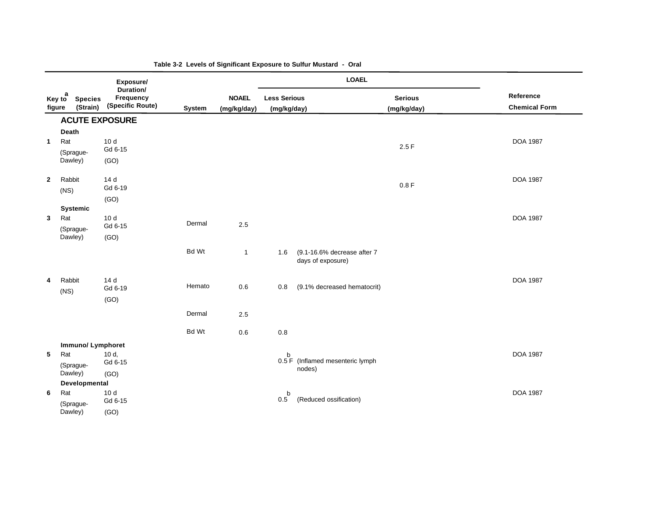|                       |                            | Exposure/<br>Duration/<br>Frequency<br>(Specific Route) |               |                             |                                                 |                               |                                   |
|-----------------------|----------------------------|---------------------------------------------------------|---------------|-----------------------------|-------------------------------------------------|-------------------------------|-----------------------------------|
| a<br>Key to<br>figure | <b>Species</b><br>(Strain) |                                                         | <b>System</b> | <b>NOAEL</b><br>(mg/kg/day) | <b>Less Serious</b><br>(mg/kg/day)              | <b>Serious</b><br>(mg/kg/day) | Reference<br><b>Chemical Form</b> |
|                       | <b>ACUTE EXPOSURE</b>      |                                                         |               |                             |                                                 |                               |                                   |
|                       | <b>Death</b>               |                                                         |               |                             |                                                 |                               |                                   |
| $\mathbf{1}$          | Rat                        | 10d<br>Gd 6-15                                          |               |                             |                                                 | 2.5F                          | <b>DOA 1987</b>                   |
|                       | (Sprague-<br>Dawley)       | (GO)                                                    |               |                             |                                                 |                               |                                   |
|                       |                            |                                                         |               |                             |                                                 |                               |                                   |
| $\overline{2}$        | Rabbit                     | 14 <sub>d</sub>                                         |               |                             |                                                 | 0.8F                          | <b>DOA 1987</b>                   |
|                       | (NS)                       | Gd 6-19                                                 |               |                             |                                                 |                               |                                   |
|                       | Systemic                   | (GO)                                                    |               |                             |                                                 |                               |                                   |
| 3                     | Rat                        | 10 <sub>d</sub>                                         |               |                             |                                                 |                               | <b>DOA 1987</b>                   |
|                       | (Sprague-                  | Gd 6-15                                                 | Dermal        | 2.5                         |                                                 |                               |                                   |
|                       | Dawley)                    | (GO)                                                    |               |                             |                                                 |                               |                                   |
|                       |                            |                                                         | <b>Bd Wt</b>  | $\mathbf{1}$                | 1.6<br>days of exposure)                        | (9.1-16.6% decrease after 7   |                                   |
|                       |                            |                                                         |               |                             |                                                 |                               |                                   |
| 4                     | Rabbit                     | 14 <sub>d</sub>                                         | Hemato        |                             |                                                 |                               | <b>DOA 1987</b>                   |
|                       | (NS)                       | Gd 6-19                                                 |               | 0.6                         | 0.8                                             | (9.1% decreased hematocrit)   |                                   |
|                       |                            | (GO)                                                    |               |                             |                                                 |                               |                                   |
|                       |                            |                                                         | Dermal        | 2.5                         |                                                 |                               |                                   |
|                       |                            |                                                         | <b>Bd Wt</b>  | 0.6                         | $0.8\,$                                         |                               |                                   |
|                       | <b>Immuno/ Lymphoret</b>   |                                                         |               |                             |                                                 |                               |                                   |
| 5                     | Rat                        | $10d$ ,<br>Gd 6-15                                      |               |                             | $\mathbf b$<br>0.5 F (Inflamed mesenteric lymph |                               | <b>DOA 1987</b>                   |
|                       | (Sprague-<br>Dawley)       | (GO)                                                    |               |                             | nodes)                                          |                               |                                   |
|                       | Developmental              |                                                         |               |                             |                                                 |                               |                                   |
| 6                     | Rat                        | 10 <sub>d</sub>                                         |               |                             | b                                               |                               | <b>DOA 1987</b>                   |
|                       | (Sprague-                  | Gd 6-15                                                 |               |                             | 0.5<br>(Reduced ossification)                   |                               |                                   |
|                       | Dawley)                    | (GO)                                                    |               |                             |                                                 |                               |                                   |

**Table 3-2 Levels of Significant Exposure to Sulfur Mustard - Oral**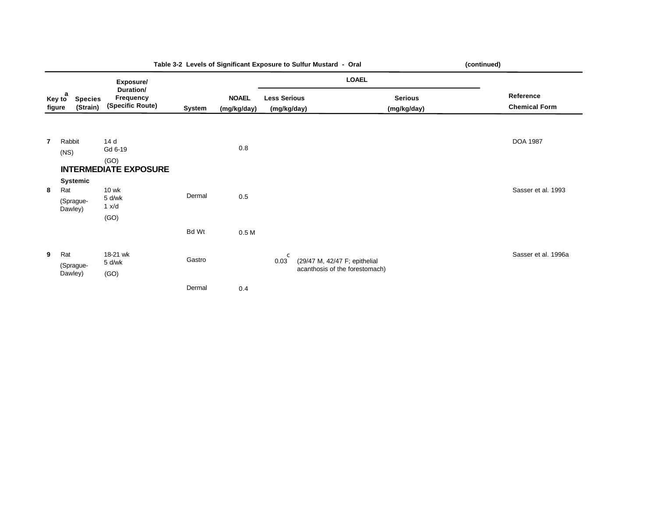|                       |                                         |                                            |              |                             | Table 3-2 Levels of Significant Exposure to Sulfur Mustard - Oral |                                                                 | (continued)                       |
|-----------------------|-----------------------------------------|--------------------------------------------|--------------|-----------------------------|-------------------------------------------------------------------|-----------------------------------------------------------------|-----------------------------------|
|                       |                                         | Exposure/                                  | System       | <b>NOAEL</b><br>(mg/kg/day) |                                                                   | <b>LOAEL</b>                                                    |                                   |
| a<br>Key to<br>figure | <b>Species</b><br>(Strain)              | Duration/<br>Frequency<br>(Specific Route) |              |                             | <b>Less Serious</b><br>(mg/kg/day)                                | <b>Serious</b><br>(mg/kg/day)                                   | Reference<br><b>Chemical Form</b> |
| $\overline{7}$        | Rabbit<br>(NS)                          | 14 d<br>Gd 6-19                            |              | 0.8                         |                                                                   |                                                                 | DOA 1987                          |
|                       |                                         | (GO)<br><b>INTERMEDIATE EXPOSURE</b>       |              |                             |                                                                   |                                                                 |                                   |
| 8                     | Systemic<br>Rat<br>(Sprague-<br>Dawley) | 10 wk<br>5 d/wk<br>1 x/d<br>(GO)           | Dermal       | 0.5                         |                                                                   |                                                                 | Sasser et al. 1993                |
|                       |                                         |                                            | <b>Bd Wt</b> | 0.5 <sub>M</sub>            |                                                                   |                                                                 |                                   |
| 9                     | Rat<br>(Sprague-<br>Dawley)             | 18-21 wk<br>5 d/wk<br>(GO)                 | Gastro       |                             | С<br>0.03                                                         | (29/47 M, 42/47 F; epithelial<br>acanthosis of the forestomach) | Sasser et al. 1996a               |
|                       |                                         |                                            | Dermal       | 0.4                         |                                                                   |                                                                 |                                   |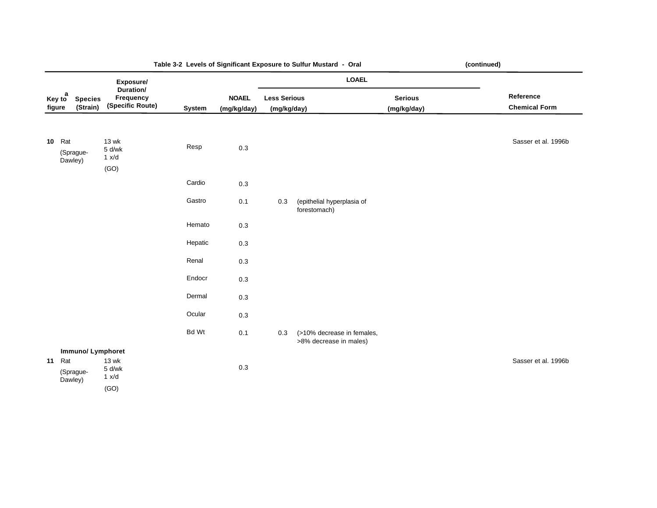|        |                                |                            |                                            |               |                             |                                    | Table 3-2 Levels of Significant Exposure to Sulfur Mustard - Oral |                               | (continued) |                                   |
|--------|--------------------------------|----------------------------|--------------------------------------------|---------------|-----------------------------|------------------------------------|-------------------------------------------------------------------|-------------------------------|-------------|-----------------------------------|
|        |                                |                            | Exposure/                                  |               |                             |                                    | <b>LOAEL</b>                                                      |                               |             |                                   |
| figure | a<br>Key to                    | <b>Species</b><br>(Strain) | Duration/<br>Frequency<br>(Specific Route) | <b>System</b> | <b>NOAEL</b><br>(mg/kg/day) | <b>Less Serious</b><br>(mg/kg/day) |                                                                   | <b>Serious</b><br>(mg/kg/day) |             | Reference<br><b>Chemical Form</b> |
|        | 10 Rat<br>(Sprague-<br>Dawley) |                            | <b>13 wk</b><br>5 d/wk<br>1 x/d<br>(GO)    | Resp          | 0.3                         |                                    |                                                                   |                               |             | Sasser et al. 1996b               |
|        |                                |                            |                                            | Cardio        | 0.3                         |                                    |                                                                   |                               |             |                                   |
|        |                                |                            |                                            | Gastro        | 0.1                         | 0.3                                | (epithelial hyperplasia of<br>forestomach)                        |                               |             |                                   |
|        |                                |                            |                                            | Hemato        | 0.3                         |                                    |                                                                   |                               |             |                                   |
|        |                                |                            |                                            | Hepatic       | 0.3                         |                                    |                                                                   |                               |             |                                   |
|        |                                |                            |                                            | Renal         | 0.3                         |                                    |                                                                   |                               |             |                                   |
|        |                                |                            |                                            | Endocr        | $0.3\,$                     |                                    |                                                                   |                               |             |                                   |
|        |                                |                            |                                            | Dermal        | $0.3\,$                     |                                    |                                                                   |                               |             |                                   |
|        |                                |                            |                                            | Ocular        | $0.3\,$                     |                                    |                                                                   |                               |             |                                   |
|        |                                |                            |                                            | <b>Bd Wt</b>  | 0.1                         | 0.3                                | (>10% decrease in females,<br>>8% decrease in males)              |                               |             |                                   |
| 11     | Rat<br>(Sprague-<br>Dawley)    | Immuno/ Lymphoret          | <b>13 wk</b><br>5 d/wk<br>1 x/d<br>(GO)    |               | $0.3\,$                     |                                    |                                                                   |                               |             | Sasser et al. 1996b               |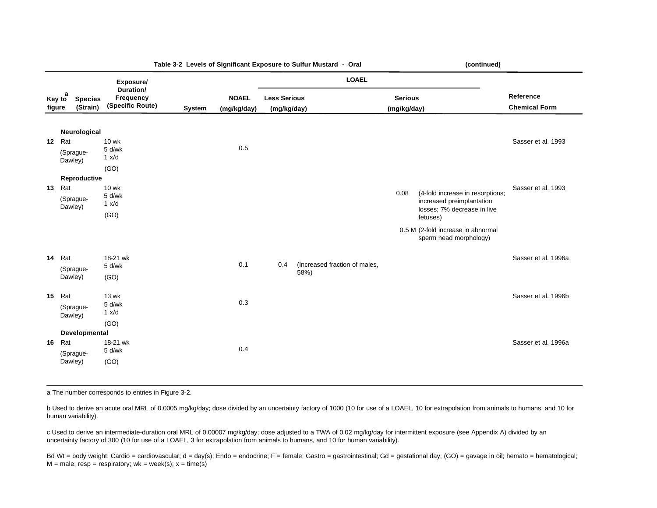|         | Table 3-2 Levels of Significant Exposure to Sulfur Mustard - Oral |                                            |               |                             |                                    |                               |                               | (continued)                                                                                  |                                   |
|---------|-------------------------------------------------------------------|--------------------------------------------|---------------|-----------------------------|------------------------------------|-------------------------------|-------------------------------|----------------------------------------------------------------------------------------------|-----------------------------------|
|         |                                                                   | Exposure/                                  |               |                             |                                    | <b>LOAEL</b>                  |                               |                                                                                              |                                   |
| figure  | a<br>Key to<br><b>Species</b><br>(Strain)                         | Duration/<br>Frequency<br>(Specific Route) | <b>System</b> | <b>NOAEL</b><br>(mg/kg/day) | <b>Less Serious</b><br>(mg/kg/day) |                               | <b>Serious</b><br>(mg/kg/day) |                                                                                              | Reference<br><b>Chemical Form</b> |
|         | Neurological                                                      |                                            |               |                             |                                    |                               |                               |                                                                                              |                                   |
| $12 \,$ | Rat                                                               | <b>10 wk</b>                               |               |                             |                                    |                               |                               |                                                                                              | Sasser et al. 1993                |
|         | (Sprague-<br>Dawley)                                              | 5 d/wk<br>1 x/d                            |               | 0.5                         |                                    |                               |                               |                                                                                              |                                   |
|         |                                                                   | (GO)                                       |               |                             |                                    |                               |                               |                                                                                              |                                   |
|         | Reproductive                                                      |                                            |               |                             |                                    |                               |                               |                                                                                              |                                   |
| 13      | Rat                                                               | <b>10 wk</b>                               |               |                             |                                    |                               |                               |                                                                                              | Sasser et al. 1993                |
|         | (Sprague-<br>Dawley)                                              | 5 d/wk<br>1 x/d                            |               |                             |                                    |                               | 0.08                          | (4-fold increase in resorptions;<br>increased preimplantation<br>losses; 7% decrease in live |                                   |
|         |                                                                   | (GO)                                       |               |                             |                                    |                               |                               | fetuses)                                                                                     |                                   |
|         |                                                                   |                                            |               |                             |                                    |                               |                               | 0.5 M (2-fold increase in abnormal<br>sperm head morphology)                                 |                                   |
| 14      | Rat                                                               | 18-21 wk                                   |               |                             |                                    |                               |                               |                                                                                              | Sasser et al. 1996a               |
|         | (Sprague-                                                         | 5 d/wk                                     |               | 0.1                         | 0.4                                | (Increased fraction of males, |                               |                                                                                              |                                   |
|         | Dawley)                                                           | (GO)                                       |               |                             |                                    | 58%)                          |                               |                                                                                              |                                   |
| 15      | Rat                                                               | <b>13 wk</b>                               |               |                             |                                    |                               |                               |                                                                                              | Sasser et al. 1996b               |
|         | (Sprague-<br>Dawley)                                              | 5 d/wk<br>1 x/d                            |               | 0.3                         |                                    |                               |                               |                                                                                              |                                   |
|         |                                                                   | (GO)                                       |               |                             |                                    |                               |                               |                                                                                              |                                   |
|         | Developmental                                                     |                                            |               |                             |                                    |                               |                               |                                                                                              |                                   |
| 16      | Rat                                                               | 18-21 wk                                   |               |                             |                                    |                               |                               |                                                                                              | Sasser et al. 1996a               |
|         | (Sprague-                                                         | 5 d/wk                                     |               | 0.4                         |                                    |                               |                               |                                                                                              |                                   |
|         | Dawley)                                                           | (GO)                                       |               |                             |                                    |                               |                               |                                                                                              |                                   |

a The number corresponds to entries in Figure 3-2.

b Used to derive an acute oral MRL of 0.0005 mg/kg/day; dose divided by an uncertainty factory of 1000 (10 for use of a LOAEL, 10 for extrapolation from animals to humans, and 10 for human variability).

c Used to derive an intermediate-duration oral MRL of 0.00007 mg/kg/day; dose adjusted to a TWA of 0.02 mg/kg/day for intermittent exposure (see Appendix A) divided by an uncertainty factory of 300 (10 for use of a LOAEL, 3 for extrapolation from animals to humans, and 10 for human variability).

Bd Wt = body weight; Cardio = cardiovascular; d = day(s); Endo = endocrine; F = female; Gastro = gastrointestinal; Gd = gestational day; (GO) = gavage in oil; hemato = hematological;  $M = male$ ; resp = respiratory; wk = week(s);  $x = time(s)$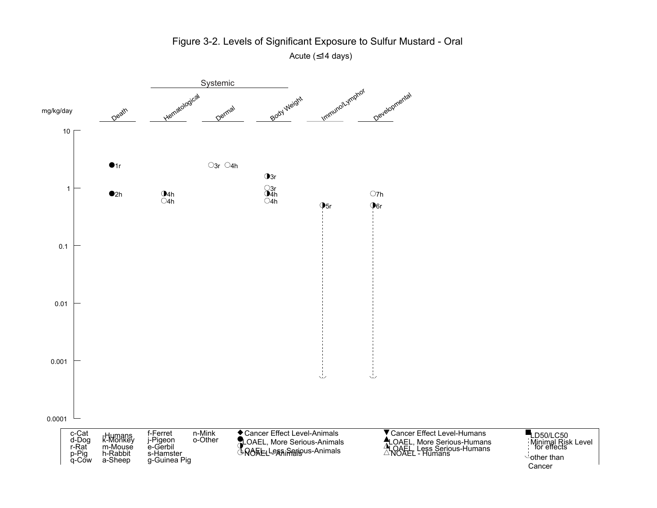

# Figure 3-2. Levels of Significant Exposure to Sulfur Mustard - Oral

Acute (≤14 days)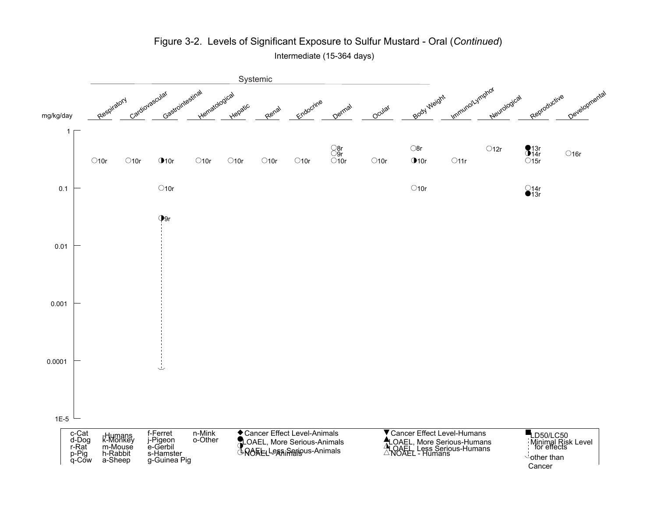

Figure 3-2. Levels of Significant Exposure to Sulfur Mustard - Oral (*Continued*)

Intermediate (15-364 days)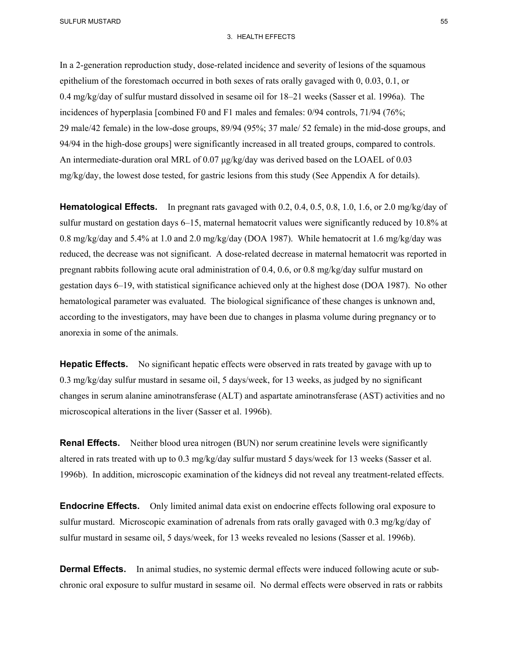### 3. HEALTH EFFECTS

In a 2-generation reproduction study, dose-related incidence and severity of lesions of the squamous epithelium of the forestomach occurred in both sexes of rats orally gavaged with 0, 0.03, 0.1, or 0.4 mg/kg/day of sulfur mustard dissolved in sesame oil for 18–21 weeks (Sasser et al. 1996a). The incidences of hyperplasia [combined F0 and F1 males and females: 0/94 controls, 71/94 (76%; 29 male/42 female) in the low-dose groups, 89/94 (95%; 37 male/ 52 female) in the mid-dose groups, and 94/94 in the high-dose groups] were significantly increased in all treated groups, compared to controls. An intermediate-duration oral MRL of 0.07  $\mu$ g/kg/day was derived based on the LOAEL of 0.03 mg/kg/day, the lowest dose tested, for gastric lesions from this study (See Appendix A for details).

 0.8 mg/kg/day and 5.4% at 1.0 and 2.0 mg/kg/day (DOA 1987). While hematocrit at 1.6 mg/kg/day was **Hematological Effects.** In pregnant rats gavaged with 0.2, 0.4, 0.5, 0.8, 1.0, 1.6, or 2.0 mg/kg/day of sulfur mustard on gestation days 6–15, maternal hematocrit values were significantly reduced by 10.8% at reduced, the decrease was not significant. A dose-related decrease in maternal hematocrit was reported in pregnant rabbits following acute oral administration of 0.4, 0.6, or 0.8 mg/kg/day sulfur mustard on gestation days 6–19, with statistical significance achieved only at the highest dose (DOA 1987). No other hematological parameter was evaluated. The biological significance of these changes is unknown and, according to the investigators, may have been due to changes in plasma volume during pregnancy or to anorexia in some of the animals.

**Hepatic Effects.** No significant hepatic effects were observed in rats treated by gavage with up to 0.3 mg/kg/day sulfur mustard in sesame oil, 5 days/week, for 13 weeks, as judged by no significant changes in serum alanine aminotransferase (ALT) and aspartate aminotransferase (AST) activities and no microscopical alterations in the liver (Sasser et al. 1996b).

**Renal Effects.** Neither blood urea nitrogen (BUN) nor serum creatinine levels were significantly altered in rats treated with up to 0.3 mg/kg/day sulfur mustard 5 days/week for 13 weeks (Sasser et al. 1996b). In addition, microscopic examination of the kidneys did not reveal any treatment-related effects.

**Endocrine Effects.** Only limited animal data exist on endocrine effects following oral exposure to sulfur mustard. Microscopic examination of adrenals from rats orally gavaged with 0.3 mg/kg/day of sulfur mustard in sesame oil, 5 days/week, for 13 weeks revealed no lesions (Sasser et al. 1996b).

**Dermal Effects.** In animal studies, no systemic dermal effects were induced following acute or subchronic oral exposure to sulfur mustard in sesame oil. No dermal effects were observed in rats or rabbits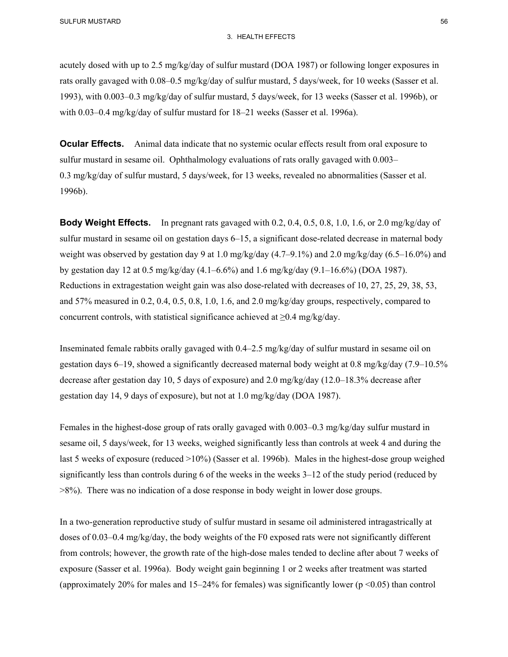### 3. HEALTH EFFECTS

 with 0.03–0.4 mg/kg/day of sulfur mustard for 18–21 weeks (Sasser et al. 1996a). acutely dosed with up to 2.5 mg/kg/day of sulfur mustard (DOA 1987) or following longer exposures in rats orally gavaged with 0.08–0.5 mg/kg/day of sulfur mustard, 5 days/week, for 10 weeks (Sasser et al. 1993), with 0.003–0.3 mg/kg/day of sulfur mustard, 5 days/week, for 13 weeks (Sasser et al. 1996b), or

**Ocular Effects.** Animal data indicate that no systemic ocular effects result from oral exposure to sulfur mustard in sesame oil. Ophthalmology evaluations of rats orally gavaged with 0.003– 0.3 mg/kg/day of sulfur mustard, 5 days/week, for 13 weeks, revealed no abnormalities (Sasser et al. 1996b).

 and 57% measured in 0.2, 0.4, 0.5, 0.8, 1.0, 1.6, and 2.0 mg/kg/day groups, respectively, compared to **Body Weight Effects.** In pregnant rats gavaged with 0.2, 0.4, 0.5, 0.8, 1.0, 1.6, or 2.0 mg/kg/day of sulfur mustard in sesame oil on gestation days 6–15, a significant dose-related decrease in maternal body weight was observed by gestation day 9 at 1.0 mg/kg/day  $(4.7–9.1%)$  and 2.0 mg/kg/day  $(6.5–16.0%)$  and by gestation day 12 at 0.5 mg/kg/day (4.1–6.6%) and 1.6 mg/kg/day (9.1–16.6%) (DOA 1987). Reductions in extragestation weight gain was also dose-related with decreases of 10, 27, 25, 29, 38, 53, concurrent controls, with statistical significance achieved at  $\geq 0.4$  mg/kg/day.

Inseminated female rabbits orally gavaged with 0.4–2.5 mg/kg/day of sulfur mustard in sesame oil on gestation days 6–19, showed a significantly decreased maternal body weight at 0.8 mg/kg/day (7.9–10.5% decrease after gestation day 10, 5 days of exposure) and 2.0 mg/kg/day (12.0–18.3% decrease after gestation day 14, 9 days of exposure), but not at 1.0 mg/kg/day (DOA 1987).

Females in the highest-dose group of rats orally gavaged with 0.003–0.3 mg/kg/day sulfur mustard in sesame oil, 5 days/week, for 13 weeks, weighed significantly less than controls at week 4 and during the last 5 weeks of exposure (reduced >10%) (Sasser et al. 1996b). Males in the highest-dose group weighed significantly less than controls during 6 of the weeks in the weeks 3–12 of the study period (reduced by >8%). There was no indication of a dose response in body weight in lower dose groups.

In a two-generation reproductive study of sulfur mustard in sesame oil administered intragastrically at doses of 0.03–0.4 mg/kg/day, the body weights of the F0 exposed rats were not significantly different from controls; however, the growth rate of the high-dose males tended to decline after about 7 weeks of exposure (Sasser et al. 1996a). Body weight gain beginning 1 or 2 weeks after treatment was started (approximately 20% for males and 15–24% for females) was significantly lower ( $p \le 0.05$ ) than control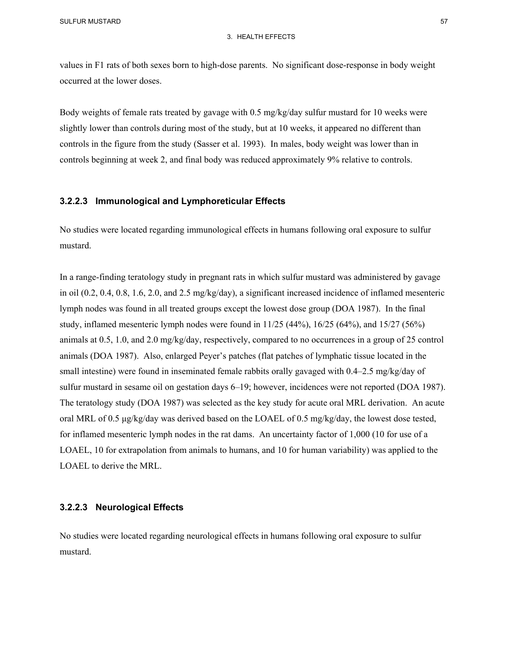values in F1 rats of both sexes born to high-dose parents. No significant dose-response in body weight occurred at the lower doses.

Body weights of female rats treated by gavage with 0.5 mg/kg/day sulfur mustard for 10 weeks were slightly lower than controls during most of the study, but at 10 weeks, it appeared no different than controls in the figure from the study (Sasser et al. 1993). In males, body weight was lower than in controls beginning at week 2, and final body was reduced approximately 9% relative to controls.

# **3.2.2.3 Immunological and Lymphoreticular Effects**

No studies were located regarding immunological effects in humans following oral exposure to sulfur mustard.

In a range-finding teratology study in pregnant rats in which sulfur mustard was administered by gavage in oil (0.2, 0.4, 0.8, 1.6, 2.0, and 2.5 mg/kg/day), a significant increased incidence of inflamed mesenteric lymph nodes was found in all treated groups except the lowest dose group (DOA 1987). In the final study, inflamed mesenteric lymph nodes were found in 11/25 (44%), 16/25 (64%), and 15/27 (56%) animals at 0.5, 1.0, and 2.0 mg/kg/day, respectively, compared to no occurrences in a group of 25 control animals (DOA 1987). Also, enlarged Peyer's patches (flat patches of lymphatic tissue located in the small intestine) were found in inseminated female rabbits orally gavaged with 0.4–2.5 mg/kg/day of sulfur mustard in sesame oil on gestation days 6–19; however, incidences were not reported (DOA 1987). The teratology study (DOA 1987) was selected as the key study for acute oral MRL derivation. An acute oral MRL of 0.5 µg/kg/day was derived based on the LOAEL of 0.5 mg/kg/day, the lowest dose tested, for inflamed mesenteric lymph nodes in the rat dams. An uncertainty factor of 1,000 (10 for use of a LOAEL, 10 for extrapolation from animals to humans, and 10 for human variability) was applied to the LOAEL to derive the MRL.

### **3.2.2.3 Neurological Effects**

No studies were located regarding neurological effects in humans following oral exposure to sulfur mustard.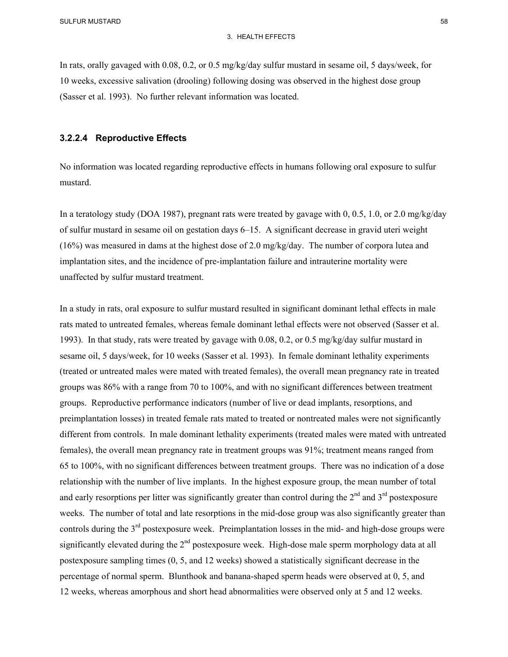In rats, orally gavaged with 0.08, 0.2, or 0.5 mg/kg/day sulfur mustard in sesame oil, 5 days/week, for 10 weeks, excessive salivation (drooling) following dosing was observed in the highest dose group (Sasser et al. 1993). No further relevant information was located.

## **3.2.2.4 Reproductive Effects**

No information was located regarding reproductive effects in humans following oral exposure to sulfur mustard.

In a teratology study (DOA 1987), pregnant rats were treated by gavage with 0, 0.5, 1.0, or 2.0 mg/kg/day of sulfur mustard in sesame oil on gestation days 6–15. A significant decrease in gravid uteri weight (16%) was measured in dams at the highest dose of 2.0 mg/kg/day. The number of corpora lutea and implantation sites, and the incidence of pre-implantation failure and intrauterine mortality were unaffected by sulfur mustard treatment.

significantly elevated during the  $2<sup>nd</sup>$  postexposure week. High-dose male sperm morphology data at all In a study in rats, oral exposure to sulfur mustard resulted in significant dominant lethal effects in male rats mated to untreated females, whereas female dominant lethal effects were not observed (Sasser et al. 1993). In that study, rats were treated by gavage with 0.08, 0.2, or 0.5 mg/kg/day sulfur mustard in sesame oil, 5 days/week, for 10 weeks (Sasser et al. 1993). In female dominant lethality experiments (treated or untreated males were mated with treated females), the overall mean pregnancy rate in treated groups was 86% with a range from 70 to 100%, and with no significant differences between treatment groups. Reproductive performance indicators (number of live or dead implants, resorptions, and preimplantation losses) in treated female rats mated to treated or nontreated males were not significantly different from controls. In male dominant lethality experiments (treated males were mated with untreated females), the overall mean pregnancy rate in treatment groups was 91%; treatment means ranged from 65 to 100%, with no significant differences between treatment groups. There was no indication of a dose relationship with the number of live implants. In the highest exposure group, the mean number of total and early resorptions per litter was significantly greater than control during the  $2<sup>nd</sup>$  and  $3<sup>rd</sup>$  postexposure weeks. The number of total and late resorptions in the mid-dose group was also significantly greater than controls during the  $3<sup>rd</sup>$  postexposure week. Preimplantation losses in the mid- and high-dose groups were postexposure sampling times (0, 5, and 12 weeks) showed a statistically significant decrease in the percentage of normal sperm. Blunthook and banana-shaped sperm heads were observed at 0, 5, and 12 weeks, whereas amorphous and short head abnormalities were observed only at 5 and 12 weeks.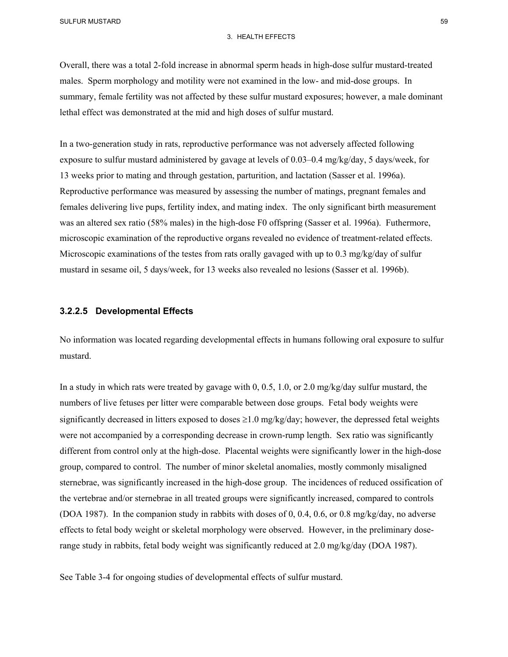Overall, there was a total 2-fold increase in abnormal sperm heads in high-dose sulfur mustard-treated males. Sperm morphology and motility were not examined in the low- and mid-dose groups. In summary, female fertility was not affected by these sulfur mustard exposures; however, a male dominant lethal effect was demonstrated at the mid and high doses of sulfur mustard.

In a two-generation study in rats, reproductive performance was not adversely affected following exposure to sulfur mustard administered by gavage at levels of 0.03–0.4 mg/kg/day, 5 days/week, for 13 weeks prior to mating and through gestation, parturition, and lactation (Sasser et al. 1996a). Reproductive performance was measured by assessing the number of matings, pregnant females and females delivering live pups, fertility index, and mating index. The only significant birth measurement was an altered sex ratio (58% males) in the high-dose F0 offspring (Sasser et al. 1996a). Futhermore, microscopic examination of the reproductive organs revealed no evidence of treatment-related effects. Microscopic examinations of the testes from rats orally gavaged with up to 0.3 mg/kg/day of sulfur mustard in sesame oil, 5 days/week, for 13 weeks also revealed no lesions (Sasser et al. 1996b).

### **3.2.2.5 Developmental Effects**

No information was located regarding developmental effects in humans following oral exposure to sulfur mustard.

In a study in which rats were treated by gavage with 0, 0.5, 1.0, or 2.0 mg/kg/day sulfur mustard, the numbers of live fetuses per litter were comparable between dose groups. Fetal body weights were significantly decreased in litters exposed to doses ≥1.0 mg/kg/day; however, the depressed fetal weights were not accompanied by a corresponding decrease in crown-rump length. Sex ratio was significantly different from control only at the high-dose. Placental weights were significantly lower in the high-dose group, compared to control. The number of minor skeletal anomalies, mostly commonly misaligned sternebrae, was significantly increased in the high-dose group. The incidences of reduced ossification of the vertebrae and/or sternebrae in all treated groups were significantly increased, compared to controls (DOA 1987). In the companion study in rabbits with doses of 0, 0.4, 0.6, or 0.8 mg/kg/day, no adverse effects to fetal body weight or skeletal morphology were observed. However, in the preliminary doserange study in rabbits, fetal body weight was significantly reduced at 2.0 mg/kg/day (DOA 1987).

See Table 3-4 for ongoing studies of developmental effects of sulfur mustard.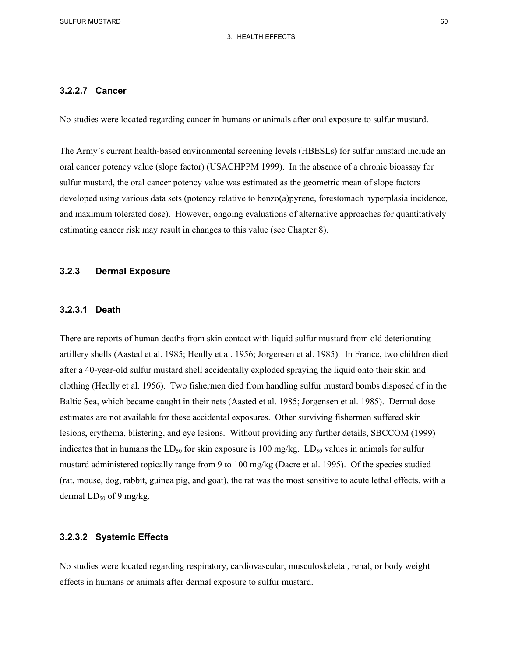### **3.2.2.7 Cancer**

No studies were located regarding cancer in humans or animals after oral exposure to sulfur mustard.

The Army's current health-based environmental screening levels (HBESLs) for sulfur mustard include an oral cancer potency value (slope factor) (USACHPPM 1999). In the absence of a chronic bioassay for sulfur mustard, the oral cancer potency value was estimated as the geometric mean of slope factors developed using various data sets (potency relative to benzo(a)pyrene, forestomach hyperplasia incidence, and maximum tolerated dose). However, ongoing evaluations of alternative approaches for quantitatively estimating cancer risk may result in changes to this value (see Chapter 8).

# **3.2.3 Dermal Exposure**

# **3.2.3.1 Death**

There are reports of human deaths from skin contact with liquid sulfur mustard from old deteriorating artillery shells (Aasted et al. 1985; Heully et al. 1956; Jorgensen et al. 1985). In France, two children died after a 40-year-old sulfur mustard shell accidentally exploded spraying the liquid onto their skin and clothing (Heully et al. 1956). Two fishermen died from handling sulfur mustard bombs disposed of in the Baltic Sea, which became caught in their nets (Aasted et al. 1985; Jorgensen et al. 1985). Dermal dose estimates are not available for these accidental exposures. Other surviving fishermen suffered skin lesions, erythema, blistering, and eye lesions. Without providing any further details, SBCCOM (1999) indicates that in humans the  $LD_{50}$  for skin exposure is 100 mg/kg.  $LD_{50}$  values in animals for sulfur mustard administered topically range from 9 to 100 mg/kg (Dacre et al. 1995). Of the species studied (rat, mouse, dog, rabbit, guinea pig, and goat), the rat was the most sensitive to acute lethal effects, with a dermal  $LD_{50}$  of 9 mg/kg.

### **3.2.3.2 Systemic Effects**

No studies were located regarding respiratory, cardiovascular, musculoskeletal, renal, or body weight effects in humans or animals after dermal exposure to sulfur mustard.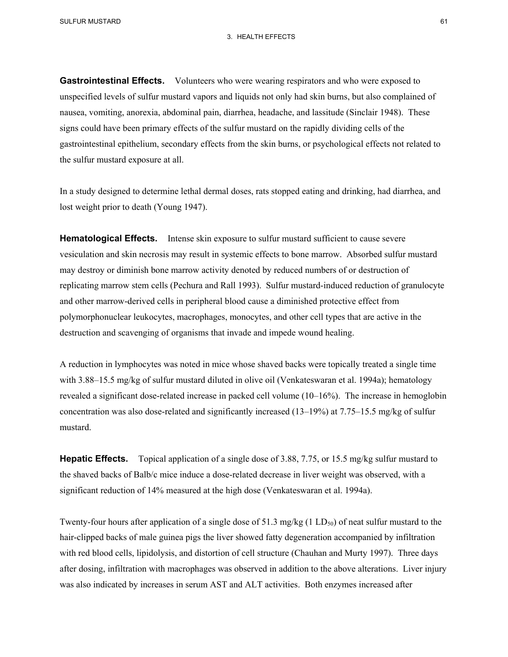Gastrointestinal Effects. Volunteers who were wearing respirators and who were exposed to unspecified levels of sulfur mustard vapors and liquids not only had skin burns, but also complained of nausea, vomiting, anorexia, abdominal pain, diarrhea, headache, and lassitude (Sinclair 1948). These signs could have been primary effects of the sulfur mustard on the rapidly dividing cells of the gastrointestinal epithelium, secondary effects from the skin burns, or psychological effects not related to the sulfur mustard exposure at all.

 lost weight prior to death (Young 1947). In a study designed to determine lethal dermal doses, rats stopped eating and drinking, had diarrhea, and

**Hematological Effects.** Intense skin exposure to sulfur mustard sufficient to cause severe vesiculation and skin necrosis may result in systemic effects to bone marrow. Absorbed sulfur mustard may destroy or diminish bone marrow activity denoted by reduced numbers of or destruction of replicating marrow stem cells (Pechura and Rall 1993). Sulfur mustard-induced reduction of granulocyte and other marrow-derived cells in peripheral blood cause a diminished protective effect from polymorphonuclear leukocytes, macrophages, monocytes, and other cell types that are active in the destruction and scavenging of organisms that invade and impede wound healing.

A reduction in lymphocytes was noted in mice whose shaved backs were topically treated a single time with 3.88–15.5 mg/kg of sulfur mustard diluted in olive oil (Venkateswaran et al. 1994a); hematology revealed a significant dose-related increase in packed cell volume (10–16%). The increase in hemoglobin concentration was also dose-related and significantly increased (13–19%) at 7.75–15.5 mg/kg of sulfur mustard.

**Hepatic Effects.** Topical application of a single dose of 3.88, 7.75, or 15.5 mg/kg sulfur mustard to the shaved backs of Balb/c mice induce a dose-related decrease in liver weight was observed, with a significant reduction of 14% measured at the high dose (Venkateswaran et al. 1994a).

Twenty-four hours after application of a single dose of 51.3 mg/kg (1 LD<sub>50</sub>) of neat sulfur mustard to the hair-clipped backs of male guinea pigs the liver showed fatty degeneration accompanied by infiltration with red blood cells, lipidolysis, and distortion of cell structure (Chauhan and Murty 1997). Three days after dosing, infiltration with macrophages was observed in addition to the above alterations. Liver injury was also indicated by increases in serum AST and ALT activities. Both enzymes increased after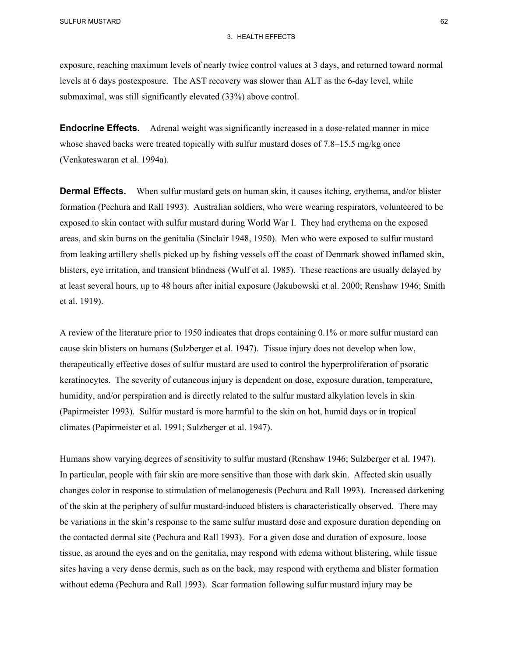submaximal, was still significantly elevated (33%) above control. exposure, reaching maximum levels of nearly twice control values at 3 days, and returned toward normal levels at 6 days postexposure. The AST recovery was slower than ALT as the 6-day level, while

**Endocrine Effects.** Adrenal weight was significantly increased in a dose-related manner in mice whose shaved backs were treated topically with sulfur mustard doses of 7.8–15.5 mg/kg once (Venkateswaran et al. 1994a).

et al. 1919). **Dermal Effects.** When sulfur mustard gets on human skin, it causes itching, erythema, and/or blister formation (Pechura and Rall 1993). Australian soldiers, who were wearing respirators, volunteered to be exposed to skin contact with sulfur mustard during World War I. They had erythema on the exposed areas, and skin burns on the genitalia (Sinclair 1948, 1950). Men who were exposed to sulfur mustard from leaking artillery shells picked up by fishing vessels off the coast of Denmark showed inflamed skin, blisters, eye irritation, and transient blindness (Wulf et al. 1985). These reactions are usually delayed by at least several hours, up to 48 hours after initial exposure (Jakubowski et al. 2000; Renshaw 1946; Smith

A review of the literature prior to 1950 indicates that drops containing  $0.1\%$  or more sulfur mustard can cause skin blisters on humans (Sulzberger et al. 1947). Tissue injury does not develop when low, therapeutically effective doses of sulfur mustard are used to control the hyperproliferation of psoratic keratinocytes. The severity of cutaneous injury is dependent on dose, exposure duration, temperature, humidity, and/or perspiration and is directly related to the sulfur mustard alkylation levels in skin (Papirmeister 1993). Sulfur mustard is more harmful to the skin on hot, humid days or in tropical climates (Papirmeister et al. 1991; Sulzberger et al. 1947).

 the contacted dermal site (Pechura and Rall 1993). For a given dose and duration of exposure, loose Humans show varying degrees of sensitivity to sulfur mustard (Renshaw 1946; Sulzberger et al. 1947). In particular, people with fair skin are more sensitive than those with dark skin. Affected skin usually changes color in response to stimulation of melanogenesis (Pechura and Rall 1993). Increased darkening of the skin at the periphery of sulfur mustard-induced blisters is characteristically observed. There may be variations in the skin's response to the same sulfur mustard dose and exposure duration depending on tissue, as around the eyes and on the genitalia, may respond with edema without blistering, while tissue sites having a very dense dermis, such as on the back, may respond with erythema and blister formation without edema (Pechura and Rall 1993). Scar formation following sulfur mustard injury may be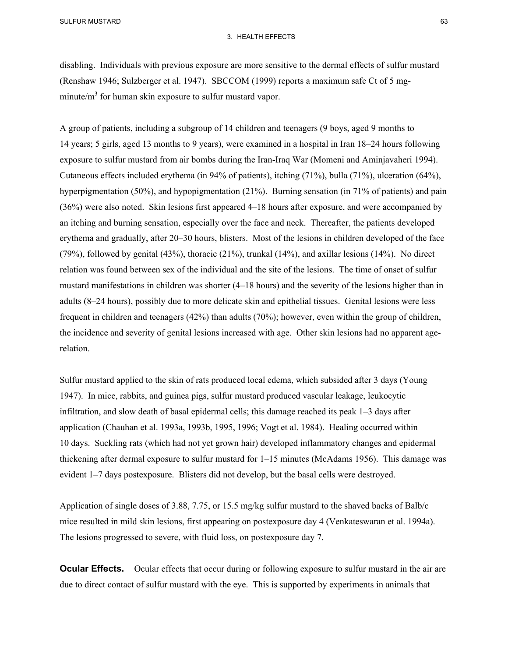### 3. HEALTH EFFECTS

disabling. Individuals with previous exposure are more sensitive to the dermal effects of sulfur mustard (Renshaw 1946; Sulzberger et al. 1947). SBCCOM (1999) reports a maximum safe Ct of 5 mgminute/m<sup>3</sup> for human skin exposure to sulfur mustard vapor.

A group of patients, including a subgroup of 14 children and teenagers (9 boys, aged 9 months to 14 years; 5 girls, aged 13 months to 9 years), were examined in a hospital in Iran 18–24 hours following exposure to sulfur mustard from air bombs during the Iran-Iraq War (Momeni and Aminjavaheri 1994). Cutaneous effects included erythema (in 94% of patients), itching (71%), bulla (71%), ulceration (64%), hyperpigmentation (50%), and hypopigmentation (21%). Burning sensation (in 71% of patients) and pain (36%) were also noted. Skin lesions first appeared 4–18 hours after exposure, and were accompanied by an itching and burning sensation, especially over the face and neck. Thereafter, the patients developed erythema and gradually, after 20–30 hours, blisters. Most of the lesions in children developed of the face (79%), followed by genital (43%), thoracic (21%), trunkal (14%), and axillar lesions (14%). No direct relation was found between sex of the individual and the site of the lesions. The time of onset of sulfur mustard manifestations in children was shorter (4–18 hours) and the severity of the lesions higher than in adults (8–24 hours), possibly due to more delicate skin and epithelial tissues. Genital lesions were less frequent in children and teenagers (42%) than adults (70%); however, even within the group of children, the incidence and severity of genital lesions increased with age. Other skin lesions had no apparent agerelation.

Sulfur mustard applied to the skin of rats produced local edema, which subsided after 3 days (Young 1947). In mice, rabbits, and guinea pigs, sulfur mustard produced vascular leakage, leukocytic infiltration, and slow death of basal epidermal cells; this damage reached its peak 1–3 days after application (Chauhan et al. 1993a, 1993b, 1995, 1996; Vogt et al. 1984). Healing occurred within 10 days. Suckling rats (which had not yet grown hair) developed inflammatory changes and epidermal thickening after dermal exposure to sulfur mustard for 1–15 minutes (McAdams 1956). This damage was evident 1–7 days postexposure. Blisters did not develop, but the basal cells were destroyed.

Application of single doses of 3.88, 7.75, or 15.5 mg/kg sulfur mustard to the shaved backs of Balb/c mice resulted in mild skin lesions, first appearing on postexposure day 4 (Venkateswaran et al. 1994a). The lesions progressed to severe, with fluid loss, on postexposure day 7.

**Ocular Effects.** Ocular effects that occur during or following exposure to sulfur mustard in the air are due to direct contact of sulfur mustard with the eye. This is supported by experiments in animals that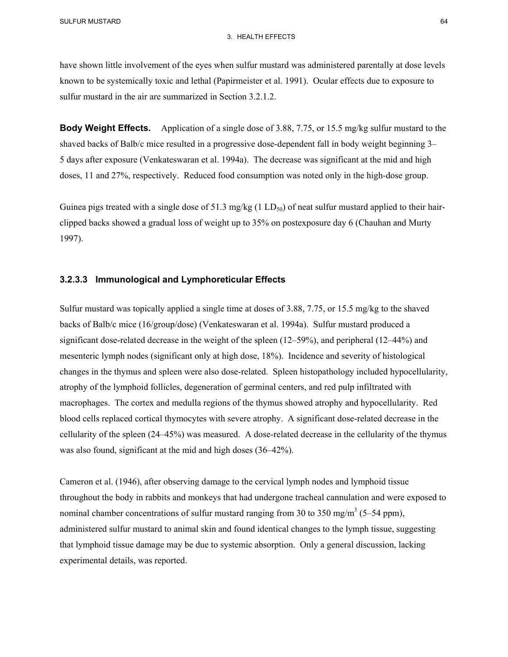have shown little involvement of the eyes when sulfur mustard was administered parentally at dose levels known to be systemically toxic and lethal (Papirmeister et al. 1991). Ocular effects due to exposure to sulfur mustard in the air are summarized in Section 3.2.1.2.

**Body Weight Effects.** Application of a single dose of 3.88, 7.75, or 15.5 mg/kg sulfur mustard to the shaved backs of Balb/c mice resulted in a progressive dose-dependent fall in body weight beginning 3– 5 days after exposure (Venkateswaran et al. 1994a). The decrease was significant at the mid and high doses, 11 and 27%, respectively. Reduced food consumption was noted only in the high-dose group.

Guinea pigs treated with a single dose of 51.3 mg/kg (1 LD<sub>50</sub>) of neat sulfur mustard applied to their hairclipped backs showed a gradual loss of weight up to 35% on postexposure day 6 (Chauhan and Murty 1997).

# **3.2.3.3 Immunological and Lymphoreticular Effects**

Sulfur mustard was topically applied a single time at doses of 3.88, 7.75, or 15.5 mg/kg to the shaved backs of Balb/c mice (16/group/dose) (Venkateswaran et al. 1994a). Sulfur mustard produced a significant dose-related decrease in the weight of the spleen (12–59%), and peripheral (12–44%) and mesenteric lymph nodes (significant only at high dose, 18%). Incidence and severity of histological changes in the thymus and spleen were also dose-related. Spleen histopathology included hypocellularity, atrophy of the lymphoid follicles, degeneration of germinal centers, and red pulp infiltrated with macrophages. The cortex and medulla regions of the thymus showed atrophy and hypocellularity. Red blood cells replaced cortical thymocytes with severe atrophy. A significant dose-related decrease in the cellularity of the spleen (24–45%) was measured. A dose-related decrease in the cellularity of the thymus was also found, significant at the mid and high doses (36–42%).

 that lymphoid tissue damage may be due to systemic absorption. Only a general discussion, lacking Cameron et al. (1946), after observing damage to the cervical lymph nodes and lymphoid tissue throughout the body in rabbits and monkeys that had undergone tracheal cannulation and were exposed to nominal chamber concentrations of sulfur mustard ranging from 30 to 350 mg/m<sup>3</sup> (5–54 ppm), administered sulfur mustard to animal skin and found identical changes to the lymph tissue, suggesting experimental details, was reported.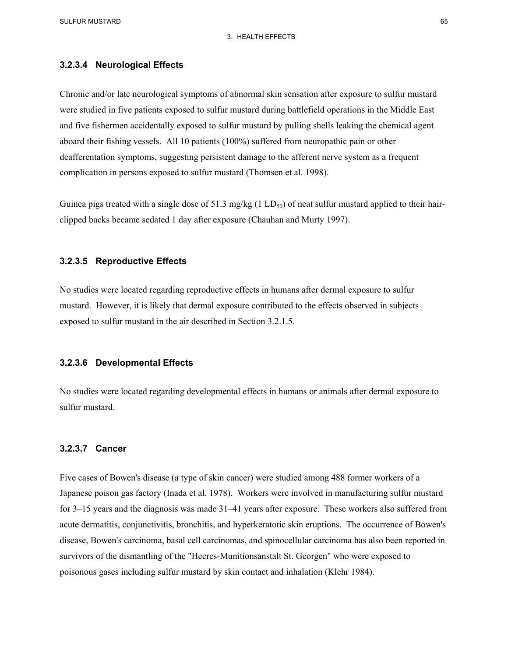### **3.2.3.4 Neurological Effects**

Chronic and/or late neurological symptoms of abnormal skin sensation after exposure to sulfur mustard were studied in five patients exposed to sulfur mustard during battlefield operations in the Middle East and five fishermen accidentally exposed to sulfur mustard by pulling shells leaking the chemical agent aboard their fishing vessels. All 10 patients (100%) suffered from neuropathic pain or other deafferentation symptoms, suggesting persistent damage to the afferent nerve system as a frequent complication in persons exposed to sulfur mustard (Thomsen et al. 1998).

Guinea pigs treated with a single dose of 51.3 mg/kg (1  $LD_{50}$ ) of neat sulfur mustard applied to their hairclipped backs became sedated 1 day after exposure (Chauhan and Murty 1997).

### **3.2.3.5 Reproductive Effects**

No studies were located regarding reproductive effects in humans after dermal exposure to sulfur mustard. However, it is likely that dermal exposure contributed to the effects observed in subjects exposed to sulfur mustard in the air described in Section 3.2.1.5.

### **3.2.3.6 Developmental Effects**

No studies were located regarding developmental effects in humans or animals after dermal exposure to sulfur mustard.

### **3.2.3.7 Cancer**

Five cases of Bowen's disease (a type of skin cancer) were studied among 488 former workers of a Japanese poison gas factory (Inada et al. 1978). Workers were involved in manufacturing sulfur mustard for 3–15 years and the diagnosis was made 31–41 years after exposure. These workers also suffered from acute dermatitis, conjunctivitis, bronchitis, and hyperkeratotic skin eruptions. The occurrence of Bowen's disease, Bowen's carcinoma, basal cell carcinomas, and spinocellular carcinoma has also been reported in survivors of the dismantling of the "Heeres-Munitionsanstalt St. Georgen" who were exposed to poisonous gases including sulfur mustard by skin contact and inhalation (Klehr 1984).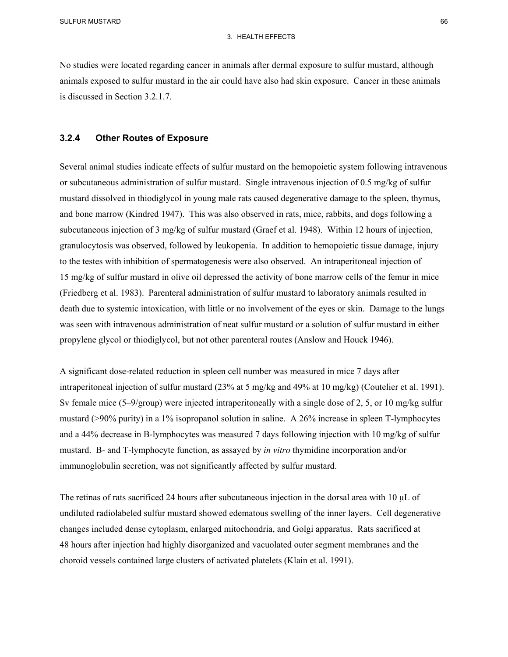No studies were located regarding cancer in animals after dermal exposure to sulfur mustard, although animals exposed to sulfur mustard in the air could have also had skin exposure. Cancer in these animals is discussed in Section 3.2.1.7.

### **3.2.4 Other Routes of Exposure**

Several animal studies indicate effects of sulfur mustard on the hemopoietic system following intravenous or subcutaneous administration of sulfur mustard. Single intravenous injection of 0.5 mg/kg of sulfur mustard dissolved in thiodiglycol in young male rats caused degenerative damage to the spleen, thymus, and bone marrow (Kindred 1947). This was also observed in rats, mice, rabbits, and dogs following a subcutaneous injection of 3 mg/kg of sulfur mustard (Graef et al. 1948). Within 12 hours of injection, granulocytosis was observed, followed by leukopenia. In addition to hemopoietic tissue damage, injury to the testes with inhibition of spermatogenesis were also observed. An intraperitoneal injection of 15 mg/kg of sulfur mustard in olive oil depressed the activity of bone marrow cells of the femur in mice (Friedberg et al. 1983). Parenteral administration of sulfur mustard to laboratory animals resulted in death due to systemic intoxication, with little or no involvement of the eyes or skin. Damage to the lungs was seen with intravenous administration of neat sulfur mustard or a solution of sulfur mustard in either propylene glycol or thiodiglycol, but not other parenteral routes (Anslow and Houck 1946).

intraperitoneal injection of sulfur mustard (23% at 5 mg/kg and 49% at 10 mg/kg) (Coutelier et al. 1991). A significant dose-related reduction in spleen cell number was measured in mice 7 days after Sv female mice  $(5-9/\text{group})$  were injected intraperitoneally with a single dose of 2, 5, or 10 mg/kg sulfur mustard (>90% purity) in a 1% isopropanol solution in saline. A 26% increase in spleen T-lymphocytes and a 44% decrease in B-lymphocytes was measured 7 days following injection with 10 mg/kg of sulfur mustard. B- and T-lymphocyte function, as assayed by *in vitro* thymidine incorporation and/or immunoglobulin secretion, was not significantly affected by sulfur mustard.

The retinas of rats sacrificed 24 hours after subcutaneous injection in the dorsal area with 10  $\mu$ L of undiluted radiolabeled sulfur mustard showed edematous swelling of the inner layers. Cell degenerative changes included dense cytoplasm, enlarged mitochondria, and Golgi apparatus. Rats sacrificed at 48 hours after injection had highly disorganized and vacuolated outer segment membranes and the choroid vessels contained large clusters of activated platelets (Klain et al. 1991).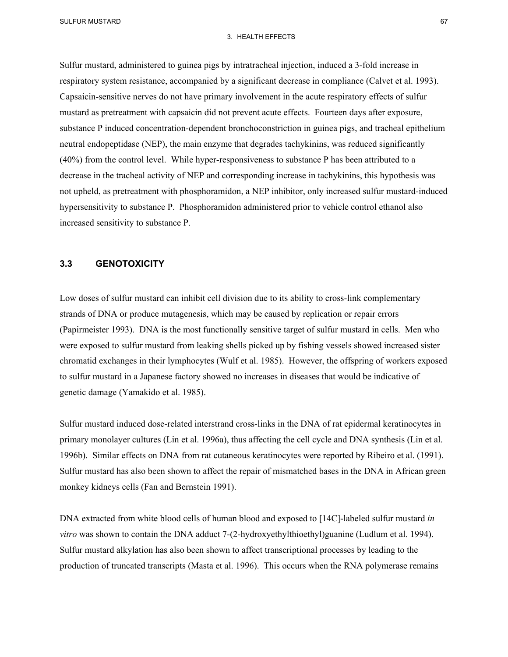### 3. HEALTH EFFECTS

Sulfur mustard, administered to guinea pigs by intratracheal injection, induced a 3-fold increase in respiratory system resistance, accompanied by a significant decrease in compliance (Calvet et al. 1993). Capsaicin-sensitive nerves do not have primary involvement in the acute respiratory effects of sulfur mustard as pretreatment with capsaicin did not prevent acute effects. Fourteen days after exposure, substance P induced concentration-dependent bronchoconstriction in guinea pigs, and tracheal epithelium neutral endopeptidase (NEP), the main enzyme that degrades tachykinins, was reduced significantly (40%) from the control level. While hyper-responsiveness to substance P has been attributed to a decrease in the tracheal activity of NEP and corresponding increase in tachykinins, this hypothesis was not upheld, as pretreatment with phosphoramidon, a NEP inhibitor, only increased sulfur mustard-induced hypersensitivity to substance P. Phosphoramidon administered prior to vehicle control ethanol also increased sensitivity to substance P.

# **3.3 GENOTOXICITY**

genetic damage (Yamakido et al. 1985). Low doses of sulfur mustard can inhibit cell division due to its ability to cross-link complementary strands of DNA or produce mutagenesis, which may be caused by replication or repair errors (Papirmeister 1993). DNA is the most functionally sensitive target of sulfur mustard in cells. Men who were exposed to sulfur mustard from leaking shells picked up by fishing vessels showed increased sister chromatid exchanges in their lymphocytes (Wulf et al. 1985). However, the offspring of workers exposed to sulfur mustard in a Japanese factory showed no increases in diseases that would be indicative of

Sulfur mustard induced dose-related interstrand cross-links in the DNA of rat epidermal keratinocytes in primary monolayer cultures (Lin et al. 1996a), thus affecting the cell cycle and DNA synthesis (Lin et al. 1996b). Similar effects on DNA from rat cutaneous keratinocytes were reported by Ribeiro et al. (1991). Sulfur mustard has also been shown to affect the repair of mismatched bases in the DNA in African green monkey kidneys cells (Fan and Bernstein 1991).

DNA extracted from white blood cells of human blood and exposed to [14C]-labeled sulfur mustard *in vitro* was shown to contain the DNA adduct 7-(2-hydroxyethylthioethyl)guanine (Ludlum et al. 1994). Sulfur mustard alkylation has also been shown to affect transcriptional processes by leading to the production of truncated transcripts (Masta et al. 1996). This occurs when the RNA polymerase remains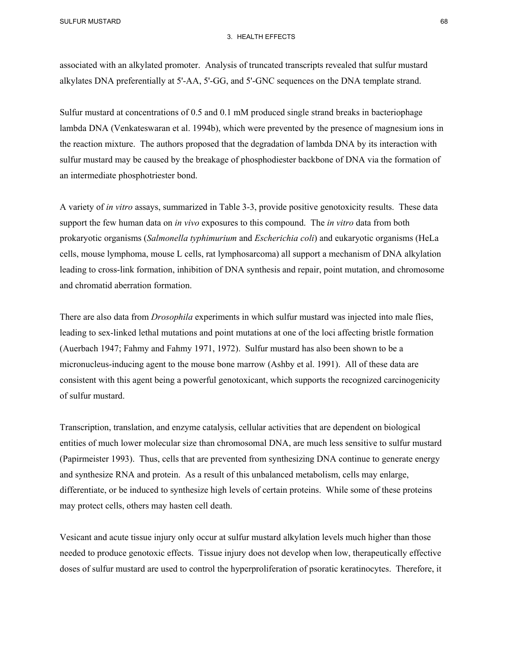### 3. HEALTH EFFECTS

associated with an alkylated promoter. Analysis of truncated transcripts revealed that sulfur mustard alkylates DNA preferentially at 5'-AA, 5'-GG, and 5'-GNC sequences on the DNA template strand.

Sulfur mustard at concentrations of 0.5 and 0.1 mM produced single strand breaks in bacteriophage lambda DNA (Venkateswaran et al. 1994b), which were prevented by the presence of magnesium ions in the reaction mixture. The authors proposed that the degradation of lambda DNA by its interaction with sulfur mustard may be caused by the breakage of phosphodiester backbone of DNA via the formation of an intermediate phosphotriester bond.

A variety of *in vitro* assays, summarized in Table 3-3, provide positive genotoxicity results. These data support the few human data on *in vivo* exposures to this compound. The *in vitro* data from both prokaryotic organisms (*Salmonella typhimurium* and *Escherichia coli*) and eukaryotic organisms (HeLa cells, mouse lymphoma, mouse L cells, rat lymphosarcoma) all support a mechanism of DNA alkylation leading to cross-link formation, inhibition of DNA synthesis and repair, point mutation, and chromosome and chromatid aberration formation.

There are also data from *Drosophila* experiments in which sulfur mustard was injected into male flies, leading to sex-linked lethal mutations and point mutations at one of the loci affecting bristle formation (Auerbach 1947; Fahmy and Fahmy 1971, 1972). Sulfur mustard has also been shown to be a micronucleus-inducing agent to the mouse bone marrow (Ashby et al. 1991). All of these data are consistent with this agent being a powerful genotoxicant, which supports the recognized carcinogenicity of sulfur mustard.

Transcription, translation, and enzyme catalysis, cellular activities that are dependent on biological entities of much lower molecular size than chromosomal DNA, are much less sensitive to sulfur mustard (Papirmeister 1993). Thus, cells that are prevented from synthesizing DNA continue to generate energy and synthesize RNA and protein. As a result of this unbalanced metabolism, cells may enlarge, differentiate, or be induced to synthesize high levels of certain proteins. While some of these proteins may protect cells, others may hasten cell death.

 Vesicant and acute tissue injury only occur at sulfur mustard alkylation levels much higher than those needed to produce genotoxic effects. Tissue injury does not develop when low, therapeutically effective doses of sulfur mustard are used to control the hyperproliferation of psoratic keratinocytes. Therefore, it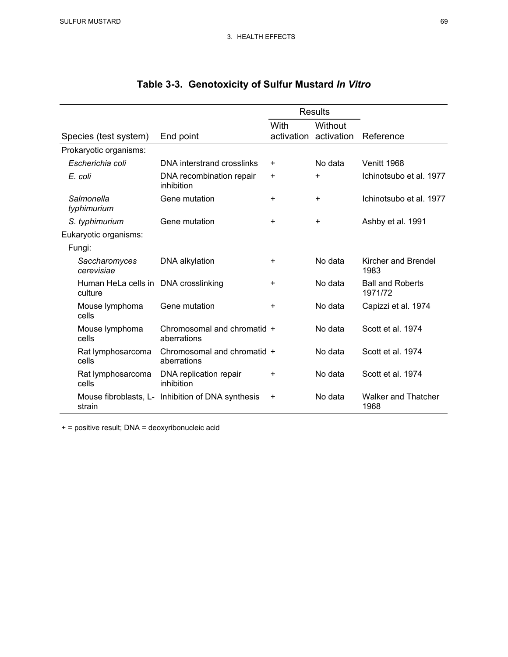|                                                 |                                                   |           | <b>Results</b>        |                                    |
|-------------------------------------------------|---------------------------------------------------|-----------|-----------------------|------------------------------------|
|                                                 |                                                   | With      | Without               |                                    |
| Species (test system)                           | End point                                         |           | activation activation | Reference                          |
| Prokaryotic organisms:                          |                                                   |           |                       |                                    |
| Escherichia coli                                | DNA interstrand crosslinks                        | $\ddot{}$ | No data               | Venitt 1968                        |
| E. coli                                         | DNA recombination repair<br>inhibition            | $\ddot{}$ | $\ddot{}$             | Ichinotsubo et al. 1977            |
| Salmonella<br>typhimurium                       | Gene mutation                                     | $\ddot{}$ | $\ddot{}$             | Ichinotsubo et al. 1977            |
| S. typhimurium                                  | Gene mutation                                     | $\ddot{}$ | $\ddot{}$             | Ashby et al. 1991                  |
| Eukaryotic organisms:                           |                                                   |           |                       |                                    |
| Fungi:                                          |                                                   |           |                       |                                    |
| Saccharomyces<br>cerevisiae                     | DNA alkylation                                    | +         | No data               | Kircher and Brendel<br>1983        |
| Human HeLa cells in DNA crosslinking<br>culture |                                                   | $\ddot{}$ | No data               | <b>Ball and Roberts</b><br>1971/72 |
| Mouse lymphoma<br>cells                         | Gene mutation                                     | +         | No data               | Capizzi et al. 1974                |
| Mouse lymphoma<br>cells                         | Chromosomal and chromatid +<br>aberrations        |           | No data               | Scott et al. 1974                  |
| Rat lymphosarcoma<br>cells                      | Chromosomal and chromatid +<br>aberrations        |           | No data               | Scott et al. 1974                  |
| Rat lymphosarcoma<br>cells                      | DNA replication repair<br>inhibition              | $\ddot{}$ | No data               | Scott et al. 1974                  |
| strain                                          | Mouse fibroblasts, L- Inhibition of DNA synthesis | +         | No data               | <b>Walker and Thatcher</b><br>1968 |

# **Table 3-3. Genotoxicity of Sulfur Mustard** *In Vitro*

+ = positive result; DNA = deoxyribonucleic acid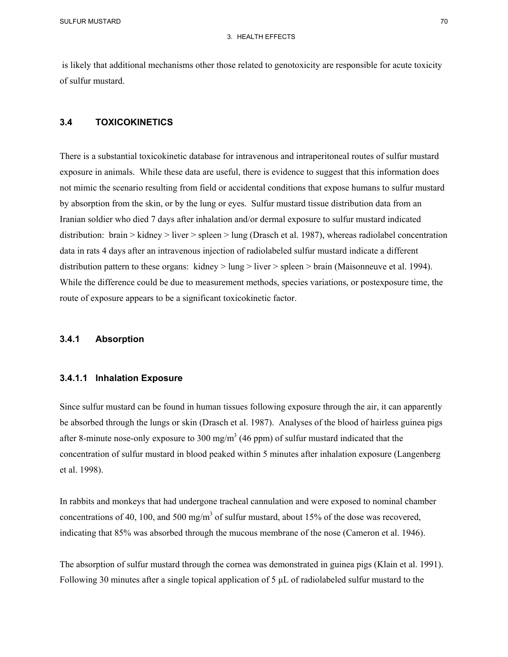is likely that additional mechanisms other those related to genotoxicity are responsible for acute toxicity of sulfur mustard.

### **3.4 TOXICOKINETICS**

There is a substantial toxicokinetic database for intravenous and intraperitoneal routes of sulfur mustard exposure in animals. While these data are useful, there is evidence to suggest that this information does not mimic the scenario resulting from field or accidental conditions that expose humans to sulfur mustard by absorption from the skin, or by the lung or eyes. Sulfur mustard tissue distribution data from an Iranian soldier who died 7 days after inhalation and/or dermal exposure to sulfur mustard indicated distribution: brain > kidney > liver > spleen > lung (Drasch et al. 1987), whereas radiolabel concentration data in rats 4 days after an intravenous injection of radiolabeled sulfur mustard indicate a different distribution pattern to these organs: kidney > lung > liver > spleen > brain (Maisonneuve et al. 1994). While the difference could be due to measurement methods, species variations, or postexposure time, the route of exposure appears to be a significant toxicokinetic factor.

# **Absorption**

# **3.4.1 Absorption 3.4.1.1 Inhalation Exposure**

Since sulfur mustard can be found in human tissues following exposure through the air, it can apparently be absorbed through the lungs or skin (Drasch et al. 1987). Analyses of the blood of hairless guinea pigs after 8-minute nose-only exposure to 300 mg/m<sup>3</sup> (46 ppm) of sulfur mustard indicated that the concentration of sulfur mustard in blood peaked within 5 minutes after inhalation exposure (Langenberg et al. 1998).

In rabbits and monkeys that had undergone tracheal cannulation and were exposed to nominal chamber concentrations of 40, 100, and 500 mg/m<sup>3</sup> of sulfur mustard, about 15% of the dose was recovered, indicating that 85% was absorbed through the mucous membrane of the nose (Cameron et al. 1946).

The absorption of sulfur mustard through the cornea was demonstrated in guinea pigs (Klain et al. 1991). Following 30 minutes after a single topical application of 5  $\mu$ L of radiolabeled sulfur mustard to the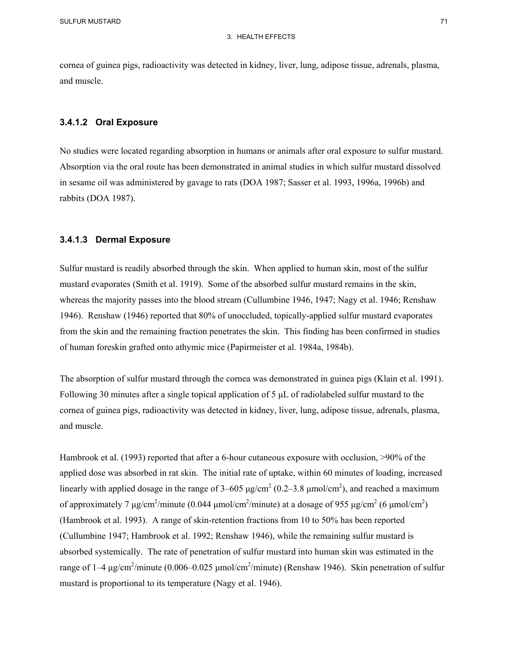cornea of guinea pigs, radioactivity was detected in kidney, liver, lung, adipose tissue, adrenals, plasma, and muscle.

# **3.4.1.2 Oral Exposure**

No studies were located regarding absorption in humans or animals after oral exposure to sulfur mustard. Absorption via the oral route has been demonstrated in animal studies in which sulfur mustard dissolved in sesame oil was administered by gavage to rats (DOA 1987; Sasser et al. 1993, 1996a, 1996b) and rabbits (DOA 1987).

### **3.4.1.3 Dermal Exposure**

of human foreskin grafted onto athymic mice (Papirmeister et al. 1984a, 1984b). Sulfur mustard is readily absorbed through the skin. When applied to human skin, most of the sulfur mustard evaporates (Smith et al. 1919). Some of the absorbed sulfur mustard remains in the skin, whereas the majority passes into the blood stream (Cullumbine 1946, 1947; Nagy et al. 1946; Renshaw 1946). Renshaw (1946) reported that 80% of unoccluded, topically-applied sulfur mustard evaporates from the skin and the remaining fraction penetrates the skin. This finding has been confirmed in studies

of human foreskin grafted onto athymic mice (Papirmeister et al. 1984a, 1984b).<br>The absorption of sulfur mustard through the cornea was demonstrated in guinea pigs (Klain et al. 1991).<br>Following 30 minutes after a single t cornea of guinea pigs, radioactivity was detected in kidney, liver, lung, adipose tissue, adrenals, plasma, and muscle.

Hambrook et al. (1993) reported that after a 6-hour cutaneous exposure with occlusion, >90% of the applied dose was absorbed in rat skin. The initial rate of uptake, within 60 minutes of loading, increased linearly with applied dosage in the range of  $3-605 \mu g/cm^2 (0.2-3.8 \mu mol/cm^2)$ , and reached a maximum of approximately 7  $\mu$ g/cm<sup>2</sup>/minute (0.044  $\mu$ mol/cm<sup>2</sup>/minute) at a dosage of 955  $\mu$ g/cm<sup>2</sup> (6  $\mu$ mol/cm<sup>2</sup>) (Hambrook et al. 1993). A range of skin-retention fractions from 10 to 50% has been reported (Cullumbine 1947; Hambrook et al. 1992; Renshaw 1946), while the remaining sulfur mustard is absorbed systemically. The rate of penetration of sulfur mustard into human skin was estimated in the range of 1–4  $\mu$ g/cm<sup>2</sup>/minute (0.006–0.025  $\mu$ mol/cm<sup>2</sup>/minute) (Renshaw 1946). Skin penetration of sulfur mustard is proportional to its temperature (Nagy et al. 1946).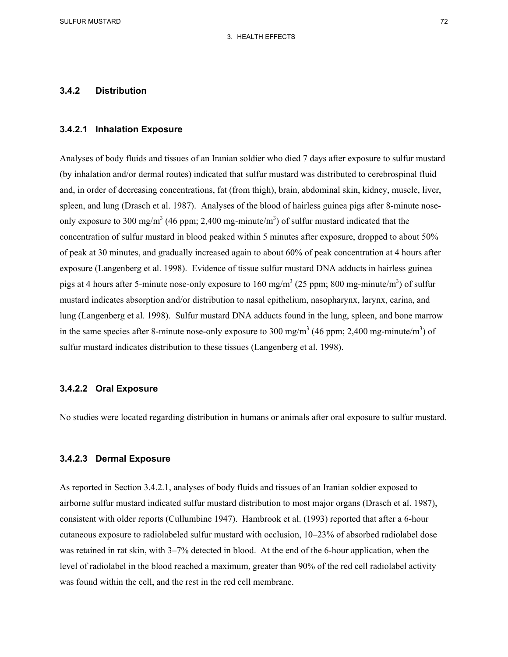### **3.4.2 Distribution**

### **3.4.2.1 Inhalation Exposure**

Analyses of body fluids and tissues of an Iranian soldier who died 7 days after exposure to sulfur mustard (by inhalation and/or dermal routes) indicated that sulfur mustard was distributed to cerebrospinal fluid and, in order of decreasing concentrations, fat (from thigh), brain, abdominal skin, kidney, muscle, liver, spleen, and lung (Drasch et al. 1987). Analyses of the blood of hairless guinea pigs after 8-minute noseonly exposure to 300 mg/m<sup>3</sup> (46 ppm; 2,400 mg-minute/m<sup>3</sup>) of sulfur mustard indicated that the concentration of sulfur mustard in blood peaked within 5 minutes after exposure, dropped to about 50% of peak at 30 minutes, and gradually increased again to about 60% of peak concentration at 4 hours after exposure (Langenberg et al. 1998). Evidence of tissue sulfur mustard DNA adducts in hairless guinea pigs at 4 hours after 5-minute nose-only exposure to 160 mg/m<sup>3</sup> (25 ppm; 800 mg-minute/m<sup>3</sup>) of sulfur mustard indicates absorption and/or distribution to nasal epithelium, nasopharynx, larynx, carina, and lung (Langenberg et al. 1998). Sulfur mustard DNA adducts found in the lung, spleen, and bone marrow in the same species after 8-minute nose-only exposure to 300 mg/m<sup>3</sup> (46 ppm; 2,400 mg-minute/m<sup>3</sup>) of sulfur mustard indicates distribution to these tissues (Langenberg et al. 1998).

# **3.4.2.2 Oral Exposure**

No studies were located regarding distribution in humans or animals after oral exposure to sulfur mustard.

### **3.4.2.3 Dermal Exposure**

 was retained in rat skin, with 3–7% detected in blood. At the end of the 6-hour application, when the As reported in Section 3.4.2.1, analyses of body fluids and tissues of an Iranian soldier exposed to airborne sulfur mustard indicated sulfur mustard distribution to most major organs (Drasch et al. 1987), consistent with older reports (Cullumbine 1947). Hambrook et al. (1993) reported that after a 6-hour cutaneous exposure to radiolabeled sulfur mustard with occlusion, 10–23% of absorbed radiolabel dose level of radiolabel in the blood reached a maximum, greater than 90% of the red cell radiolabel activity was found within the cell, and the rest in the red cell membrane.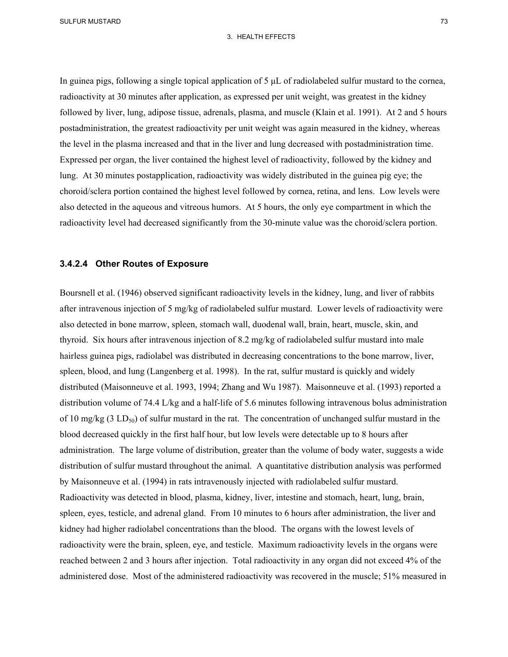In guinea pigs, following a single topical application of 5 µL of radiolabeled sulfur mustard to the cornea, radioactivity at 30 minutes after application, as expressed per unit weight, was greatest in the kidney followed by liver, lung, adipose tissue, adrenals, plasma, and muscle (Klain et al. 1991). At 2 and 5 hours postadministration, the greatest radioactivity per unit weight was again measured in the kidney, whereas the level in the plasma increased and that in the liver and lung decreased with postadministration time. Expressed per organ, the liver contained the highest level of radioactivity, followed by the kidney and lung. At 30 minutes postapplication, radioactivity was widely distributed in the guinea pig eye; the choroid/sclera portion contained the highest level followed by cornea, retina, and lens. Low levels were also detected in the aqueous and vitreous humors. At 5 hours, the only eye compartment in which the radioactivity level had decreased significantly from the 30-minute value was the choroid/sclera portion.

### **3.4.2.4 Other Routes of Exposure**

Boursnell et al. (1946) observed significant radioactivity levels in the kidney, lung, and liver of rabbits after intravenous injection of 5 mg/kg of radiolabeled sulfur mustard. Lower levels of radioactivity were also detected in bone marrow, spleen, stomach wall, duodenal wall, brain, heart, muscle, skin, and thyroid. Six hours after intravenous injection of 8.2 mg/kg of radiolabeled sulfur mustard into male hairless guinea pigs, radiolabel was distributed in decreasing concentrations to the bone marrow, liver, spleen, blood, and lung (Langenberg et al. 1998). In the rat, sulfur mustard is quickly and widely distributed (Maisonneuve et al. 1993, 1994; Zhang and Wu 1987). Maisonneuve et al. (1993) reported a distribution volume of 74.4 L/kg and a half-life of 5.6 minutes following intravenous bolus administration of 10 mg/kg (3 LD<sub>50</sub>) of sulfur mustard in the rat. The concentration of unchanged sulfur mustard in the blood decreased quickly in the first half hour, but low levels were detectable up to 8 hours after administration. The large volume of distribution, greater than the volume of body water, suggests a wide distribution of sulfur mustard throughout the animal. A quantitative distribution analysis was performed by Maisonneuve et al. (1994) in rats intravenously injected with radiolabeled sulfur mustard. Radioactivity was detected in blood, plasma, kidney, liver, intestine and stomach, heart, lung, brain, spleen, eyes, testicle, and adrenal gland. From 10 minutes to 6 hours after administration, the liver and kidney had higher radiolabel concentrations than the blood. The organs with the lowest levels of radioactivity were the brain, spleen, eye, and testicle. Maximum radioactivity levels in the organs were reached between 2 and 3 hours after injection. Total radioactivity in any organ did not exceed 4% of the administered dose. Most of the administered radioactivity was recovered in the muscle; 51% measured in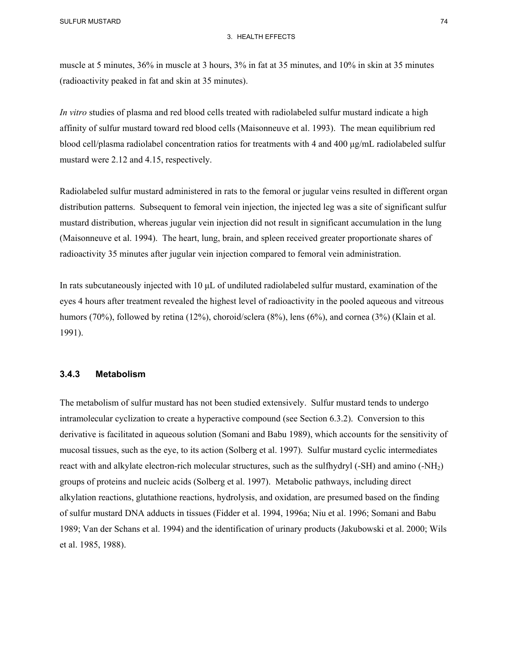muscle at 5 minutes, 36% in muscle at 3 hours, 3% in fat at 35 minutes, and 10% in skin at 35 minutes (radioactivity peaked in fat and skin at 35 minutes).

*In vitro* studies of plasma and red blood cells treated with radiolabeled sulfur mustard indicate a high affinity of sulfur mustard toward red blood cells (Maisonneuve et al. 1993). The mean equilibrium red blood cell/plasma radiolabel concentration ratios for treatments with 4 and 400 µg/mL radiolabeled sulfur mustard were 2.12 and 4.15, respectively.

Radiolabeled sulfur mustard administered in rats to the femoral or jugular veins resulted in different organ distribution patterns. Subsequent to femoral vein injection, the injected leg was a site of significant sulfur mustard distribution, whereas jugular vein injection did not result in significant accumulation in the lung (Maisonneuve et al. 1994). The heart, lung, brain, and spleen received greater proportionate shares of radioactivity 35 minutes after jugular vein injection compared to femoral vein administration.

In rats subcutaneously injected with 10  $\mu$ L of undiluted radiolabeled sulfur mustard, examination of the eyes 4 hours after treatment revealed the highest level of radioactivity in the pooled aqueous and vitreous humors (70%), followed by retina (12%), choroid/sclera (8%), lens (6%), and cornea (3%) (Klain et al. 1991).

# **3.4.3 Metabolism**

The metabolism of sulfur mustard has not been studied extensively. Sulfur mustard tends to undergo intramolecular cyclization to create a hyperactive compound (see Section 6.3.2). Conversion to this derivative is facilitated in aqueous solution (Somani and Babu 1989), which accounts for the sensitivity of mucosal tissues, such as the eye, to its action (Solberg et al. 1997). Sulfur mustard cyclic intermediates react with and alkylate electron-rich molecular structures, such as the sulfhydryl (-SH) and amino (-NH2) groups of proteins and nucleic acids (Solberg et al. 1997). Metabolic pathways, including direct alkylation reactions, glutathione reactions, hydrolysis, and oxidation, are presumed based on the finding of sulfur mustard DNA adducts in tissues (Fidder et al. 1994, 1996a; Niu et al. 1996; Somani and Babu 1989; Van der Schans et al. 1994) and the identification of urinary products (Jakubowski et al. 2000; Wils et al. 1985, 1988).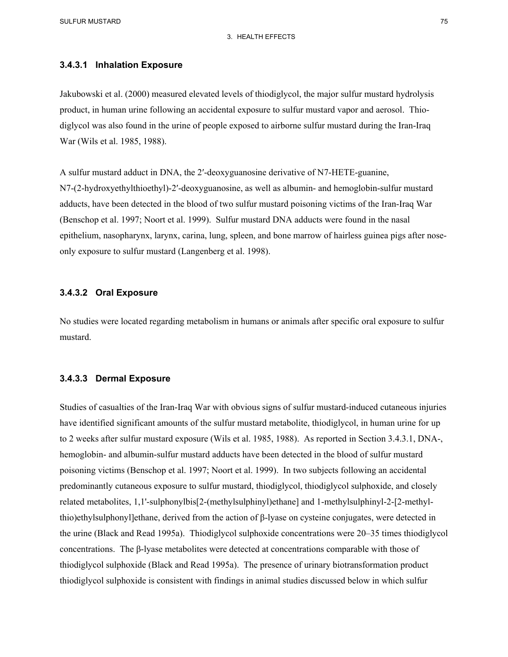### **3.4.3.1 Inhalation Exposure**

Jakubowski et al. (2000) measured elevated levels of thiodiglycol, the major sulfur mustard hydrolysis product, in human urine following an accidental exposure to sulfur mustard vapor and aerosol. Thiodiglycol was also found in the urine of people exposed to airborne sulfur mustard during the Iran-Iraq War (Wils et al. 1985, 1988).

A sulfur mustard adduct in DNA, the 2′-deoxyguanosine derivative of N7-HETE-guanine, N7-(2-hydroxyethylthioethyl)-2′-deoxyguanosine, as well as albumin- and hemoglobin-sulfur mustard adducts, have been detected in the blood of two sulfur mustard poisoning victims of the Iran-Iraq War (Benschop et al. 1997; Noort et al. 1999). Sulfur mustard DNA adducts were found in the nasal epithelium, nasopharynx, larynx, carina, lung, spleen, and bone marrow of hairless guinea pigs after noseonly exposure to sulfur mustard (Langenberg et al. 1998).

# **3.4.3.2 Oral Exposure**

No studies were located regarding metabolism in humans or animals after specific oral exposure to sulfur mustard.

# **3.4.3.3 Dermal Exposure**

Studies of casualties of the Iran-Iraq War with obvious signs of sulfur mustard-induced cutaneous injuries have identified significant amounts of the sulfur mustard metabolite, thiodiglycol, in human urine for up to 2 weeks after sulfur mustard exposure (Wils et al. 1985, 1988). As reported in Section 3.4.3.1, DNA-, hemoglobin- and albumin-sulfur mustard adducts have been detected in the blood of sulfur mustard poisoning victims (Benschop et al. 1997; Noort et al. 1999). In two subjects following an accidental predominantly cutaneous exposure to sulfur mustard, thiodiglycol, thiodiglycol sulphoxide, and closely related metabolites, 1,1'-sulphonylbis[2-(methylsulphinyl)ethane] and 1-methylsulphinyl-2-[2-methylthio)ethylsulphonyl]ethane, derived from the action of β-lyase on cysteine conjugates, were detected in the urine (Black and Read 1995a). Thiodiglycol sulphoxide concentrations were 20–35 times thiodiglycol concentrations. The β-lyase metabolites were detected at concentrations comparable with those of thiodiglycol sulphoxide (Black and Read 1995a). The presence of urinary biotransformation product thiodiglycol sulphoxide is consistent with findings in animal studies discussed below in which sulfur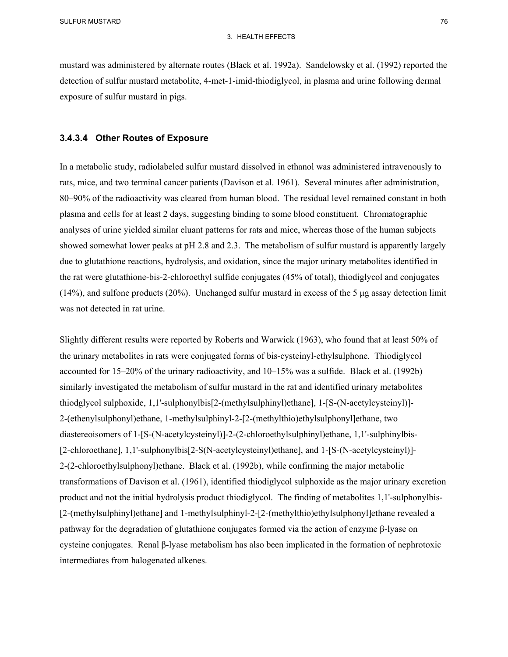mustard was administered by alternate routes (Black et al. 1992a). Sandelowsky et al. (1992) reported the detection of sulfur mustard metabolite, 4-met-1-imid-thiodiglycol, in plasma and urine following dermal exposure of sulfur mustard in pigs.

### **3.4.3.4 Other Routes of Exposure**

 rats, mice, and two terminal cancer patients (Davison et al. 1961). Several minutes after administration, In a metabolic study, radiolabeled sulfur mustard dissolved in ethanol was administered intravenously to 80–90% of the radioactivity was cleared from human blood. The residual level remained constant in both plasma and cells for at least 2 days, suggesting binding to some blood constituent. Chromatographic analyses of urine yielded similar eluant patterns for rats and mice, whereas those of the human subjects showed somewhat lower peaks at pH 2.8 and 2.3. The metabolism of sulfur mustard is apparently largely due to glutathione reactions, hydrolysis, and oxidation, since the major urinary metabolites identified in the rat were glutathione-bis-2-chloroethyl sulfide conjugates (45% of total), thiodiglycol and conjugates (14%), and sulfone products (20%). Unchanged sulfur mustard in excess of the 5 µg assay detection limit was not detected in rat urine.

Slightly different results were reported by Roberts and Warwick (1963), who found that at least 50% of the urinary metabolites in rats were conjugated forms of bis-cysteinyl-ethylsulphone. Thiodiglycol accounted for 15–20% of the urinary radioactivity, and 10–15% was a sulfide. Black et al. (1992b) similarly investigated the metabolism of sulfur mustard in the rat and identified urinary metabolites thiodglycol sulphoxide, 1,1'-sulphonylbis[2-(methylsulphinyl)ethane], 1-[S-(N-acetylcysteinyl)] 2-(ethenylsulphonyl)ethane, 1-methylsulphinyl-2-[2-(methylthio)ethylsulphonyl]ethane, two diastereoisomers of 1-[S-(N-acetylcysteinyl)]-2-(2-chloroethylsulphinyl)ethane, 1,1'-sulphinylbis [2-chloroethane], 1,1'-sulphonylbis[2-S(N-acetylcysteinyl)ethane], and 1-[S-(N-acetylcysteinyl)]-2-(2-chloroethylsulphonyl)ethane. Black et al. (1992b), while confirming the major metabolic transformations of Davison et al. (1961), identified thiodiglycol sulphoxide as the major urinary excretion product and not the initial hydrolysis product thiodiglycol. The finding of metabolites 1,1'-sulphonylbis [2-(methylsulphinyl)ethane] and 1-methylsulphinyl-2-[2-(methylthio)ethylsulphonyl]ethane revealed a pathway for the degradation of glutathione conjugates formed via the action of enzyme β-lyase on cysteine conjugates. Renal β-lyase metabolism has also been implicated in the formation of nephrotoxic intermediates from halogenated alkenes.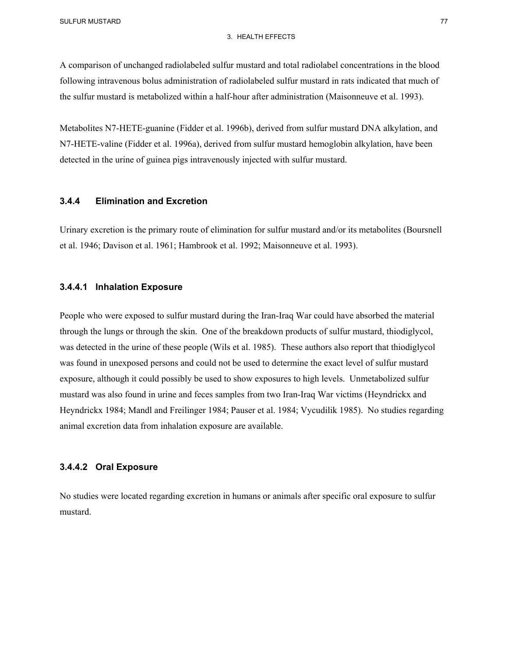A comparison of unchanged radiolabeled sulfur mustard and total radiolabel concentrations in the blood following intravenous bolus administration of radiolabeled sulfur mustard in rats indicated that much of the sulfur mustard is metabolized within a half-hour after administration (Maisonneuve et al. 1993).

Metabolites N7-HETE-guanine (Fidder et al. 1996b), derived from sulfur mustard DNA alkylation, and N7-HETE-valine (Fidder et al. 1996a), derived from sulfur mustard hemoglobin alkylation, have been detected in the urine of guinea pigs intravenously injected with sulfur mustard.

# **3.4.4 Elimination and Excretion**

Urinary excretion is the primary route of elimination for sulfur mustard and/or its metabolites (Boursnell et al. 1946; Davison et al. 1961; Hambrook et al. 1992; Maisonneuve et al. 1993).

# **3.4.4.1 Inhalation Exposure**

People who were exposed to sulfur mustard during the Iran-Iraq War could have absorbed the material through the lungs or through the skin. One of the breakdown products of sulfur mustard, thiodiglycol, was detected in the urine of these people (Wils et al. 1985). These authors also report that thiodiglycol was found in unexposed persons and could not be used to determine the exact level of sulfur mustard exposure, although it could possibly be used to show exposures to high levels. Unmetabolized sulfur mustard was also found in urine and feces samples from two Iran-Iraq War victims (Heyndrickx and Heyndrickx 1984; Mandl and Freilinger 1984; Pauser et al. 1984; Vycudilik 1985). No studies regarding animal excretion data from inhalation exposure are available.

# **3.4.4.2 Oral Exposure**

No studies were located regarding excretion in humans or animals after specific oral exposure to sulfur mustard.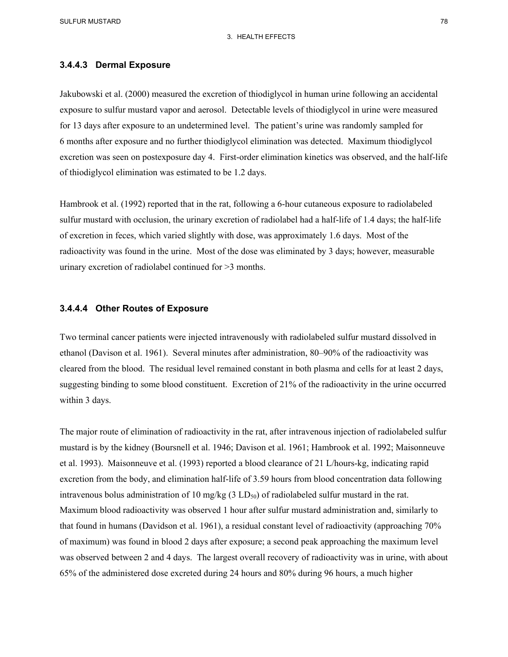### **3.4.4.3 Dermal Exposure**

Jakubowski et al. (2000) measured the excretion of thiodiglycol in human urine following an accidental exposure to sulfur mustard vapor and aerosol. Detectable levels of thiodiglycol in urine were measured for 13 days after exposure to an undetermined level. The patient's urine was randomly sampled for 6 months after exposure and no further thiodiglycol elimination was detected. Maximum thiodiglycol excretion was seen on postexposure day 4. First-order elimination kinetics was observed, and the half-life of thiodiglycol elimination was estimated to be 1.2 days.

Hambrook et al. (1992) reported that in the rat, following a 6-hour cutaneous exposure to radiolabeled sulfur mustard with occlusion, the urinary excretion of radiolabel had a half-life of 1.4 days; the half-life of excretion in feces, which varied slightly with dose, was approximately 1.6 days. Most of the radioactivity was found in the urine. Most of the dose was eliminated by 3 days; however, measurable urinary excretion of radiolabel continued for >3 months.

### **3.4.4.4 Other Routes of Exposure**

Two terminal cancer patients were injected intravenously with radiolabeled sulfur mustard dissolved in ethanol (Davison et al. 1961). Several minutes after administration, 80–90% of the radioactivity was cleared from the blood. The residual level remained constant in both plasma and cells for at least 2 days, suggesting binding to some blood constituent. Excretion of 21% of the radioactivity in the urine occurred within 3 days.

 et al. 1993). Maisonneuve et al. (1993) reported a blood clearance of 21 L/hours-kg, indicating rapid The major route of elimination of radioactivity in the rat, after intravenous injection of radiolabeled sulfur mustard is by the kidney (Boursnell et al. 1946; Davison et al. 1961; Hambrook et al. 1992; Maisonneuve excretion from the body, and elimination half-life of 3.59 hours from blood concentration data following intravenous bolus administration of 10 mg/kg  $(3 LD<sub>50</sub>)$  of radiolabeled sulfur mustard in the rat. Maximum blood radioactivity was observed 1 hour after sulfur mustard administration and, similarly to that found in humans (Davidson et al. 1961), a residual constant level of radioactivity (approaching 70% of maximum) was found in blood 2 days after exposure; a second peak approaching the maximum level was observed between 2 and 4 days. The largest overall recovery of radioactivity was in urine, with about 65% of the administered dose excreted during 24 hours and 80% during 96 hours, a much higher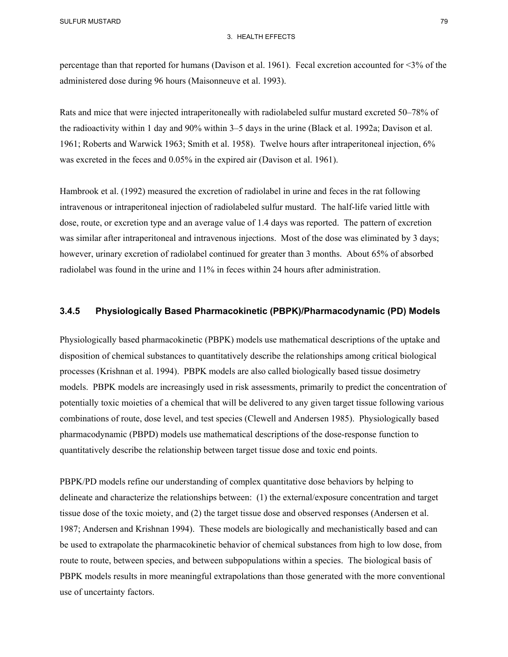### 3. HEALTH EFFECTS

percentage than that reported for humans (Davison et al. 1961). Fecal excretion accounted for <3% of the administered dose during 96 hours (Maisonneuve et al. 1993).

 1961; Roberts and Warwick 1963; Smith et al. 1958). Twelve hours after intraperitoneal injection, 6% Rats and mice that were injected intraperitoneally with radiolabeled sulfur mustard excreted 50–78% of the radioactivity within 1 day and 90% within 3–5 days in the urine (Black et al. 1992a; Davison et al. was excreted in the feces and 0.05% in the expired air (Davison et al. 1961).

Hambrook et al. (1992) measured the excretion of radiolabel in urine and feces in the rat following intravenous or intraperitoneal injection of radiolabeled sulfur mustard. The half-life varied little with dose, route, or excretion type and an average value of 1.4 days was reported. The pattern of excretion was similar after intraperitoneal and intravenous injections. Most of the dose was eliminated by 3 days; however, urinary excretion of radiolabel continued for greater than 3 months. About 65% of absorbed radiolabel was found in the urine and 11% in feces within 24 hours after administration.

### **3.4.5 Physiologically Based Pharmacokinetic (PBPK)/Pharmacodynamic (PD) Models**

Physiologically based pharmacokinetic (PBPK) models use mathematical descriptions of the uptake and disposition of chemical substances to quantitatively describe the relationships among critical biological processes (Krishnan et al. 1994). PBPK models are also called biologically based tissue dosimetry models. PBPK models are increasingly used in risk assessments, primarily to predict the concentration of potentially toxic moieties of a chemical that will be delivered to any given target tissue following various combinations of route, dose level, and test species (Clewell and Andersen 1985). Physiologically based pharmacodynamic (PBPD) models use mathematical descriptions of the dose-response function to quantitatively describe the relationship between target tissue dose and toxic end points.

PBPK/PD models refine our understanding of complex quantitative dose behaviors by helping to delineate and characterize the relationships between: (1) the external/exposure concentration and target tissue dose of the toxic moiety, and (2) the target tissue dose and observed responses (Andersen et al. 1987; Andersen and Krishnan 1994). These models are biologically and mechanistically based and can be used to extrapolate the pharmacokinetic behavior of chemical substances from high to low dose, from route to route, between species, and between subpopulations within a species. The biological basis of PBPK models results in more meaningful extrapolations than those generated with the more conventional use of uncertainty factors.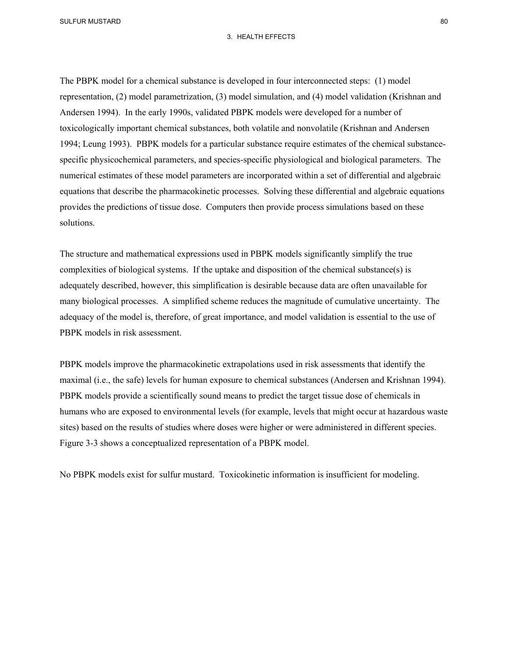### 3. HEALTH EFFECTS

The PBPK model for a chemical substance is developed in four interconnected steps: (1) model representation, (2) model parametrization, (3) model simulation, and (4) model validation (Krishnan and Andersen 1994). In the early 1990s, validated PBPK models were developed for a number of toxicologically important chemical substances, both volatile and nonvolatile (Krishnan and Andersen 1994; Leung 1993). PBPK models for a particular substance require estimates of the chemical substancespecific physicochemical parameters, and species-specific physiological and biological parameters. The numerical estimates of these model parameters are incorporated within a set of differential and algebraic equations that describe the pharmacokinetic processes. Solving these differential and algebraic equations provides the predictions of tissue dose. Computers then provide process simulations based on these solutions.

The structure and mathematical expressions used in PBPK models significantly simplify the true complexities of biological systems. If the uptake and disposition of the chemical substance(s) is adequately described, however, this simplification is desirable because data are often unavailable for many biological processes. A simplified scheme reduces the magnitude of cumulative uncertainty. The adequacy of the model is, therefore, of great importance, and model validation is essential to the use of PBPK models in risk assessment.

PBPK models improve the pharmacokinetic extrapolations used in risk assessments that identify the maximal (i.e., the safe) levels for human exposure to chemical substances (Andersen and Krishnan 1994). PBPK models provide a scientifically sound means to predict the target tissue dose of chemicals in humans who are exposed to environmental levels (for example, levels that might occur at hazardous waste sites) based on the results of studies where doses were higher or were administered in different species. Figure 3-3 shows a conceptualized representation of a PBPK model.

No PBPK models exist for sulfur mustard. Toxicokinetic information is insufficient for modeling.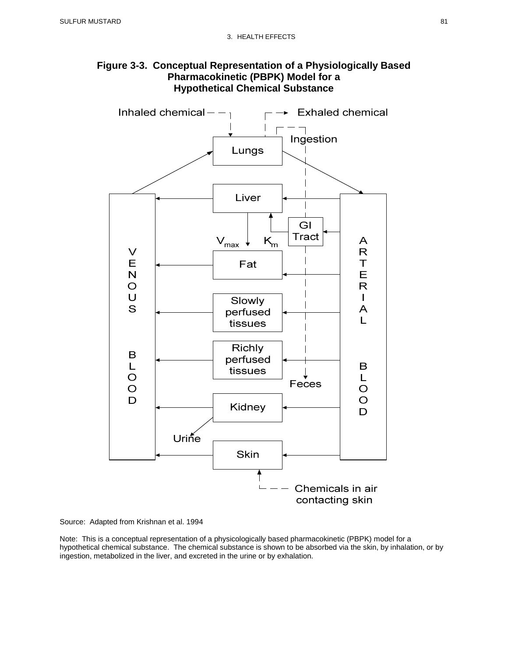# **Figure 3-3. Conceptual Representation of a Physiologically Based Pharmacokinetic (PBPK) Model for a Hypothetical Chemical Substance**



Source: Adapted from Krishnan et al. 1994

Note: This is a conceptual representation of a physicologically based pharmacokinetic (PBPK) model for a hypothetical chemical substance. The chemical substance is shown to be absorbed via the skin, by inhalation, or by ingestion, metabolized in the liver, and excreted in the urine or by exhalation.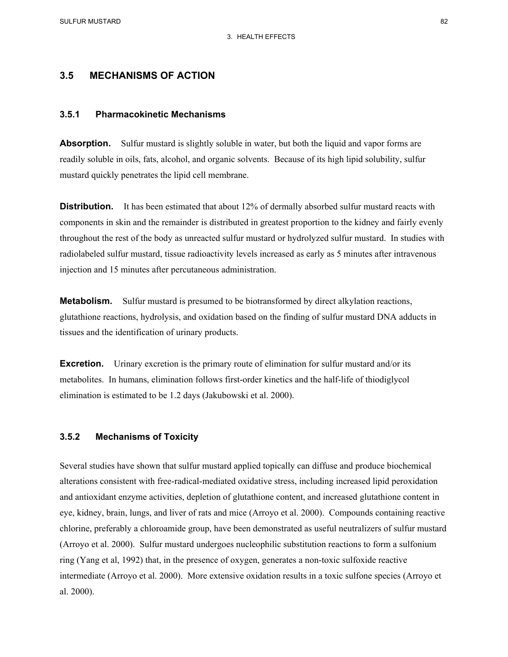# **3.5 MECHANISMS OF ACTION**

### **3.5.1 Pharmacokinetic Mechanisms**

Absorption. **Absorption.** Sulfur mustard is slightly soluble in water, but both the liquid and vapor forms are readily soluble in oils, fats, alcohol, and organic solvents. Because of its high lipid solubility, sulfur mustard quickly penetrates the lipid cell membrane.

**Distribution.** It has been estimated that about 12% of dermally absorbed sulfur mustard reacts with components in skin and the remainder is distributed in greatest proportion to the kidney and fairly evenly throughout the rest of the body as unreacted sulfur mustard or hydrolyzed sulfur mustard. In studies with radiolabeled sulfur mustard, tissue radioactivity levels increased as early as 5 minutes after intravenous injection and 15 minutes after percutaneous administration.

**Metabolism.** Sulfur mustard is presumed to be biotransformed by direct alkylation reactions, glutathione reactions, hydrolysis, and oxidation based on the finding of sulfur mustard DNA adducts in tissues and the identification of urinary products.

**Excretion.** Urinary excretion is the primary route of elimination for sulfur mustard and/or its metabolites. In humans, elimination follows first-order kinetics and the half-life of thiodiglycol elimination is estimated to be 1.2 days (Jakubowski et al. 2000).

### **3.5.2 Mechanisms of Toxicity**

Several studies have shown that sulfur mustard applied topically can diffuse and produce biochemical alterations consistent with free-radical-mediated oxidative stress, including increased lipid peroxidation and antioxidant enzyme activities, depletion of glutathione content, and increased glutathione content in eye, kidney, brain, lungs, and liver of rats and mice (Arroyo et al. 2000). Compounds containing reactive chlorine, preferably a chloroamide group, have been demonstrated as useful neutralizers of sulfur mustard (Arroyo et al. 2000). Sulfur mustard undergoes nucleophilic substitution reactions to form a sulfonium ring (Yang et al, 1992) that, in the presence of oxygen, generates a non-toxic sulfoxide reactive intermediate (Arroyo et al. 2000). More extensive oxidation results in a toxic sulfone species (Arroyo et al. 2000).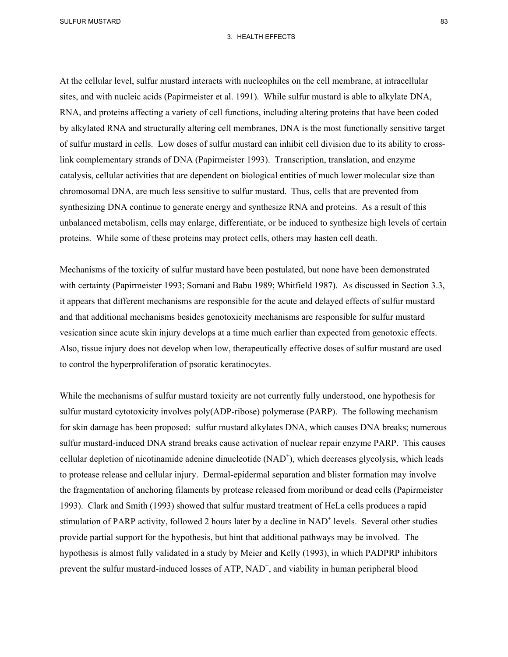### 3. HEALTH EFFECTS

At the cellular level, sulfur mustard interacts with nucleophiles on the cell membrane, at intracellular sites, and with nucleic acids (Papirmeister et al. 1991). While sulfur mustard is able to alkylate DNA, RNA, and proteins affecting a variety of cell functions, including altering proteins that have been coded by alkylated RNA and structurally altering cell membranes, DNA is the most functionally sensitive target of sulfur mustard in cells. Low doses of sulfur mustard can inhibit cell division due to its ability to crosslink complementary strands of DNA (Papirmeister 1993). Transcription, translation, and enzyme catalysis, cellular activities that are dependent on biological entities of much lower molecular size than chromosomal DNA, are much less sensitive to sulfur mustard. Thus, cells that are prevented from synthesizing DNA continue to generate energy and synthesize RNA and proteins. As a result of this unbalanced metabolism, cells may enlarge, differentiate, or be induced to synthesize high levels of certain proteins. While some of these proteins may protect cells, others may hasten cell death.

Mechanisms of the toxicity of sulfur mustard have been postulated, but none have been demonstrated with certainty (Papirmeister 1993; Somani and Babu 1989; Whitfield 1987). As discussed in Section 3.3, it appears that different mechanisms are responsible for the acute and delayed effects of sulfur mustard and that additional mechanisms besides genotoxicity mechanisms are responsible for sulfur mustard vesication since acute skin injury develops at a time much earlier than expected from genotoxic effects. Also, tissue injury does not develop when low, therapeutically effective doses of sulfur mustard are used to control the hyperproliferation of psoratic keratinocytes.

While the mechanisms of sulfur mustard toxicity are not currently fully understood, one hypothesis for sulfur mustard cytotoxicity involves poly(ADP-ribose) polymerase (PARP). The following mechanism for skin damage has been proposed: sulfur mustard alkylates DNA, which causes DNA breaks; numerous sulfur mustard-induced DNA strand breaks cause activation of nuclear repair enzyme PARP. This causes cellular depletion of nicotinamide adenine dinucleotide (NAD<sup>+</sup>), which decreases glycolysis, which leads to protease release and cellular injury. Dermal-epidermal separation and blister formation may involve the fragmentation of anchoring filaments by protease released from moribund or dead cells (Papirmeister 1993). Clark and Smith (1993) showed that sulfur mustard treatment of HeLa cells produces a rapid stimulation of PARP activity, followed 2 hours later by a decline in NAD<sup>+</sup> levels. Several other studies provide partial support for the hypothesis, but hint that additional pathways may be involved. The hypothesis is almost fully validated in a study by Meier and Kelly (1993), in which PADPRP inhibitors prevent the sulfur mustard-induced losses of ATP, NAD<sup>+</sup>, and viability in human peripheral blood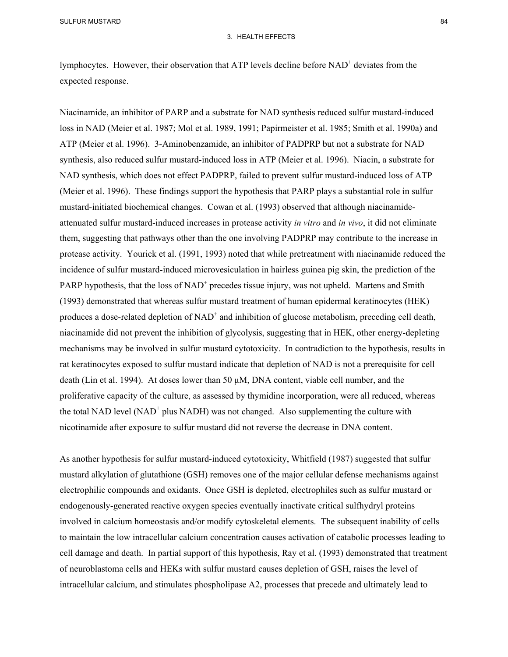### 3. HEALTH EFFECTS

lymphocytes. However, their observation that ATP levels decline before NAD<sup>+</sup> deviates from the expected response.

Niacinamide, an inhibitor of PARP and a substrate for NAD synthesis reduced sulfur mustard-induced loss in NAD (Meier et al. 1987; Mol et al. 1989, 1991; Papirmeister et al. 1985; Smith et al. 1990a) and ATP (Meier et al. 1996). 3-Aminobenzamide, an inhibitor of PADPRP but not a substrate for NAD synthesis, also reduced sulfur mustard-induced loss in ATP (Meier et al. 1996). Niacin, a substrate for NAD synthesis, which does not effect PADPRP, failed to prevent sulfur mustard-induced loss of ATP (Meier et al. 1996). These findings support the hypothesis that PARP plays a substantial role in sulfur mustard-initiated biochemical changes. Cowan et al. (1993) observed that although niacinamideattenuated sulfur mustard-induced increases in protease activity *in vitro* and *in vivo*, it did not eliminate them, suggesting that pathways other than the one involving PADPRP may contribute to the increase in protease activity. Yourick et al. (1991, 1993) noted that while pretreatment with niacinamide reduced the incidence of sulfur mustard-induced microvesiculation in hairless guinea pig skin, the prediction of the PARP hypothesis, that the loss of NAD<sup>+</sup> precedes tissue injury, was not upheld. Martens and Smith (1993) demonstrated that whereas sulfur mustard treatment of human epidermal keratinocytes (HEK) produces a dose-related depletion of  $NAD^+$  and inhibition of glucose metabolism, preceding cell death, niacinamide did not prevent the inhibition of glycolysis, suggesting that in HEK, other energy-depleting mechanisms may be involved in sulfur mustard cytotoxicity. In contradiction to the hypothesis, results in rat keratinocytes exposed to sulfur mustard indicate that depletion of NAD is not a prerequisite for cell death (Lin et al. 1994). At doses lower than 50  $\mu$ M, DNA content, viable cell number, and the proliferative capacity of the culture, as assessed by thymidine incorporation, were all reduced, whereas the total NAD level (NAD<sup>+</sup> plus NADH) was not changed. Also supplementing the culture with nicotinamide after exposure to sulfur mustard did not reverse the decrease in DNA content.

As another hypothesis for sulfur mustard-induced cytotoxicity, Whitfield (1987) suggested that sulfur mustard alkylation of glutathione (GSH) removes one of the major cellular defense mechanisms against electrophilic compounds and oxidants. Once GSH is depleted, electrophiles such as sulfur mustard or endogenously-generated reactive oxygen species eventually inactivate critical sulfhydryl proteins involved in calcium homeostasis and/or modify cytoskeletal elements. The subsequent inability of cells to maintain the low intracellular calcium concentration causes activation of catabolic processes leading to cell damage and death. In partial support of this hypothesis, Ray et al. (1993) demonstrated that treatment of neuroblastoma cells and HEKs with sulfur mustard causes depletion of GSH, raises the level of intracellular calcium, and stimulates phospholipase A2, processes that precede and ultimately lead to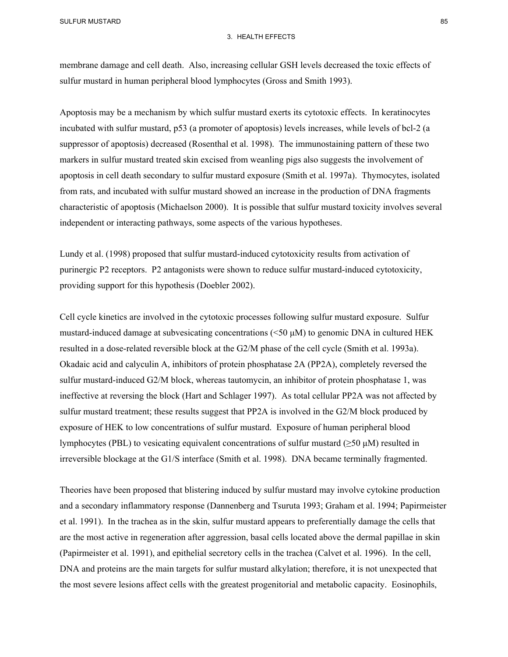### 3. HEALTH EFFECTS

membrane damage and cell death. Also, increasing cellular GSH levels decreased the toxic effects of sulfur mustard in human peripheral blood lymphocytes (Gross and Smith 1993).

Apoptosis may be a mechanism by which sulfur mustard exerts its cytotoxic effects. In keratinocytes incubated with sulfur mustard, p53 (a promoter of apoptosis) levels increases, while levels of bcl-2 (a suppressor of apoptosis) decreased (Rosenthal et al. 1998). The immunostaining pattern of these two markers in sulfur mustard treated skin excised from weanling pigs also suggests the involvement of apoptosis in cell death secondary to sulfur mustard exposure (Smith et al. 1997a). Thymocytes, isolated from rats, and incubated with sulfur mustard showed an increase in the production of DNA fragments characteristic of apoptosis (Michaelson 2000). It is possible that sulfur mustard toxicity involves several independent or interacting pathways, some aspects of the various hypotheses.

Lundy et al. (1998) proposed that sulfur mustard-induced cytotoxicity results from activation of purinergic P2 receptors. P2 antagonists were shown to reduce sulfur mustard-induced cytotoxicity, providing support for this hypothesis (Doebler 2002).

Cell cycle kinetics are involved in the cytotoxic processes following sulfur mustard exposure. Sulfur mustard-induced damage at subvesicating concentrations ( $\leq 50 \mu$ M) to genomic DNA in cultured HEK resulted in a dose-related reversible block at the G2/M phase of the cell cycle (Smith et al. 1993a). Okadaic acid and calyculin A, inhibitors of protein phosphatase 2A (PP2A), completely reversed the sulfur mustard-induced G2/M block, whereas tautomycin, an inhibitor of protein phosphatase 1, was ineffective at reversing the block (Hart and Schlager 1997). As total cellular PP2A was not affected by sulfur mustard treatment; these results suggest that PP2A is involved in the G2/M block produced by exposure of HEK to low concentrations of sulfur mustard. Exposure of human peripheral blood lymphocytes (PBL) to vesicating equivalent concentrations of sulfur mustard ( $\geq$ 50  $\mu$ M) resulted in irreversible blockage at the G1/S interface (Smith et al. 1998). DNA became terminally fragmented.

 et al. 1991). In the trachea as in the skin, sulfur mustard appears to preferentially damage the cells that Theories have been proposed that blistering induced by sulfur mustard may involve cytokine production and a secondary inflammatory response (Dannenberg and Tsuruta 1993; Graham et al. 1994; Papirmeister are the most active in regeneration after aggression, basal cells located above the dermal papillae in skin (Papirmeister et al. 1991), and epithelial secretory cells in the trachea (Calvet et al. 1996). In the cell, DNA and proteins are the main targets for sulfur mustard alkylation; therefore, it is not unexpected that the most severe lesions affect cells with the greatest progenitorial and metabolic capacity. Eosinophils,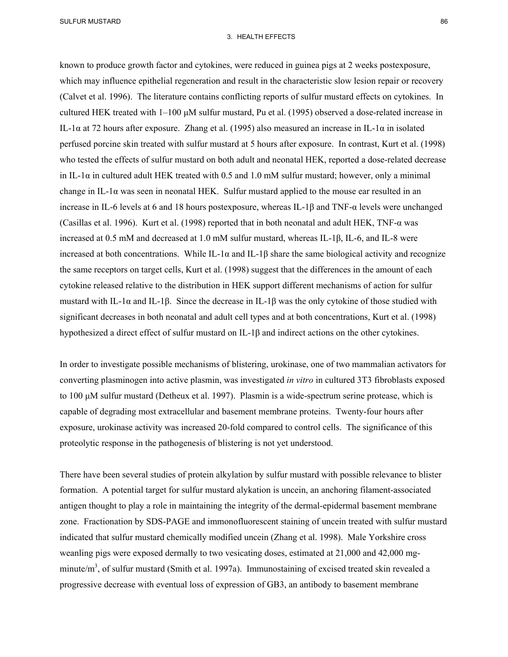### 3. HEALTH EFFECTS

known to produce growth factor and cytokines, were reduced in guinea pigs at 2 weeks postexposure, which may influence epithelial regeneration and result in the characteristic slow lesion repair or recovery (Calvet et al. 1996). The literature contains conflicting reports of sulfur mustard effects on cytokines. In cultured HEK treated with 1–100 µM sulfur mustard, Pu et al. (1995) observed a dose-related increase in IL-1α at 72 hours after exposure. Zhang et al. (1995) also measured an increase in IL-1α in isolated perfused porcine skin treated with sulfur mustard at 5 hours after exposure. In contrast, Kurt et al. (1998) who tested the effects of sulfur mustard on both adult and neonatal HEK, reported a dose-related decrease in IL-1 $\alpha$  in cultured adult HEK treated with 0.5 and 1.0 mM sulfur mustard; however, only a minimal change in IL-1 $\alpha$  was seen in neonatal HEK. Sulfur mustard applied to the mouse ear resulted in an increase in IL-6 levels at 6 and 18 hours postexposure, whereas IL-1β and TNF-α levels were unchanged (Casillas et al. 1996). Kurt et al. (1998) reported that in both neonatal and adult HEK, TNF-α was increased at 0.5 mM and decreased at 1.0 mM sulfur mustard, whereas IL-1β, IL-6, and IL-8 were increased at both concentrations. While IL-1 $\alpha$  and IL-1 $\beta$  share the same biological activity and recognize the same receptors on target cells, Kurt et al. (1998) suggest that the differences in the amount of each cytokine released relative to the distribution in HEK support different mechanisms of action for sulfur mustard with IL-1 $\alpha$  and IL-1 $\beta$ . Since the decrease in IL-1 $\beta$  was the only cytokine of those studied with significant decreases in both neonatal and adult cell types and at both concentrations, Kurt et al. (1998) hypothesized a direct effect of sulfur mustard on IL-1β and indirect actions on the other cytokines.

In order to investigate possible mechanisms of blistering, urokinase, one of two mammalian activators for converting plasminogen into active plasmin, was investigated *in vitro* in cultured 3T3 fibroblasts exposed to 100 µM sulfur mustard (Detheux et al. 1997). Plasmin is a wide-spectrum serine protease, which is capable of degrading most extracellular and basement membrane proteins. Twenty-four hours after exposure, urokinase activity was increased 20-fold compared to control cells. The significance of this proteolytic response in the pathogenesis of blistering is not yet understood.

There have been several studies of protein alkylation by sulfur mustard with possible relevance to blister formation. A potential target for sulfur mustard alykation is uncein, an anchoring filament-associated antigen thought to play a role in maintaining the integrity of the dermal-epidermal basement membrane zone. Fractionation by SDS-PAGE and immonofluorescent staining of uncein treated with sulfur mustard indicated that sulfur mustard chemically modified uncein (Zhang et al. 1998). Male Yorkshire cross weanling pigs were exposed dermally to two vesicating doses, estimated at 21,000 and 42,000 mgminute/m<sup>3</sup>, of sulfur mustard (Smith et al. 1997a). Immunostaining of excised treated skin revealed a progressive decrease with eventual loss of expression of GB3, an antibody to basement membrane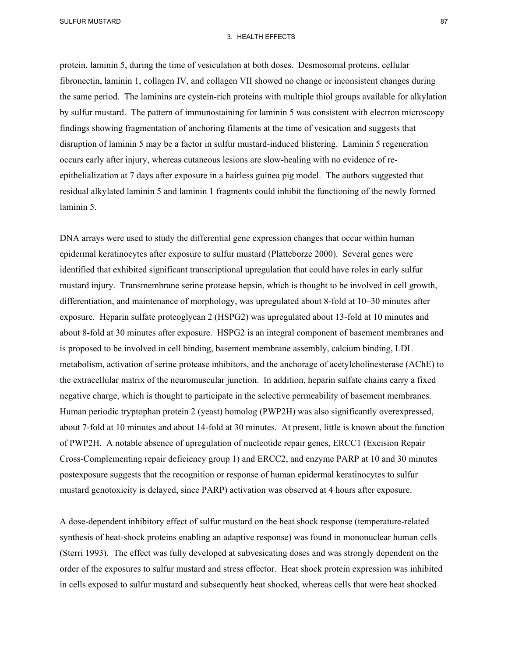### 3. HEALTH EFFECTS

protein, laminin 5, during the time of vesiculation at both doses. Desmosomal proteins, cellular fibronectin, laminin 1, collagen IV, and collagen VII showed no change or inconsistent changes during the same period. The laminins are cystein-rich proteins with multiple thiol groups available for alkylation by sulfur mustard. The pattern of immunostaining for laminin 5 was consistent with electron microscopy findings showing fragmentation of anchoring filaments at the time of vesication and suggests that disruption of laminin 5 may be a factor in sulfur mustard-induced blistering. Laminin 5 regeneration occurs early after injury, whereas cutaneous lesions are slow-healing with no evidence of reepithelialization at 7 days after exposure in a hairless guinea pig model. The authors suggested that residual alkylated laminin 5 and laminin 1 fragments could inhibit the functioning of the newly formed laminin 5.

DNA arrays were used to study the differential gene expression changes that occur within human epidermal keratinocytes after exposure to sulfur mustard (Platteborze 2000). Several genes were identified that exhibited significant transcriptional upregulation that could have roles in early sulfur mustard injury. Transmembrane serine protease hepsin, which is thought to be involved in cell growth, differentiation, and maintenance of morphology, was upregulated about 8-fold at 10–30 minutes after exposure. Heparin sulfate proteoglycan 2 (HSPG2) was upregulated about 13-fold at 10 minutes and about 8-fold at 30 minutes after exposure. HSPG2 is an integral component of basement membranes and is proposed to be involved in cell binding, basement membrane assembly, calcium binding, LDL metabolism, activation of serine protease inhibitors, and the anchorage of acetylcholinesterase (AChE) to the extracellular matrix of the neuromuscular junction. In addition, heparin sulfate chains carry a fixed negative charge, which is thought to participate in the selective permeability of basement membranes. Human periodic tryptophan protein 2 (yeast) homolog (PWP2H) was also significantly overexpressed, about 7-fold at 10 minutes and about 14-fold at 30 minutes. At present, little is known about the function of PWP2H. A notable absence of upregulation of nucleotide repair genes, ERCC1 (Excision Repair Cross-Complementing repair deficiency group 1) and ERCC2, and enzyme PARP at 10 and 30 minutes postexposure suggests that the recognition or response of human epidermal keratinocytes to sulfur mustard genotoxicity is delayed, since PARP) activation was observed at 4 hours after exposure.

A dose-dependent inhibitory effect of sulfur mustard on the heat shock response (temperature-related synthesis of heat-shock proteins enabling an adaptive response) was found in mononuclear human cells (Sterri 1993). The effect was fully developed at subvesicating doses and was strongly dependent on the order of the exposures to sulfur mustard and stress effector. Heat shock protein expression was inhibited in cells exposed to sulfur mustard and subsequently heat shocked, whereas cells that were heat shocked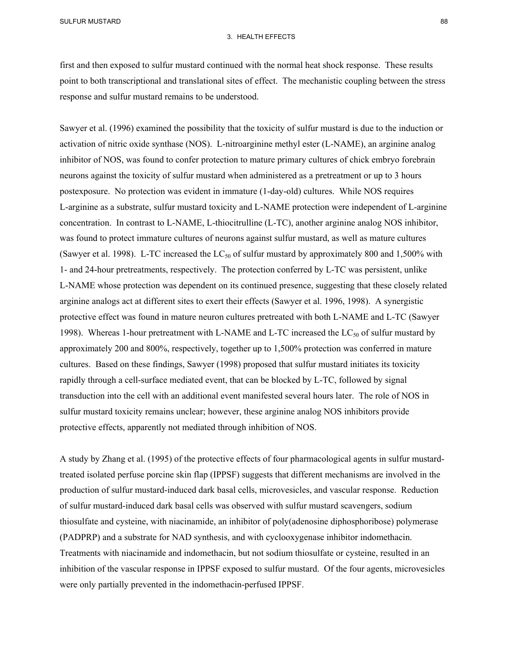### 3. HEALTH EFFECTS

first and then exposed to sulfur mustard continued with the normal heat shock response. These results point to both transcriptional and translational sites of effect. The mechanistic coupling between the stress response and sulfur mustard remains to be understood.

Sawyer et al. (1996) examined the possibility that the toxicity of sulfur mustard is due to the induction or activation of nitric oxide synthase (NOS). L-nitroarginine methyl ester (L-NAME), an arginine analog inhibitor of NOS, was found to confer protection to mature primary cultures of chick embryo forebrain neurons against the toxicity of sulfur mustard when administered as a pretreatment or up to 3 hours postexposure. No protection was evident in immature (1-day-old) cultures. While NOS requires L-arginine as a substrate, sulfur mustard toxicity and L-NAME protection were independent of L-arginine concentration. In contrast to L-NAME, L-thiocitrulline (L-TC), another arginine analog NOS inhibitor, was found to protect immature cultures of neurons against sulfur mustard, as well as mature cultures (Sawyer et al. 1998). L-TC increased the  $LC_{50}$  of sulfur mustard by approximately 800 and 1,500% with 1- and 24-hour pretreatments, respectively. The protection conferred by L-TC was persistent, unlike L-NAME whose protection was dependent on its continued presence, suggesting that these closely related arginine analogs act at different sites to exert their effects (Sawyer et al. 1996, 1998). A synergistic protective effect was found in mature neuron cultures pretreated with both L-NAME and L-TC (Sawyer 1998). Whereas 1-hour pretreatment with L-NAME and L-TC increased the  $LC_{50}$  of sulfur mustard by approximately 200 and 800%, respectively, together up to 1,500% protection was conferred in mature cultures. Based on these findings, Sawyer (1998) proposed that sulfur mustard initiates its toxicity rapidly through a cell-surface mediated event, that can be blocked by L-TC, followed by signal transduction into the cell with an additional event manifested several hours later. The role of NOS in sulfur mustard toxicity remains unclear; however, these arginine analog NOS inhibitors provide protective effects, apparently not mediated through inhibition of NOS.

 were only partially prevented in the indomethacin-perfused IPPSF. A study by Zhang et al. (1995) of the protective effects of four pharmacological agents in sulfur mustardtreated isolated perfuse porcine skin flap (IPPSF) suggests that different mechanisms are involved in the production of sulfur mustard-induced dark basal cells, microvesicles, and vascular response. Reduction of sulfur mustard-induced dark basal cells was observed with sulfur mustard scavengers, sodium thiosulfate and cysteine, with niacinamide, an inhibitor of poly(adenosine diphosphoribose) polymerase (PADPRP) and a substrate for NAD synthesis, and with cyclooxygenase inhibitor indomethacin. Treatments with niacinamide and indomethacin, but not sodium thiosulfate or cysteine, resulted in an inhibition of the vascular response in IPPSF exposed to sulfur mustard. Of the four agents, microvesicles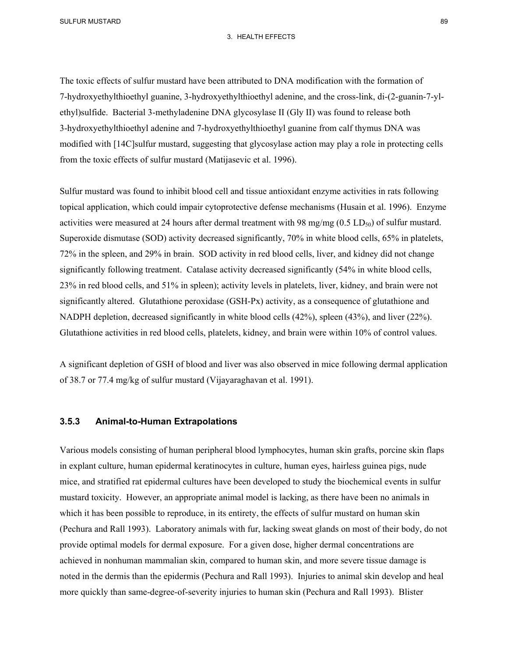### 3. HEALTH EFFECTS

The toxic effects of sulfur mustard have been attributed to DNA modification with the formation of 7-hydroxyethylthioethyl guanine, 3-hydroxyethylthioethyl adenine, and the cross-link, di-(2-guanin-7-ylethyl)sulfide. Bacterial 3-methyladenine DNA glycosylase II (Gly II) was found to release both 3-hydroxyethylthioethyl adenine and 7-hydroxyethylthioethyl guanine from calf thymus DNA was modified with [14C]sulfur mustard, suggesting that glycosylase action may play a role in protecting cells from the toxic effects of sulfur mustard (Matijasevic et al. 1996).

Sulfur mustard was found to inhibit blood cell and tissue antioxidant enzyme activities in rats following topical application, which could impair cytoprotective defense mechanisms (Husain et al. 1996). Enzyme activities were measured at 24 hours after dermal treatment with 98 mg/mg  $(0.5 \text{ LD}_{50})$  of sulfur mustard. Superoxide dismutase (SOD) activity decreased significantly, 70% in white blood cells, 65% in platelets, 72% in the spleen, and 29% in brain. SOD activity in red blood cells, liver, and kidney did not change significantly following treatment. Catalase activity decreased significantly (54% in white blood cells, 23% in red blood cells, and 51% in spleen); activity levels in platelets, liver, kidney, and brain were not significantly altered. Glutathione peroxidase (GSH-Px) activity, as a consequence of glutathione and NADPH depletion, decreased significantly in white blood cells (42%), spleen (43%), and liver (22%). Glutathione activities in red blood cells, platelets, kidney, and brain were within 10% of control values.

A significant depletion of GSH of blood and liver was also observed in mice following dermal application of 38.7 or 77.4 mg/kg of sulfur mustard (Vijayaraghavan et al. 1991).

# **3.5.3 Animal-to-Human Extrapolations**

Various models consisting of human peripheral blood lymphocytes, human skin grafts, porcine skin flaps in explant culture, human epidermal keratinocytes in culture, human eyes, hairless guinea pigs, nude mice, and stratified rat epidermal cultures have been developed to study the biochemical events in sulfur mustard toxicity. However, an appropriate animal model is lacking, as there have been no animals in which it has been possible to reproduce, in its entirety, the effects of sulfur mustard on human skin (Pechura and Rall 1993). Laboratory animals with fur, lacking sweat glands on most of their body, do not provide optimal models for dermal exposure. For a given dose, higher dermal concentrations are achieved in nonhuman mammalian skin, compared to human skin, and more severe tissue damage is noted in the dermis than the epidermis (Pechura and Rall 1993). Injuries to animal skin develop and heal more quickly than same-degree-of-severity injuries to human skin (Pechura and Rall 1993). Blister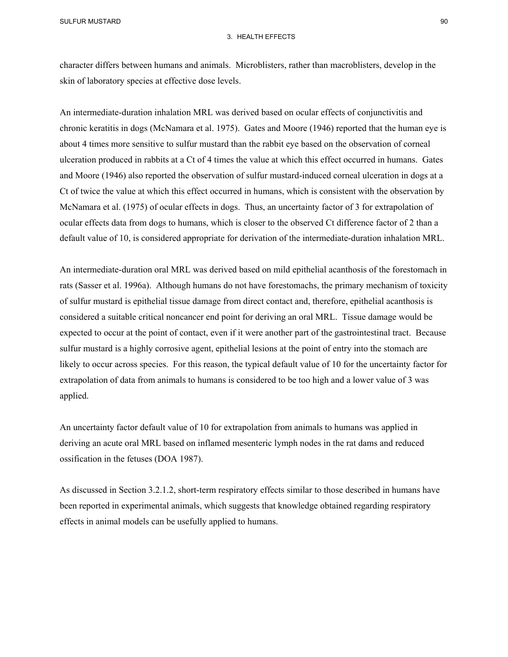character differs between humans and animals. Microblisters, rather than macroblisters, develop in the skin of laboratory species at effective dose levels.

An intermediate-duration inhalation MRL was derived based on ocular effects of conjunctivitis and chronic keratitis in dogs (McNamara et al. 1975). Gates and Moore (1946) reported that the human eye is about 4 times more sensitive to sulfur mustard than the rabbit eye based on the observation of corneal ulceration produced in rabbits at a Ct of 4 times the value at which this effect occurred in humans. Gates and Moore (1946) also reported the observation of sulfur mustard-induced corneal ulceration in dogs at a Ct of twice the value at which this effect occurred in humans, which is consistent with the observation by McNamara et al. (1975) of ocular effects in dogs. Thus, an uncertainty factor of 3 for extrapolation of ocular effects data from dogs to humans, which is closer to the observed Ct difference factor of 2 than a default value of 10, is considered appropriate for derivation of the intermediate-duration inhalation MRL.

An intermediate-duration oral MRL was derived based on mild epithelial acanthosis of the forestomach in rats (Sasser et al. 1996a). Although humans do not have forestomachs, the primary mechanism of toxicity of sulfur mustard is epithelial tissue damage from direct contact and, therefore, epithelial acanthosis is considered a suitable critical noncancer end point for deriving an oral MRL. Tissue damage would be expected to occur at the point of contact, even if it were another part of the gastrointestinal tract. Because sulfur mustard is a highly corrosive agent, epithelial lesions at the point of entry into the stomach are likely to occur across species. For this reason, the typical default value of 10 for the uncertainty factor for extrapolation of data from animals to humans is considered to be too high and a lower value of 3 was applied.

An uncertainty factor default value of 10 for extrapolation from animals to humans was applied in deriving an acute oral MRL based on inflamed mesenteric lymph nodes in the rat dams and reduced ossification in the fetuses (DOA 1987).

As discussed in Section 3.2.1.2, short-term respiratory effects similar to those described in humans have been reported in experimental animals, which suggests that knowledge obtained regarding respiratory effects in animal models can be usefully applied to humans.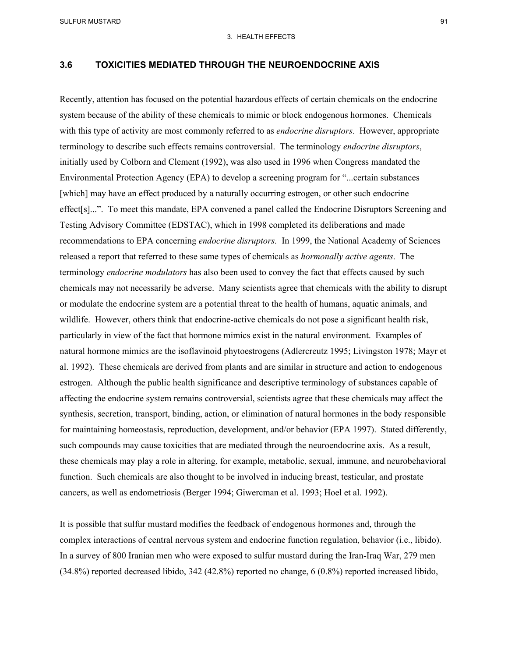### 3. HEALTH EFFECTS

# **3.6 TOXICITIES MEDIATED THROUGH THE NEUROENDOCRINE AXIS**

[which] may have an effect produced by a naturally occurring estrogen, or other such endocrine Recently, attention has focused on the potential hazardous effects of certain chemicals on the endocrine system because of the ability of these chemicals to mimic or block endogenous hormones. Chemicals with this type of activity are most commonly referred to as *endocrine disruptors*. However, appropriate terminology to describe such effects remains controversial. The terminology *endocrine disruptors*, initially used by Colborn and Clement (1992), was also used in 1996 when Congress mandated the Environmental Protection Agency (EPA) to develop a screening program for "...certain substances effect[s]...". To meet this mandate, EPA convened a panel called the Endocrine Disruptors Screening and Testing Advisory Committee (EDSTAC), which in 1998 completed its deliberations and made recommendations to EPA concerning *endocrine disruptors.* In 1999, the National Academy of Sciences released a report that referred to these same types of chemicals as *hormonally active agents*. The terminology *endocrine modulators* has also been used to convey the fact that effects caused by such chemicals may not necessarily be adverse. Many scientists agree that chemicals with the ability to disrupt or modulate the endocrine system are a potential threat to the health of humans, aquatic animals, and wildlife. However, others think that endocrine-active chemicals do not pose a significant health risk, particularly in view of the fact that hormone mimics exist in the natural environment. Examples of natural hormone mimics are the isoflavinoid phytoestrogens (Adlercreutz 1995; Livingston 1978; Mayr et al. 1992). These chemicals are derived from plants and are similar in structure and action to endogenous estrogen. Although the public health significance and descriptive terminology of substances capable of affecting the endocrine system remains controversial, scientists agree that these chemicals may affect the synthesis, secretion, transport, binding, action, or elimination of natural hormones in the body responsible for maintaining homeostasis, reproduction, development, and/or behavior (EPA 1997). Stated differently, such compounds may cause toxicities that are mediated through the neuroendocrine axis. As a result, these chemicals may play a role in altering, for example, metabolic, sexual, immune, and neurobehavioral function. Such chemicals are also thought to be involved in inducing breast, testicular, and prostate cancers, as well as endometriosis (Berger 1994; Giwercman et al. 1993; Hoel et al. 1992).

It is possible that sulfur mustard modifies the feedback of endogenous hormones and, through the complex interactions of central nervous system and endocrine function regulation, behavior (i.e., libido). In a survey of 800 Iranian men who were exposed to sulfur mustard during the Iran-Iraq War, 279 men (34.8%) reported decreased libido, 342 (42.8%) reported no change, 6 (0.8%) reported increased libido,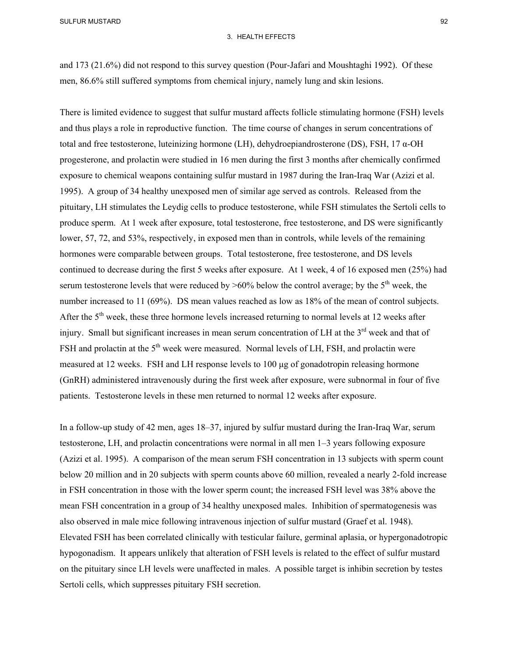### 3. HEALTH EFFECTS

and 173 (21.6%) did not respond to this survey question (Pour-Jafari and Moushtaghi 1992). Of these men, 86.6% still suffered symptoms from chemical injury, namely lung and skin lesions.

There is limited evidence to suggest that sulfur mustard affects follicle stimulating hormone (FSH) levels and thus plays a role in reproductive function. The time course of changes in serum concentrations of total and free testosterone, luteinizing hormone (LH), dehydroepiandrosterone (DS), FSH, 17 α-OH progesterone, and prolactin were studied in 16 men during the first 3 months after chemically confirmed exposure to chemical weapons containing sulfur mustard in 1987 during the Iran-Iraq War (Azizi et al. 1995). A group of 34 healthy unexposed men of similar age served as controls. Released from the pituitary, LH stimulates the Leydig cells to produce testosterone, while FSH stimulates the Sertoli cells to produce sperm. At 1 week after exposure, total testosterone, free testosterone, and DS were significantly lower, 57, 72, and 53%, respectively, in exposed men than in controls, while levels of the remaining hormones were comparable between groups. Total testosterone, free testosterone, and DS levels continued to decrease during the first 5 weeks after exposure. At 1 week, 4 of 16 exposed men (25%) had serum testosterone levels that were reduced by  $>60\%$  below the control average; by the  $5<sup>th</sup>$  week, the number increased to 11 (69%). DS mean values reached as low as 18% of the mean of control subjects. After the  $5<sup>th</sup>$  week, these three hormone levels increased returning to normal levels at 12 weeks after injury. Small but significant increases in mean serum concentration of LH at the 3<sup>rd</sup> week and that of FSH and prolactin at the 5<sup>th</sup> week were measured. Normal levels of LH, FSH, and prolactin were measured at 12 weeks. FSH and LH response levels to 100 µg of gonadotropin releasing hormone (GnRH) administered intravenously during the first week after exposure, were subnormal in four of five patients. Testosterone levels in these men returned to normal 12 weeks after exposure.

In a follow-up study of 42 men, ages 18–37, injured by sulfur mustard during the Iran-Iraq War, serum testosterone, LH, and prolactin concentrations were normal in all men 1–3 years following exposure (Azizi et al. 1995). A comparison of the mean serum FSH concentration in 13 subjects with sperm count below 20 million and in 20 subjects with sperm counts above 60 million, revealed a nearly 2-fold increase in FSH concentration in those with the lower sperm count; the increased FSH level was 38% above the mean FSH concentration in a group of 34 healthy unexposed males. Inhibition of spermatogenesis was also observed in male mice following intravenous injection of sulfur mustard (Graef et al. 1948). Elevated FSH has been correlated clinically with testicular failure, germinal aplasia, or hypergonadotropic hypogonadism. It appears unlikely that alteration of FSH levels is related to the effect of sulfur mustard on the pituitary since LH levels were unaffected in males. A possible target is inhibin secretion by testes Sertoli cells, which suppresses pituitary FSH secretion.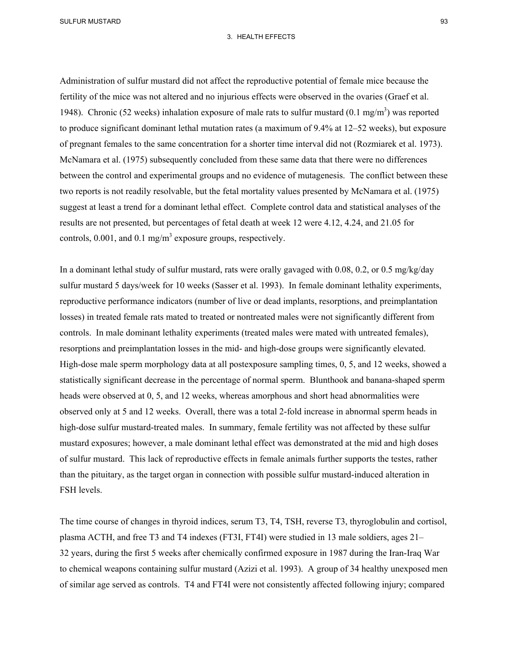#### 3. HEALTH EFFECTS

controls, 0.001, and 0.1 mg/m<sup>3</sup> exposure groups, respectively. Administration of sulfur mustard did not affect the reproductive potential of female mice because the fertility of the mice was not altered and no injurious effects were observed in the ovaries (Graef et al. 1948). Chronic (52 weeks) inhalation exposure of male rats to sulfur mustard  $(0.1 \text{ mg/m}^3)$  was reported to produce significant dominant lethal mutation rates (a maximum of 9.4% at 12–52 weeks), but exposure of pregnant females to the same concentration for a shorter time interval did not (Rozmiarek et al. 1973). McNamara et al. (1975) subsequently concluded from these same data that there were no differences between the control and experimental groups and no evidence of mutagenesis. The conflict between these two reports is not readily resolvable, but the fetal mortality values presented by McNamara et al. (1975) suggest at least a trend for a dominant lethal effect. Complete control data and statistical analyses of the results are not presented, but percentages of fetal death at week 12 were 4.12, 4.24, and 21.05 for

 High-dose male sperm morphology data at all postexposure sampling times, 0, 5, and 12 weeks, showed a In a dominant lethal study of sulfur mustard, rats were orally gavaged with 0.08, 0.2, or 0.5 mg/kg/day sulfur mustard 5 days/week for 10 weeks (Sasser et al. 1993). In female dominant lethality experiments, reproductive performance indicators (number of live or dead implants, resorptions, and preimplantation losses) in treated female rats mated to treated or nontreated males were not significantly different from controls. In male dominant lethality experiments (treated males were mated with untreated females), resorptions and preimplantation losses in the mid- and high-dose groups were significantly elevated. statistically significant decrease in the percentage of normal sperm. Blunthook and banana-shaped sperm heads were observed at 0, 5, and 12 weeks, whereas amorphous and short head abnormalities were observed only at 5 and 12 weeks. Overall, there was a total 2-fold increase in abnormal sperm heads in high-dose sulfur mustard-treated males. In summary, female fertility was not affected by these sulfur mustard exposures; however, a male dominant lethal effect was demonstrated at the mid and high doses of sulfur mustard. This lack of reproductive effects in female animals further supports the testes, rather than the pituitary, as the target organ in connection with possible sulfur mustard-induced alteration in FSH levels.

The time course of changes in thyroid indices, serum T3, T4, TSH, reverse T3, thyroglobulin and cortisol, plasma ACTH, and free T3 and T4 indexes (FT3I, FT4I) were studied in 13 male soldiers, ages 21– 32 years, during the first 5 weeks after chemically confirmed exposure in 1987 during the Iran-Iraq War to chemical weapons containing sulfur mustard (Azizi et al. 1993). A group of 34 healthy unexposed men of similar age served as controls. T4 and FT4I were not consistently affected following injury; compared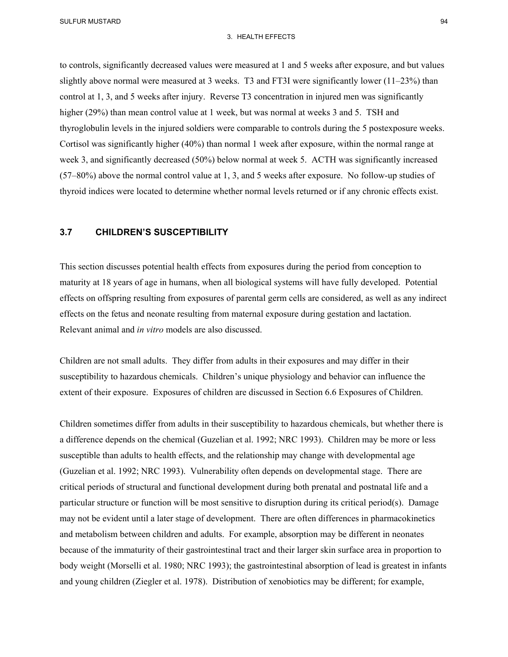#### 3. HEALTH EFFECTS

to controls, significantly decreased values were measured at 1 and 5 weeks after exposure, and but values slightly above normal were measured at 3 weeks. T3 and FT3I were significantly lower (11–23%) than control at 1, 3, and 5 weeks after injury. Reverse T3 concentration in injured men was significantly higher (29%) than mean control value at 1 week, but was normal at weeks 3 and 5. TSH and thyroglobulin levels in the injured soldiers were comparable to controls during the 5 postexposure weeks. Cortisol was significantly higher (40%) than normal 1 week after exposure, within the normal range at week 3, and significantly decreased (50%) below normal at week 5. ACTH was significantly increased (57–80%) above the normal control value at 1, 3, and 5 weeks after exposure. No follow-up studies of thyroid indices were located to determine whether normal levels returned or if any chronic effects exist.

# **3.7 CHILDREN'S SUSCEPTIBILITY**

This section discusses potential health effects from exposures during the period from conception to maturity at 18 years of age in humans, when all biological systems will have fully developed. Potential effects on offspring resulting from exposures of parental germ cells are considered, as well as any indirect effects on the fetus and neonate resulting from maternal exposure during gestation and lactation. Relevant animal and *in vitro* models are also discussed.

Children are not small adults. They differ from adults in their exposures and may differ in their susceptibility to hazardous chemicals. Children's unique physiology and behavior can influence the extent of their exposure. Exposures of children are discussed in Section 6.6 Exposures of Children.

Children sometimes differ from adults in their susceptibility to hazardous chemicals, but whether there is a difference depends on the chemical (Guzelian et al. 1992; NRC 1993). Children may be more or less susceptible than adults to health effects, and the relationship may change with developmental age (Guzelian et al. 1992; NRC 1993). Vulnerability often depends on developmental stage. There are critical periods of structural and functional development during both prenatal and postnatal life and a particular structure or function will be most sensitive to disruption during its critical period(s). Damage may not be evident until a later stage of development. There are often differences in pharmacokinetics and metabolism between children and adults. For example, absorption may be different in neonates because of the immaturity of their gastrointestinal tract and their larger skin surface area in proportion to body weight (Morselli et al. 1980; NRC 1993); the gastrointestinal absorption of lead is greatest in infants and young children (Ziegler et al. 1978). Distribution of xenobiotics may be different; for example,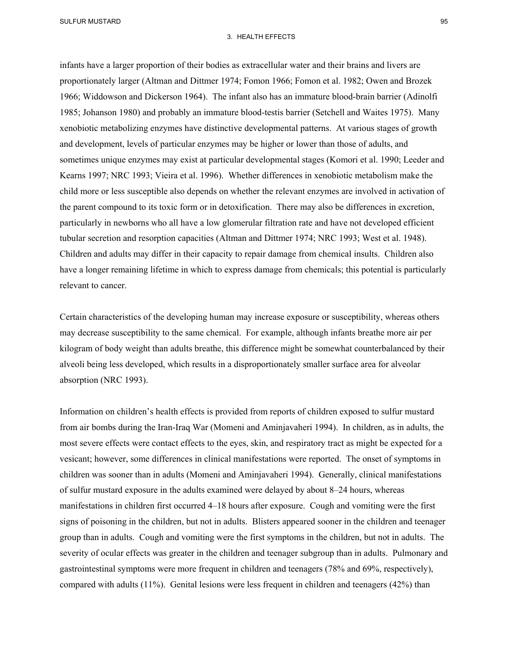#### 3. HEALTH EFFECTS

infants have a larger proportion of their bodies as extracellular water and their brains and livers are proportionately larger (Altman and Dittmer 1974; Fomon 1966; Fomon et al. 1982; Owen and Brozek 1966; Widdowson and Dickerson 1964). The infant also has an immature blood-brain barrier (Adinolfi 1985; Johanson 1980) and probably an immature blood-testis barrier (Setchell and Waites 1975). Many xenobiotic metabolizing enzymes have distinctive developmental patterns. At various stages of growth and development, levels of particular enzymes may be higher or lower than those of adults, and sometimes unique enzymes may exist at particular developmental stages (Komori et al. 1990; Leeder and Kearns 1997; NRC 1993; Vieira et al. 1996). Whether differences in xenobiotic metabolism make the child more or less susceptible also depends on whether the relevant enzymes are involved in activation of the parent compound to its toxic form or in detoxification. There may also be differences in excretion, particularly in newborns who all have a low glomerular filtration rate and have not developed efficient tubular secretion and resorption capacities (Altman and Dittmer 1974; NRC 1993; West et al. 1948). Children and adults may differ in their capacity to repair damage from chemical insults. Children also have a longer remaining lifetime in which to express damage from chemicals; this potential is particularly relevant to cancer.

Certain characteristics of the developing human may increase exposure or susceptibility, whereas others may decrease susceptibility to the same chemical. For example, although infants breathe more air per kilogram of body weight than adults breathe, this difference might be somewhat counterbalanced by their alveoli being less developed, which results in a disproportionately smaller surface area for alveolar absorption (NRC 1993).

Information on children's health effects is provided from reports of children exposed to sulfur mustard from air bombs during the Iran-Iraq War (Momeni and Aminjavaheri 1994). In children, as in adults, the most severe effects were contact effects to the eyes, skin, and respiratory tract as might be expected for a vesicant; however, some differences in clinical manifestations were reported. The onset of symptoms in children was sooner than in adults (Momeni and Aminjavaheri 1994). Generally, clinical manifestations of sulfur mustard exposure in the adults examined were delayed by about 8–24 hours, whereas manifestations in children first occurred 4–18 hours after exposure. Cough and vomiting were the first signs of poisoning in the children, but not in adults. Blisters appeared sooner in the children and teenager group than in adults. Cough and vomiting were the first symptoms in the children, but not in adults. The severity of ocular effects was greater in the children and teenager subgroup than in adults. Pulmonary and gastrointestinal symptoms were more frequent in children and teenagers (78% and 69%, respectively), compared with adults (11%). Genital lesions were less frequent in children and teenagers (42%) than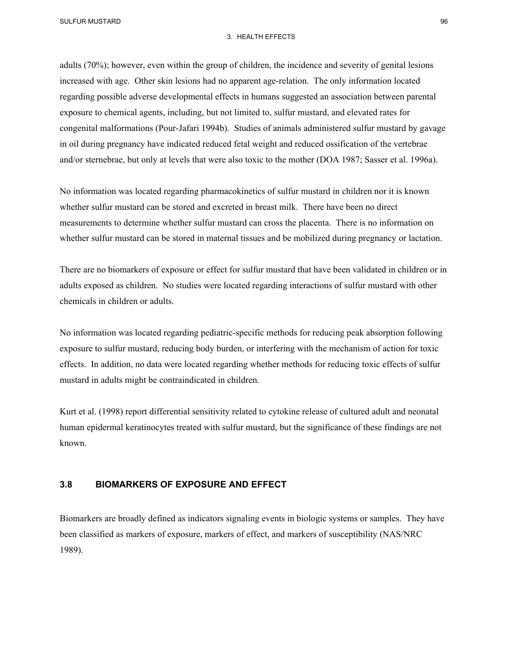#### 3. HEALTH EFFECTS

adults (70%); however, even within the group of children, the incidence and severity of genital lesions increased with age. Other skin lesions had no apparent age-relation. The only information located regarding possible adverse developmental effects in humans suggested an association between parental exposure to chemical agents, including, but not limited to, sulfur mustard, and elevated rates for congenital malformations (Pour-Jafari 1994b). Studies of animals administered sulfur mustard by gavage in oil during pregnancy have indicated reduced fetal weight and reduced ossification of the vertebrae and/or sternebrae, but only at levels that were also toxic to the mother (DOA 1987; Sasser et al. 1996a).

No information was located regarding pharmacokinetics of sulfur mustard in children nor it is known whether sulfur mustard can be stored and excreted in breast milk. There have been no direct measurements to determine whether sulfur mustard can cross the placenta. There is no information on whether sulfur mustard can be stored in maternal tissues and be mobilized during pregnancy or lactation.

There are no biomarkers of exposure or effect for sulfur mustard that have been validated in children or in adults exposed as children. No studies were located regarding interactions of sulfur mustard with other chemicals in children or adults.

mustard in adults might be contraindicated in children. No information was located regarding pediatric-specific methods for reducing peak absorption following exposure to sulfur mustard, reducing body burden, or interfering with the mechanism of action for toxic effects. In addition, no data were located regarding whether methods for reducing toxic effects of sulfur

Kurt et al. (1998) report differential sensitivity related to cytokine release of cultured adult and neonatal human epidermal keratinocytes treated with sulfur mustard, but the significance of these findings are not known.

### **3.8 BIOMARKERS OF EXPOSURE AND EFFECT**

Biomarkers are broadly defined as indicators signaling events in biologic systems or samples. They have been classified as markers of exposure, markers of effect, and markers of susceptibility (NAS/NRC 1989).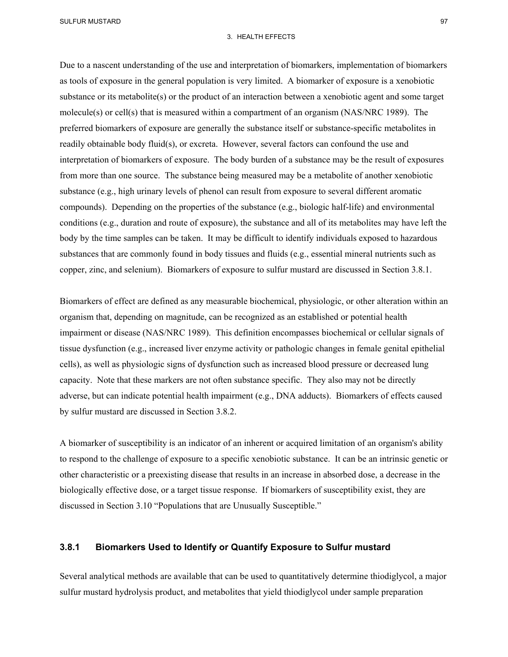#### 3. HEALTH EFFECTS

Due to a nascent understanding of the use and interpretation of biomarkers, implementation of biomarkers as tools of exposure in the general population is very limited. A biomarker of exposure is a xenobiotic substance or its metabolite(s) or the product of an interaction between a xenobiotic agent and some target molecule(s) or cell(s) that is measured within a compartment of an organism (NAS/NRC 1989). The preferred biomarkers of exposure are generally the substance itself or substance-specific metabolites in readily obtainable body fluid(s), or excreta. However, several factors can confound the use and interpretation of biomarkers of exposure. The body burden of a substance may be the result of exposures from more than one source. The substance being measured may be a metabolite of another xenobiotic substance (e.g., high urinary levels of phenol can result from exposure to several different aromatic compounds). Depending on the properties of the substance (e.g., biologic half-life) and environmental conditions (e.g., duration and route of exposure), the substance and all of its metabolites may have left the body by the time samples can be taken. It may be difficult to identify individuals exposed to hazardous substances that are commonly found in body tissues and fluids (e.g., essential mineral nutrients such as copper, zinc, and selenium). Biomarkers of exposure to sulfur mustard are discussed in Section 3.8.1.

Biomarkers of effect are defined as any measurable biochemical, physiologic, or other alteration within an organism that, depending on magnitude, can be recognized as an established or potential health impairment or disease (NAS/NRC 1989). This definition encompasses biochemical or cellular signals of tissue dysfunction (e.g., increased liver enzyme activity or pathologic changes in female genital epithelial cells), as well as physiologic signs of dysfunction such as increased blood pressure or decreased lung capacity. Note that these markers are not often substance specific. They also may not be directly adverse, but can indicate potential health impairment (e.g., DNA adducts). Biomarkers of effects caused by sulfur mustard are discussed in Section 3.8.2.

A biomarker of susceptibility is an indicator of an inherent or acquired limitation of an organism's ability to respond to the challenge of exposure to a specific xenobiotic substance. It can be an intrinsic genetic or other characteristic or a preexisting disease that results in an increase in absorbed dose, a decrease in the biologically effective dose, or a target tissue response. If biomarkers of susceptibility exist, they are discussed in Section 3.10 "Populations that are Unusually Susceptible."

# **3.8.1 Biomarkers Used to Identify or Quantify Exposure to Sulfur mustard**

Several analytical methods are available that can be used to quantitatively determine thiodiglycol, a major sulfur mustard hydrolysis product, and metabolites that yield thiodiglycol under sample preparation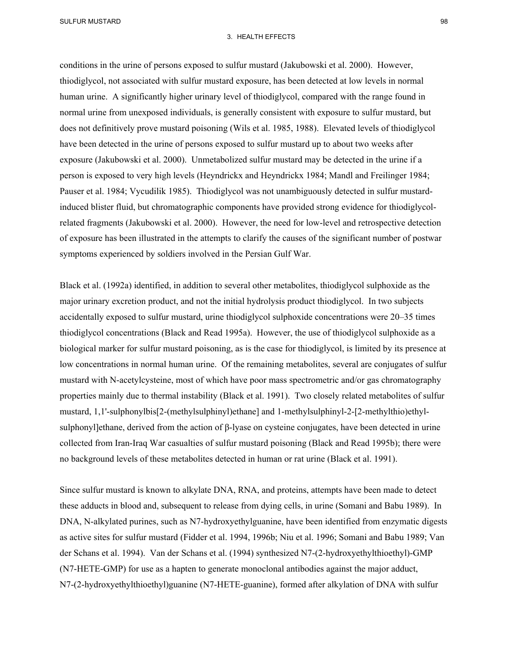#### 3. HEALTH EFFECTS

conditions in the urine of persons exposed to sulfur mustard (Jakubowski et al. 2000). However, thiodiglycol, not associated with sulfur mustard exposure, has been detected at low levels in normal human urine. A significantly higher urinary level of thiodiglycol, compared with the range found in normal urine from unexposed individuals, is generally consistent with exposure to sulfur mustard, but does not definitively prove mustard poisoning (Wils et al. 1985, 1988). Elevated levels of thiodiglycol have been detected in the urine of persons exposed to sulfur mustard up to about two weeks after exposure (Jakubowski et al. 2000). Unmetabolized sulfur mustard may be detected in the urine if a person is exposed to very high levels (Heyndrickx and Heyndrickx 1984; Mandl and Freilinger 1984; Pauser et al. 1984; Vycudilik 1985). Thiodiglycol was not unambiguously detected in sulfur mustardinduced blister fluid, but chromatographic components have provided strong evidence for thiodiglycolrelated fragments (Jakubowski et al. 2000). However, the need for low-level and retrospective detection of exposure has been illustrated in the attempts to clarify the causes of the significant number of postwar symptoms experienced by soldiers involved in the Persian Gulf War.

Black et al. (1992a) identified, in addition to several other metabolites, thiodiglycol sulphoxide as the major urinary excretion product, and not the initial hydrolysis product thiodiglycol. In two subjects accidentally exposed to sulfur mustard, urine thiodiglycol sulphoxide concentrations were 20–35 times thiodiglycol concentrations (Black and Read 1995a). However, the use of thiodiglycol sulphoxide as a biological marker for sulfur mustard poisoning, as is the case for thiodiglycol, is limited by its presence at low concentrations in normal human urine. Of the remaining metabolites, several are conjugates of sulfur mustard with N-acetylcysteine, most of which have poor mass spectrometric and/or gas chromatography properties mainly due to thermal instability (Black et al. 1991). Two closely related metabolites of sulfur mustard, 1,1'-sulphonylbis[2-(methylsulphinyl)ethane] and 1-methylsulphinyl-2-[2-methylthio)ethylsulphonyl]ethane, derived from the action of  $\beta$ -lyase on cysteine conjugates, have been detected in urine collected from Iran-Iraq War casualties of sulfur mustard poisoning (Black and Read 1995b); there were no background levels of these metabolites detected in human or rat urine (Black et al. 1991).

Since sulfur mustard is known to alkylate DNA, RNA, and proteins, attempts have been made to detect these adducts in blood and, subsequent to release from dying cells, in urine (Somani and Babu 1989). In DNA, N-alkylated purines, such as N7-hydroxyethylguanine, have been identified from enzymatic digests as active sites for sulfur mustard (Fidder et al. 1994, 1996b; Niu et al. 1996; Somani and Babu 1989; Van der Schans et al. 1994). Van der Schans et al. (1994) synthesized N7-(2-hydroxyethylthioethyl)-GMP (N7-HETE-GMP) for use as a hapten to generate monoclonal antibodies against the major adduct, N7-(2-hydroxyethylthioethyl)guanine (N7-HETE-guanine), formed after alkylation of DNA with sulfur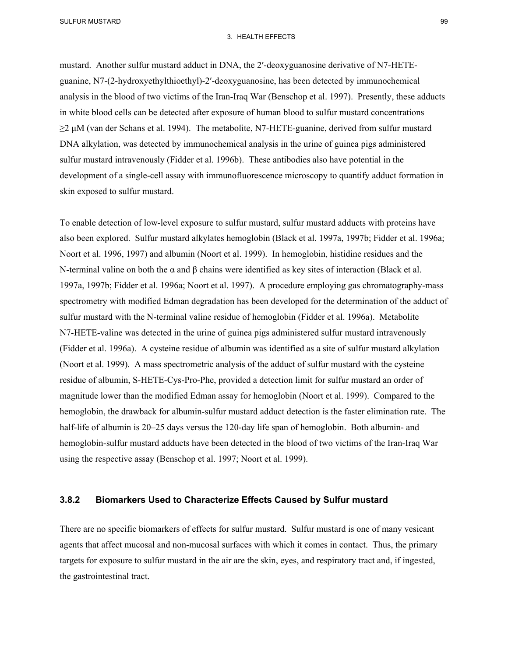#### 3. HEALTH EFFECTS

mustard. Another sulfur mustard adduct in DNA, the 2′-deoxyguanosine derivative of N7-HETEguanine, N7-(2-hydroxyethylthioethyl)-2′-deoxyguanosine, has been detected by immunochemical analysis in the blood of two victims of the Iran-Iraq War (Benschop et al. 1997). Presently, these adducts in white blood cells can be detected after exposure of human blood to sulfur mustard concentrations  $\geq$   $\geq$   $\mu$ M (van der Schans et al. 1994). The metabolite, N7-HETE-guanine, derived from sulfur mustard DNA alkylation, was detected by immunochemical analysis in the urine of guinea pigs administered sulfur mustard intravenously (Fidder et al. 1996b). These antibodies also have potential in the development of a single-cell assay with immunofluorescence microscopy to quantify adduct formation in skin exposed to sulfur mustard.

 1997a, 1997b; Fidder et al. 1996a; Noort et al. 1997). A procedure employing gas chromatography-mass To enable detection of low-level exposure to sulfur mustard, sulfur mustard adducts with proteins have also been explored. Sulfur mustard alkylates hemoglobin (Black et al. 1997a, 1997b; Fidder et al. 1996a; Noort et al. 1996, 1997) and albumin (Noort et al. 1999). In hemoglobin, histidine residues and the N-terminal valine on both the  $\alpha$  and  $\beta$  chains were identified as key sites of interaction (Black et al. spectrometry with modified Edman degradation has been developed for the determination of the adduct of sulfur mustard with the N-terminal valine residue of hemoglobin (Fidder et al. 1996a). Metabolite N7-HETE-valine was detected in the urine of guinea pigs administered sulfur mustard intravenously (Fidder et al. 1996a). A cysteine residue of albumin was identified as a site of sulfur mustard alkylation (Noort et al. 1999). A mass spectrometric analysis of the adduct of sulfur mustard with the cysteine residue of albumin, S-HETE-Cys-Pro-Phe, provided a detection limit for sulfur mustard an order of magnitude lower than the modified Edman assay for hemoglobin (Noort et al. 1999). Compared to the hemoglobin, the drawback for albumin-sulfur mustard adduct detection is the faster elimination rate. The half-life of albumin is 20–25 days versus the 120-day life span of hemoglobin. Both albumin- and hemoglobin-sulfur mustard adducts have been detected in the blood of two victims of the Iran-Iraq War using the respective assay (Benschop et al. 1997; Noort et al. 1999).

### **3.8.2 Biomarkers Used to Characterize Effects Caused by Sulfur mustard**

There are no specific biomarkers of effects for sulfur mustard. Sulfur mustard is one of many vesicant agents that affect mucosal and non-mucosal surfaces with which it comes in contact. Thus, the primary targets for exposure to sulfur mustard in the air are the skin, eyes, and respiratory tract and, if ingested, the gastrointestinal tract.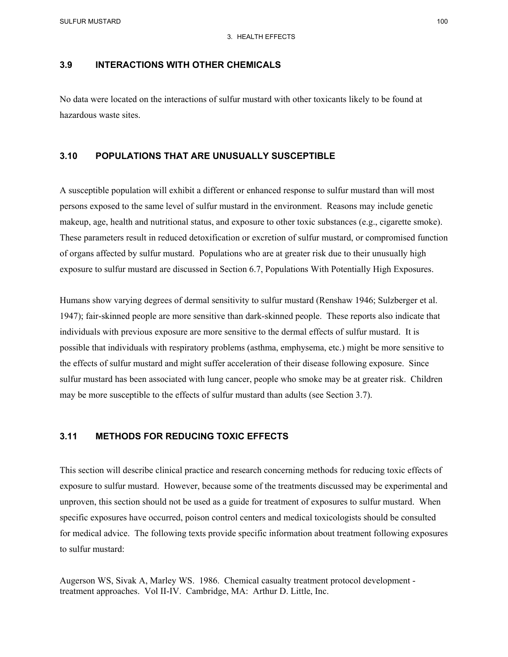# **3.9 INTERACTIONS WITH OTHER CHEMICALS**

No data were located on the interactions of sulfur mustard with other toxicants likely to be found at hazardous waste sites.

### **3.10 POPULATIONS THAT ARE UNUSUALLY SUSCEPTIBLE**

A susceptible population will exhibit a different or enhanced response to sulfur mustard than will most persons exposed to the same level of sulfur mustard in the environment. Reasons may include genetic makeup, age, health and nutritional status, and exposure to other toxic substances (e.g., cigarette smoke). These parameters result in reduced detoxification or excretion of sulfur mustard, or compromised function of organs affected by sulfur mustard. Populations who are at greater risk due to their unusually high exposure to sulfur mustard are discussed in Section 6.7, Populations With Potentially High Exposures.

Humans show varying degrees of dermal sensitivity to sulfur mustard (Renshaw 1946; Sulzberger et al. 1947); fair-skinned people are more sensitive than dark-skinned people. These reports also indicate that individuals with previous exposure are more sensitive to the dermal effects of sulfur mustard. It is possible that individuals with respiratory problems (asthma, emphysema, etc.) might be more sensitive to the effects of sulfur mustard and might suffer acceleration of their disease following exposure. Since sulfur mustard has been associated with lung cancer, people who smoke may be at greater risk. Children may be more susceptible to the effects of sulfur mustard than adults (see Section 3.7).

### **3.11 METHODS FOR REDUCING TOXIC EFFECTS**

This section will describe clinical practice and research concerning methods for reducing toxic effects of exposure to sulfur mustard. However, because some of the treatments discussed may be experimental and unproven, this section should not be used as a guide for treatment of exposures to sulfur mustard. When specific exposures have occurred, poison control centers and medical toxicologists should be consulted for medical advice. The following texts provide specific information about treatment following exposures to sulfur mustard:

Augerson WS, Sivak A, Marley WS. 1986. Chemical casualty treatment protocol development treatment approaches. Vol II-IV. Cambridge, MA: Arthur D. Little, Inc.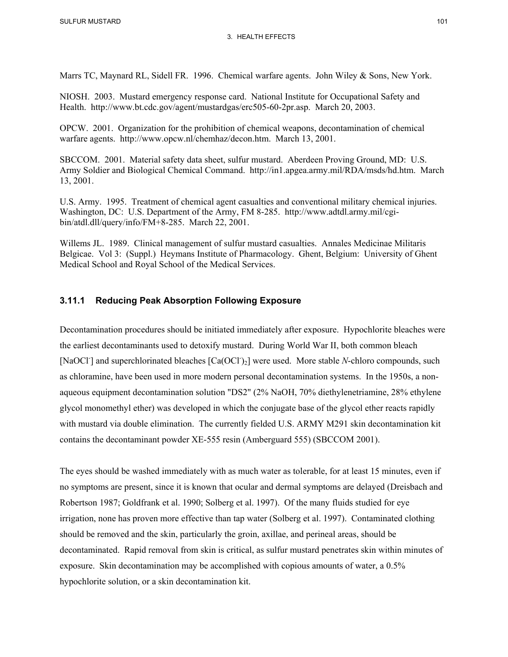Marrs TC, Maynard RL, Sidell FR. 1996. Chemical warfare agents. John Wiley & Sons, New York.

NIOSH. 2003. Mustard emergency response card. National Institute for Occupational Safety and Health. http://www.bt.cdc.gov/agent/mustardgas/erc505-60-2pr.asp. March 20, 2003.

OPCW. 2001. Organization for the prohibition of chemical weapons, decontamination of chemical warfare agents. http://www.opcw.nl/chemhaz/decon.htm. March 13, 2001.

SBCCOM. 2001. Material safety data sheet, sulfur mustard. Aberdeen Proving Ground, MD: U.S. Army Soldier and Biological Chemical Command. http://in1.apgea.army.mil/RDA/msds/hd.htm. March 13, 2001.

U.S. Army. 1995. Treatment of chemical agent casualties and conventional military chemical injuries. Washington, DC: U.S. Department of the Army, FM 8-285. http://www.adtdl.army.mil/cgibin/atdl.dll/query/info/FM+8-285. March 22, 2001.

Willems JL. 1989. Clinical management of sulfur mustard casualties. Annales Medicinae Militaris Belgicae. Vol 3: (Suppl.) Heymans Institute of Pharmacology. Ghent, Belgium: University of Ghent Medical School and Royal School of the Medical Services.

# **3.11.1 Reducing Peak Absorption Following Exposure**

Decontamination procedures should be initiated immediately after exposure. Hypochlorite bleaches were the earliest decontaminants used to detoxify mustard. During World War II, both common bleach [NaOCl<sup>-</sup>] and superchlorinated bleaches [Ca(OCl<sup>-</sup>)<sub>2</sub>] were used. More stable *N*-chloro compounds, such as chloramine, have been used in more modern personal decontamination systems. In the 1950s, a nonaqueous equipment decontamination solution "DS2" (2% NaOH, 70% diethylenetriamine, 28% ethylene glycol monomethyl ether) was developed in which the conjugate base of the glycol ether reacts rapidly with mustard via double elimination. The currently fielded U.S. ARMY M291 skin decontamination kit contains the decontaminant powder XE-555 resin (Amberguard 555) (SBCCOM 2001).

 irrigation, none has proven more effective than tap water (Solberg et al. 1997). Contaminated clothing The eyes should be washed immediately with as much water as tolerable, for at least 15 minutes, even if no symptoms are present, since it is known that ocular and dermal symptoms are delayed (Dreisbach and Robertson 1987; Goldfrank et al. 1990; Solberg et al. 1997). Of the many fluids studied for eye should be removed and the skin, particularly the groin, axillae, and perineal areas, should be decontaminated. Rapid removal from skin is critical, as sulfur mustard penetrates skin within minutes of exposure. Skin decontamination may be accomplished with copious amounts of water, a 0.5% hypochlorite solution, or a skin decontamination kit.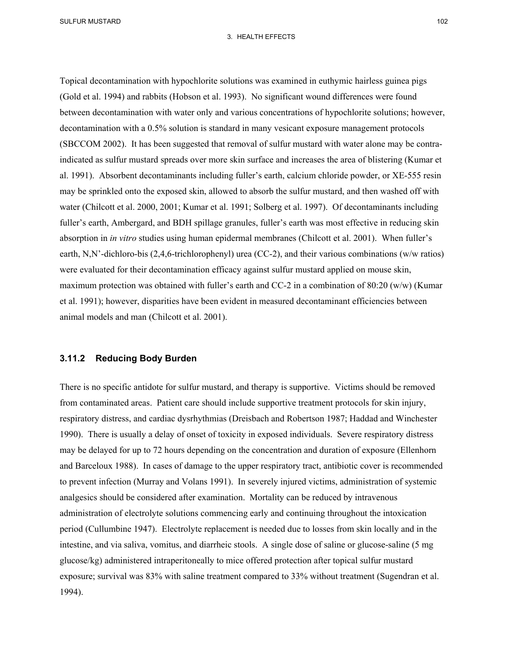#### 3. HEALTH EFFECTS

Topical decontamination with hypochlorite solutions was examined in euthymic hairless guinea pigs (Gold et al. 1994) and rabbits (Hobson et al. 1993). No significant wound differences were found between decontamination with water only and various concentrations of hypochlorite solutions; however, decontamination with a 0.5% solution is standard in many vesicant exposure management protocols (SBCCOM 2002). It has been suggested that removal of sulfur mustard with water alone may be contraindicated as sulfur mustard spreads over more skin surface and increases the area of blistering (Kumar et al. 1991). Absorbent decontaminants including fuller's earth, calcium chloride powder, or XE-555 resin may be sprinkled onto the exposed skin, allowed to absorb the sulfur mustard, and then washed off with water (Chilcott et al. 2000, 2001; Kumar et al. 1991; Solberg et al. 1997). Of decontaminants including fuller's earth, Ambergard, and BDH spillage granules, fuller's earth was most effective in reducing skin absorption in *in vitro* studies using human epidermal membranes (Chilcott et al. 2001). When fuller's earth, N,N'-dichloro-bis (2,4,6-trichlorophenyl) urea (CC-2), and their various combinations (w/w ratios) were evaluated for their decontamination efficacy against sulfur mustard applied on mouse skin, maximum protection was obtained with fuller's earth and CC-2 in a combination of 80:20 (w/w) (Kumar et al. 1991); however, disparities have been evident in measured decontaminant efficiencies between animal models and man (Chilcott et al. 2001).

### **3.11.2 Reducing Body Burden**

 1994). There is no specific antidote for sulfur mustard, and therapy is supportive. Victims should be removed from contaminated areas. Patient care should include supportive treatment protocols for skin injury, respiratory distress, and cardiac dysrhythmias (Dreisbach and Robertson 1987; Haddad and Winchester 1990). There is usually a delay of onset of toxicity in exposed individuals. Severe respiratory distress may be delayed for up to 72 hours depending on the concentration and duration of exposure (Ellenhorn and Barceloux 1988). In cases of damage to the upper respiratory tract, antibiotic cover is recommended to prevent infection (Murray and Volans 1991). In severely injured victims, administration of systemic analgesics should be considered after examination. Mortality can be reduced by intravenous administration of electrolyte solutions commencing early and continuing throughout the intoxication period (Cullumbine 1947). Electrolyte replacement is needed due to losses from skin locally and in the intestine, and via saliva, vomitus, and diarrheic stools. A single dose of saline or glucose-saline (5 mg glucose/kg) administered intraperitoneally to mice offered protection after topical sulfur mustard exposure; survival was 83% with saline treatment compared to 33% without treatment (Sugendran et al.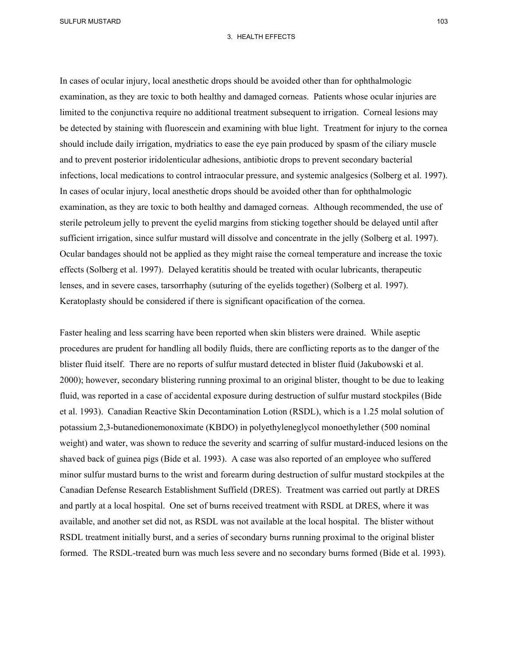#### 3. HEALTH EFFECTS

In cases of ocular injury, local anesthetic drops should be avoided other than for ophthalmologic examination, as they are toxic to both healthy and damaged corneas. Patients whose ocular injuries are limited to the conjunctiva require no additional treatment subsequent to irrigation. Corneal lesions may be detected by staining with fluorescein and examining with blue light. Treatment for injury to the cornea should include daily irrigation, mydriatics to ease the eye pain produced by spasm of the ciliary muscle and to prevent posterior iridolenticular adhesions, antibiotic drops to prevent secondary bacterial infections, local medications to control intraocular pressure, and systemic analgesics (Solberg et al. 1997). In cases of ocular injury, local anesthetic drops should be avoided other than for ophthalmologic examination, as they are toxic to both healthy and damaged corneas. Although recommended, the use of sterile petroleum jelly to prevent the eyelid margins from sticking together should be delayed until after sufficient irrigation, since sulfur mustard will dissolve and concentrate in the jelly (Solberg et al. 1997). Ocular bandages should not be applied as they might raise the corneal temperature and increase the toxic effects (Solberg et al. 1997). Delayed keratitis should be treated with ocular lubricants, therapeutic lenses, and in severe cases, tarsorrhaphy (suturing of the eyelids together) (Solberg et al. 1997). Keratoplasty should be considered if there is significant opacification of the cornea.

 et al. 1993). Canadian Reactive Skin Decontamination Lotion (RSDL), which is a 1.25 molal solution of Faster healing and less scarring have been reported when skin blisters were drained. While aseptic procedures are prudent for handling all bodily fluids, there are conflicting reports as to the danger of the blister fluid itself. There are no reports of sulfur mustard detected in blister fluid (Jakubowski et al. 2000); however, secondary blistering running proximal to an original blister, thought to be due to leaking fluid, was reported in a case of accidental exposure during destruction of sulfur mustard stockpiles (Bide potassium 2,3-butanedionemonoximate (KBDO) in polyethyleneglycol monoethylether (500 nominal weight) and water, was shown to reduce the severity and scarring of sulfur mustard-induced lesions on the shaved back of guinea pigs (Bide et al. 1993). A case was also reported of an employee who suffered minor sulfur mustard burns to the wrist and forearm during destruction of sulfur mustard stockpiles at the Canadian Defense Research Establishment Suffield (DRES). Treatment was carried out partly at DRES and partly at a local hospital. One set of burns received treatment with RSDL at DRES, where it was available, and another set did not, as RSDL was not available at the local hospital. The blister without RSDL treatment initially burst, and a series of secondary burns running proximal to the original blister formed. The RSDL-treated burn was much less severe and no secondary burns formed (Bide et al. 1993).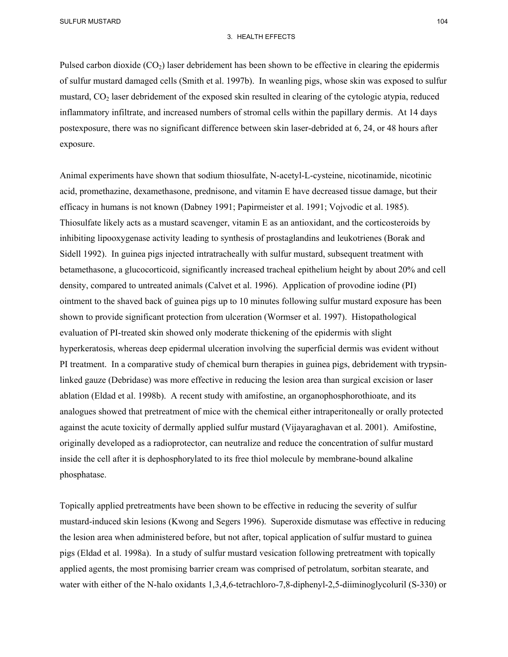#### 3. HEALTH EFFECTS

Pulsed carbon dioxide  $(CO_2)$  laser debridement has been shown to be effective in clearing the epidermis of sulfur mustard damaged cells (Smith et al. 1997b). In weanling pigs, whose skin was exposed to sulfur mustard,  $CO<sub>2</sub>$  laser debridement of the exposed skin resulted in clearing of the cytologic atypia, reduced inflammatory infiltrate, and increased numbers of stromal cells within the papillary dermis. At 14 days postexposure, there was no significant difference between skin laser-debrided at 6, 24, or 48 hours after exposure.

 shown to provide significant protection from ulceration (Wormser et al. 1997). Histopathological Animal experiments have shown that sodium thiosulfate, N-acetyl-L-cysteine, nicotinamide, nicotinic acid, promethazine, dexamethasone, prednisone, and vitamin E have decreased tissue damage, but their efficacy in humans is not known (Dabney 1991; Papirmeister et al. 1991; Vojvodic et al. 1985). Thiosulfate likely acts as a mustard scavenger, vitamin E as an antioxidant, and the corticosteroids by inhibiting lipooxygenase activity leading to synthesis of prostaglandins and leukotrienes (Borak and Sidell 1992). In guinea pigs injected intratracheally with sulfur mustard, subsequent treatment with betamethasone, a glucocorticoid, significantly increased tracheal epithelium height by about 20% and cell density, compared to untreated animals (Calvet et al. 1996). Application of provodine iodine (PI) ointment to the shaved back of guinea pigs up to 10 minutes following sulfur mustard exposure has been evaluation of PI-treated skin showed only moderate thickening of the epidermis with slight hyperkeratosis, whereas deep epidermal ulceration involving the superficial dermis was evident without PI treatment. In a comparative study of chemical burn therapies in guinea pigs, debridement with trypsinlinked gauze (Debridase) was more effective in reducing the lesion area than surgical excision or laser ablation (Eldad et al. 1998b). A recent study with amifostine, an organophosphorothioate, and its analogues showed that pretreatment of mice with the chemical either intraperitoneally or orally protected against the acute toxicity of dermally applied sulfur mustard (Vijayaraghavan et al. 2001). Amifostine, originally developed as a radioprotector, can neutralize and reduce the concentration of sulfur mustard inside the cell after it is dephosphorylated to its free thiol molecule by membrane-bound alkaline phosphatase.

Topically applied pretreatments have been shown to be effective in reducing the severity of sulfur mustard-induced skin lesions (Kwong and Segers 1996). Superoxide dismutase was effective in reducing the lesion area when administered before, but not after, topical application of sulfur mustard to guinea pigs (Eldad et al. 1998a). In a study of sulfur mustard vesication following pretreatment with topically applied agents, the most promising barrier cream was comprised of petrolatum, sorbitan stearate, and water with either of the N-halo oxidants 1,3,4,6-tetrachloro-7,8-diphenyl-2,5-diiminoglycoluril (S-330) or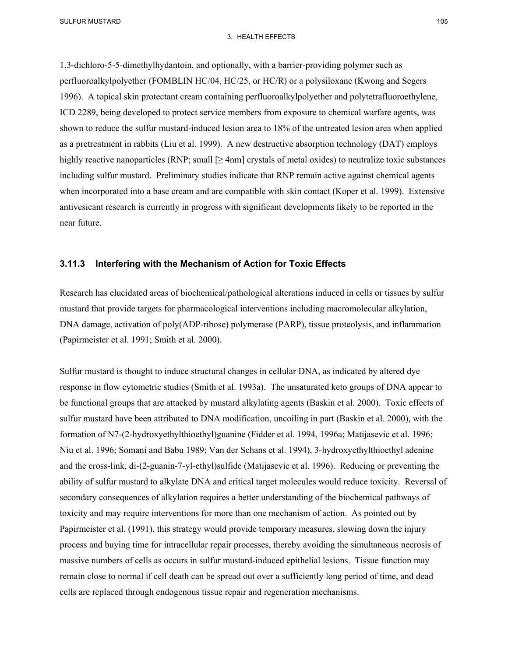#### 3. HEALTH EFFECTS

1,3-dichloro-5-5-dimethylhydantoin, and optionally, with a barrier-providing polymer such as perfluoroalkylpolyether (FOMBLIN HC/04, HC/25, or HC/R) or a polysiloxane (Kwong and Segers 1996). A topical skin protectant cream containing perfluoroalkylpolyether and polytetrafluoroethylene, ICD 2289, being developed to protect service members from exposure to chemical warfare agents, was shown to reduce the sulfur mustard-induced lesion area to 18% of the untreated lesion area when applied as a pretreatment in rabbits (Liu et al. 1999). A new destructive absorption technology (DAT) employs highly reactive nanoparticles (RNP; small  $[\geq 4$ nm] crystals of metal oxides) to neutralize toxic substances including sulfur mustard. Preliminary studies indicate that RNP remain active against chemical agents when incorporated into a base cream and are compatible with skin contact (Koper et al. 1999). Extensive antivesicant research is currently in progress with significant developments likely to be reported in the near future.

### **3.11.3 Interfering with the Mechanism of Action for Toxic Effects**

Research has elucidated areas of biochemical/pathological alterations induced in cells or tissues by sulfur mustard that provide targets for pharmacological interventions including macromolecular alkylation, DNA damage, activation of poly(ADP-ribose) polymerase (PARP), tissue proteolysis, and inflammation (Papirmeister et al. 1991; Smith et al. 2000).

Sulfur mustard is thought to induce structural changes in cellular DNA, as indicated by altered dye response in flow cytometric studies (Smith et al. 1993a). The unsaturated keto groups of DNA appear to be functional groups that are attacked by mustard alkylating agents (Baskin et al. 2000). Toxic effects of sulfur mustard have been attributed to DNA modification, uncoiling in part (Baskin et al. 2000), with the formation of N7-(2-hydroxyethylthioethyl)guanine (Fidder et al. 1994, 1996a; Matijasevic et al. 1996; Niu et al. 1996; Somani and Babu 1989; Van der Schans et al. 1994), 3-hydroxyethylthioethyl adenine and the cross-link, di-(2-guanin-7-yl-ethyl)sulfide (Matijasevic et al. 1996). Reducing or preventing the ability of sulfur mustard to alkylate DNA and critical target molecules would reduce toxicity. Reversal of secondary consequences of alkylation requires a better understanding of the biochemical pathways of toxicity and may require interventions for more than one mechanism of action. As pointed out by Papirmeister et al. (1991), this strategy would provide temporary measures, slowing down the injury process and buying time for intracellular repair processes, thereby avoiding the simultaneous necrosis of massive numbers of cells as occurs in sulfur mustard-induced epithelial lesions. Tissue function may remain close to normal if cell death can be spread out over a sufficiently long period of time, and dead cells are replaced through endogenous tissue repair and regeneration mechanisms.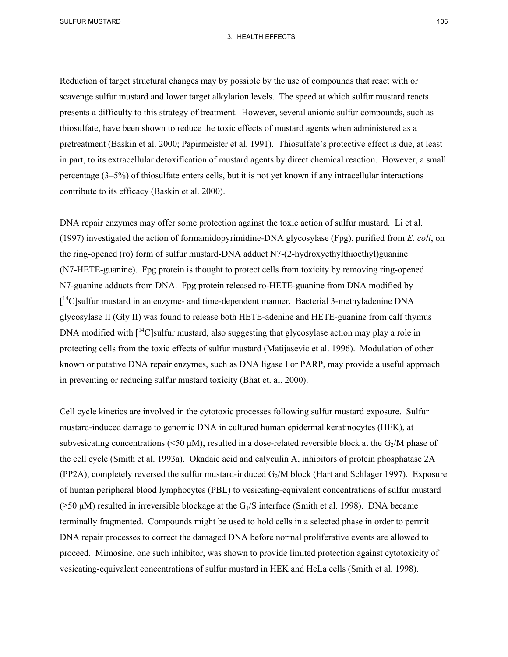#### 3. HEALTH EFFECTS

contribute to its efficacy (Baskin et al. 2000). Reduction of target structural changes may by possible by the use of compounds that react with or scavenge sulfur mustard and lower target alkylation levels. The speed at which sulfur mustard reacts presents a difficulty to this strategy of treatment. However, several anionic sulfur compounds, such as thiosulfate, have been shown to reduce the toxic effects of mustard agents when administered as a pretreatment (Baskin et al. 2000; Papirmeister et al. 1991). Thiosulfate's protective effect is due, at least in part, to its extracellular detoxification of mustard agents by direct chemical reaction. However, a small percentage (3–5%) of thiosulfate enters cells, but it is not yet known if any intracellular interactions

in preventing or reducing sulfur mustard toxicity (Bhat et. al. 2000). DNA repair enzymes may offer some protection against the toxic action of sulfur mustard. Li et al. (1997) investigated the action of formamidopyrimidine-DNA glycosylase (Fpg), purified from *E. coli*, on the ring-opened (ro) form of sulfur mustard-DNA adduct N7-(2-hydroxyethylthioethyl)guanine (N7-HETE-guanine). Fpg protein is thought to protect cells from toxicity by removing ring-opened N7-guanine adducts from DNA. Fpg protein released ro-HETE-guanine from DNA modified by [<sup>14</sup>C]sulfur mustard in an enzyme- and time-dependent manner. Bacterial 3-methyladenine DNA glycosylase II (Gly II) was found to release both HETE-adenine and HETE-guanine from calf thymus DNA modified with  $1^4$ C]sulfur mustard, also suggesting that glycosylase action may play a role in protecting cells from the toxic effects of sulfur mustard (Matijasevic et al. 1996). Modulation of other known or putative DNA repair enzymes, such as DNA ligase I or PARP, may provide a useful approach

Cell cycle kinetics are involved in the cytotoxic processes following sulfur mustard exposure. Sulfur mustard-induced damage to genomic DNA in cultured human epidermal keratinocytes (HEK), at subvesicating concentrations ( $\leq 50 \mu M$ ), resulted in a dose-related reversible block at the G<sub>2</sub>/M phase of the cell cycle (Smith et al. 1993a). Okadaic acid and calyculin A, inhibitors of protein phosphatase 2A (PP2A), completely reversed the sulfur mustard-induced  $G_2/M$  block (Hart and Schlager 1997). Exposure of human peripheral blood lymphocytes (PBL) to vesicating-equivalent concentrations of sulfur mustard  $(\geq 50 \mu M)$  resulted in irreversible blockage at the G<sub>1</sub>/S interface (Smith et al. 1998). DNA became terminally fragmented. Compounds might be used to hold cells in a selected phase in order to permit DNA repair processes to correct the damaged DNA before normal proliferative events are allowed to proceed. Mimosine, one such inhibitor, was shown to provide limited protection against cytotoxicity of vesicating-equivalent concentrations of sulfur mustard in HEK and HeLa cells (Smith et al. 1998).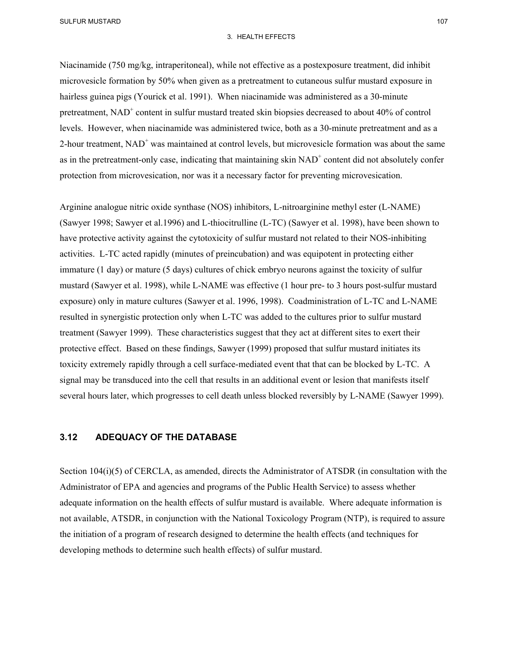#### 3. HEALTH EFFECTS

Niacinamide (750 mg/kg, intraperitoneal), while not effective as a postexposure treatment, did inhibit microvesicle formation by 50% when given as a pretreatment to cutaneous sulfur mustard exposure in hairless guinea pigs (Yourick et al. 1991). When niacinamide was administered as a 30-minute pretreatment, NAD<sup>+</sup> content in sulfur mustard treated skin biopsies decreased to about 40% of control levels. However, when niacinamide was administered twice, both as a 30-minute pretreatment and as a 2-hour treatment, NAD<sup>+</sup> was maintained at control levels, but microvesicle formation was about the same as in the pretreatment-only case, indicating that maintaining skin  $NAD<sup>+</sup>$  content did not absolutely confer protection from microvesication, nor was it a necessary factor for preventing microvesication.

Arginine analogue nitric oxide synthase (NOS) inhibitors, L-nitroarginine methyl ester (L-NAME) (Sawyer 1998; Sawyer et al.1996) and L-thiocitrulline (L-TC) (Sawyer et al. 1998), have been shown to have protective activity against the cytotoxicity of sulfur mustard not related to their NOS-inhibiting activities. L-TC acted rapidly (minutes of preincubation) and was equipotent in protecting either immature (1 day) or mature (5 days) cultures of chick embryo neurons against the toxicity of sulfur mustard (Sawyer et al. 1998), while L-NAME was effective (1 hour pre- to 3 hours post-sulfur mustard exposure) only in mature cultures (Sawyer et al. 1996, 1998). Coadministration of L-TC and L-NAME resulted in synergistic protection only when L-TC was added to the cultures prior to sulfur mustard treatment (Sawyer 1999). These characteristics suggest that they act at different sites to exert their protective effect. Based on these findings, Sawyer (1999) proposed that sulfur mustard initiates its toxicity extremely rapidly through a cell surface-mediated event that that can be blocked by L-TC. A signal may be transduced into the cell that results in an additional event or lesion that manifests itself several hours later, which progresses to cell death unless blocked reversibly by L-NAME (Sawyer 1999).

### **3.12 ADEQUACY OF THE DATABASE**

Section 104(i)(5) of CERCLA, as amended, directs the Administrator of ATSDR (in consultation with the Administrator of EPA and agencies and programs of the Public Health Service) to assess whether adequate information on the health effects of sulfur mustard is available. Where adequate information is not available, ATSDR, in conjunction with the National Toxicology Program (NTP), is required to assure the initiation of a program of research designed to determine the health effects (and techniques for developing methods to determine such health effects) of sulfur mustard.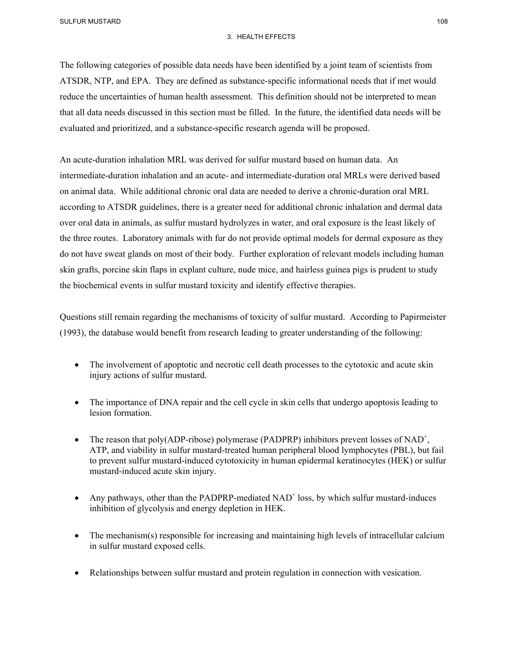#### 3. HEALTH EFFECTS

The following categories of possible data needs have been identified by a joint team of scientists from ATSDR, NTP, and EPA. They are defined as substance-specific informational needs that if met would reduce the uncertainties of human health assessment. This definition should not be interpreted to mean that all data needs discussed in this section must be filled. In the future, the identified data needs will be evaluated and prioritized, and a substance-specific research agenda will be proposed.

An acute-duration inhalation MRL was derived for sulfur mustard based on human data. An intermediate-duration inhalation and an acute- and intermediate-duration oral MRLs were derived based on animal data. While additional chronic oral data are needed to derive a chronic-duration oral MRL according to ATSDR guidelines, there is a greater need for additional chronic inhalation and dermal data over oral data in animals, as sulfur mustard hydrolyzes in water, and oral exposure is the least likely of the three routes. Laboratory animals with fur do not provide optimal models for dermal exposure as they do not have sweat glands on most of their body. Further exploration of relevant models including human skin grafts, porcine skin flaps in explant culture, nude mice, and hairless guinea pigs is prudent to study the biochemical events in sulfur mustard toxicity and identify effective therapies.

Questions still remain regarding the mechanisms of toxicity of sulfur mustard. According to Papirmeister (1993), the database would benefit from research leading to greater understanding of the following:

- The involvement of apoptotic and necrotic cell death processes to the cytotoxic and acute skin injury actions of sulfur mustard.
- The importance of DNA repair and the cell cycle in skin cells that undergo apoptosis leading to lesion formation.
- The reason that poly(ADP-ribose) polymerase (PADPRP) inhibitors prevent losses of NAD<sup>+</sup>, ATP, and viability in sulfur mustard-treated human peripheral blood lymphocytes (PBL), but fail to prevent sulfur mustard-induced cytotoxicity in human epidermal keratinocytes (HEK) or sulfur mustard-induced acute skin injury.
- Any pathways, other than the PADPRP-mediated NAD<sup>+</sup> loss, by which sulfur mustard-induces inhibition of glycolysis and energy depletion in HEK.
- The mechanism(s) responsible for increasing and maintaining high levels of intracellular calcium in sulfur mustard exposed cells.
- Relationships between sulfur mustard and protein regulation in connection with vesication.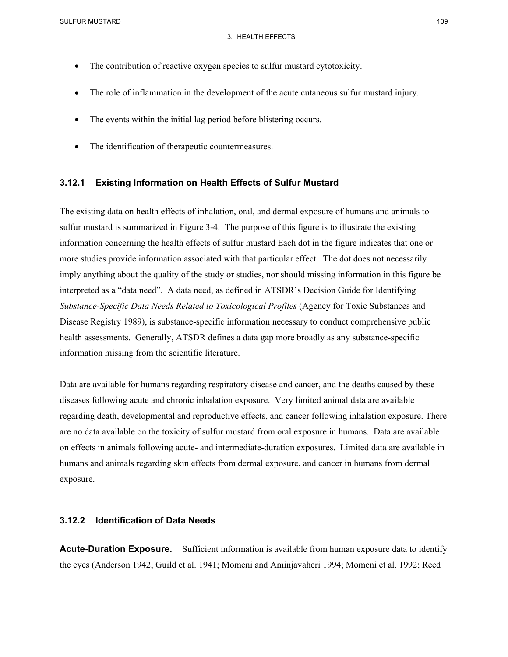- The contribution of reactive oxygen species to sulfur mustard cytotoxicity.
- The role of inflammation in the development of the acute cutaneous sulfur mustard injury.
- The events within the initial lag period before blistering occurs.
- The identification of therapeutic countermeasures.

### **3.12.1 Existing Information on Health Effects of Sulfur Mustard**

The existing data on health effects of inhalation, oral, and dermal exposure of humans and animals to sulfur mustard is summarized in Figure 3-4. The purpose of this figure is to illustrate the existing information concerning the health effects of sulfur mustard Each dot in the figure indicates that one or more studies provide information associated with that particular effect. The dot does not necessarily imply anything about the quality of the study or studies, nor should missing information in this figure be interpreted as a "data need". A data need, as defined in ATSDR's Decision Guide for Identifying *Substance-Specific Data Needs Related to Toxicological Profiles* (Agency for Toxic Substances and Disease Registry 1989), is substance-specific information necessary to conduct comprehensive public health assessments. Generally, ATSDR defines a data gap more broadly as any substance-specific information missing from the scientific literature.

Data are available for humans regarding respiratory disease and cancer, and the deaths caused by these diseases following acute and chronic inhalation exposure. Very limited animal data are available regarding death, developmental and reproductive effects, and cancer following inhalation exposure. There are no data available on the toxicity of sulfur mustard from oral exposure in humans. Data are available on effects in animals following acute- and intermediate-duration exposures. Limited data are available in humans and animals regarding skin effects from dermal exposure, and cancer in humans from dermal exposure.

### **3.12.2 Identification of Data Needs**

**Acute-Duration Exposure.** Sufficient information is available from human exposure data to identify the eyes (Anderson 1942; Guild et al. 1941; Momeni and Aminjavaheri 1994; Momeni et al. 1992; Reed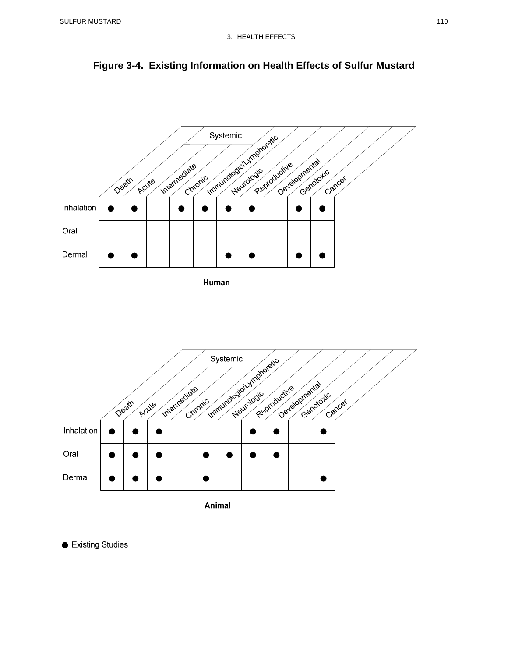



Human



Animal

• Existing Studies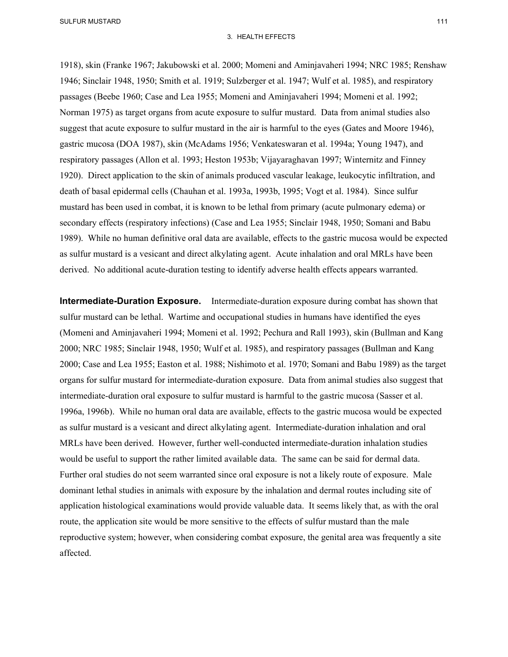#### 3. HEALTH EFFECTS

1918), skin (Franke 1967; Jakubowski et al. 2000; Momeni and Aminjavaheri 1994; NRC 1985; Renshaw 1946; Sinclair 1948, 1950; Smith et al. 1919; Sulzberger et al. 1947; Wulf et al. 1985), and respiratory passages (Beebe 1960; Case and Lea 1955; Momeni and Aminjavaheri 1994; Momeni et al. 1992; Norman 1975) as target organs from acute exposure to sulfur mustard. Data from animal studies also suggest that acute exposure to sulfur mustard in the air is harmful to the eyes (Gates and Moore 1946), gastric mucosa (DOA 1987), skin (McAdams 1956; Venkateswaran et al. 1994a; Young 1947), and respiratory passages (Allon et al. 1993; Heston 1953b; Vijayaraghavan 1997; Winternitz and Finney 1920). Direct application to the skin of animals produced vascular leakage, leukocytic infiltration, and death of basal epidermal cells (Chauhan et al. 1993a, 1993b, 1995; Vogt et al. 1984). Since sulfur mustard has been used in combat, it is known to be lethal from primary (acute pulmonary edema) or secondary effects (respiratory infections) (Case and Lea 1955; Sinclair 1948, 1950; Somani and Babu 1989). While no human definitive oral data are available, effects to the gastric mucosa would be expected as sulfur mustard is a vesicant and direct alkylating agent. Acute inhalation and oral MRLs have been derived. No additional acute-duration testing to identify adverse health effects appears warranted.

**Intermediate-Duration Exposure.** Intermediate-duration exposure during combat has shown that sulfur mustard can be lethal. Wartime and occupational studies in humans have identified the eyes (Momeni and Aminjavaheri 1994; Momeni et al. 1992; Pechura and Rall 1993), skin (Bullman and Kang 2000; NRC 1985; Sinclair 1948, 1950; Wulf et al. 1985), and respiratory passages (Bullman and Kang 2000; Case and Lea 1955; Easton et al. 1988; Nishimoto et al. 1970; Somani and Babu 1989) as the target organs for sulfur mustard for intermediate-duration exposure. Data from animal studies also suggest that intermediate-duration oral exposure to sulfur mustard is harmful to the gastric mucosa (Sasser et al. 1996a, 1996b). While no human oral data are available, effects to the gastric mucosa would be expected as sulfur mustard is a vesicant and direct alkylating agent. Intermediate-duration inhalation and oral MRLs have been derived. However, further well-conducted intermediate-duration inhalation studies would be useful to support the rather limited available data. The same can be said for dermal data. Further oral studies do not seem warranted since oral exposure is not a likely route of exposure. Male dominant lethal studies in animals with exposure by the inhalation and dermal routes including site of application histological examinations would provide valuable data. It seems likely that, as with the oral route, the application site would be more sensitive to the effects of sulfur mustard than the male reproductive system; however, when considering combat exposure, the genital area was frequently a site affected.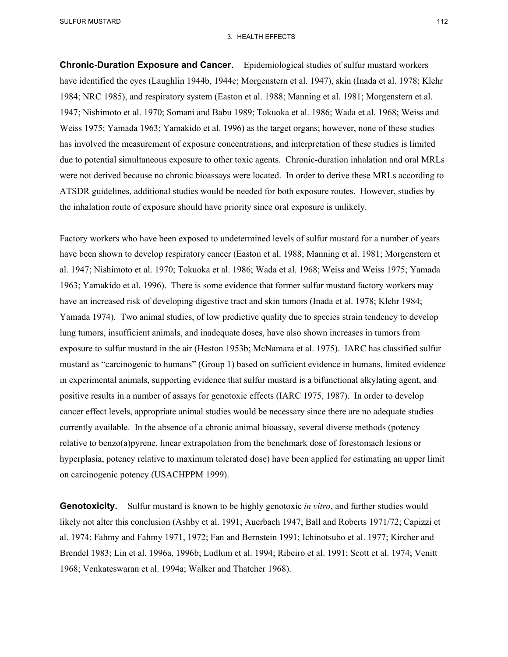#### 3. HEALTH EFFECTS

**Chronic-Duration Exposure and Cancer.** Epidemiological studies of sulfur mustard workers have identified the eyes (Laughlin 1944b, 1944c; Morgenstern et al. 1947), skin (Inada et al. 1978; Klehr 1984; NRC 1985), and respiratory system (Easton et al. 1988; Manning et al. 1981; Morgenstern et al. 1947; Nishimoto et al. 1970; Somani and Babu 1989; Tokuoka et al. 1986; Wada et al. 1968; Weiss and Weiss 1975; Yamada 1963; Yamakido et al. 1996) as the target organs; however, none of these studies has involved the measurement of exposure concentrations, and interpretation of these studies is limited due to potential simultaneous exposure to other toxic agents. Chronic-duration inhalation and oral MRLs were not derived because no chronic bioassays were located. In order to derive these MRLs according to ATSDR guidelines, additional studies would be needed for both exposure routes. However, studies by the inhalation route of exposure should have priority since oral exposure is unlikely.

Factory workers who have been exposed to undetermined levels of sulfur mustard for a number of years have been shown to develop respiratory cancer (Easton et al. 1988; Manning et al. 1981; Morgenstern et al. 1947; Nishimoto et al. 1970; Tokuoka et al. 1986; Wada et al. 1968; Weiss and Weiss 1975; Yamada 1963; Yamakido et al. 1996). There is some evidence that former sulfur mustard factory workers may have an increased risk of developing digestive tract and skin tumors (Inada et al. 1978; Klehr 1984; Yamada 1974). Two animal studies, of low predictive quality due to species strain tendency to develop lung tumors, insufficient animals, and inadequate doses, have also shown increases in tumors from exposure to sulfur mustard in the air (Heston 1953b; McNamara et al. 1975). IARC has classified sulfur mustard as "carcinogenic to humans" (Group 1) based on sufficient evidence in humans, limited evidence in experimental animals, supporting evidence that sulfur mustard is a bifunctional alkylating agent, and positive results in a number of assays for genotoxic effects (IARC 1975, 1987). In order to develop cancer effect levels, appropriate animal studies would be necessary since there are no adequate studies currently available. In the absence of a chronic animal bioassay, several diverse methods (potency relative to benzo(a)pyrene, linear extrapolation from the benchmark dose of forestomach lesions or hyperplasia, potency relative to maximum tolerated dose) have been applied for estimating an upper limit on carcinogenic potency (USACHPPM 1999).

**Genotoxicity.** Sulfur mustard is known to be highly genotoxic *in vitro*, and further studies would likely not alter this conclusion (Ashby et al. 1991; Auerbach 1947; Ball and Roberts 1971/72; Capizzi et al. 1974; Fahmy and Fahmy 1971, 1972; Fan and Bernstein 1991; Ichinotsubo et al. 1977; Kircher and Brendel 1983; Lin et al. 1996a, 1996b; Ludlum et al. 1994; Ribeiro et al. 1991; Scott et al. 1974; Venitt 1968; Venkateswaran et al. 1994a; Walker and Thatcher 1968).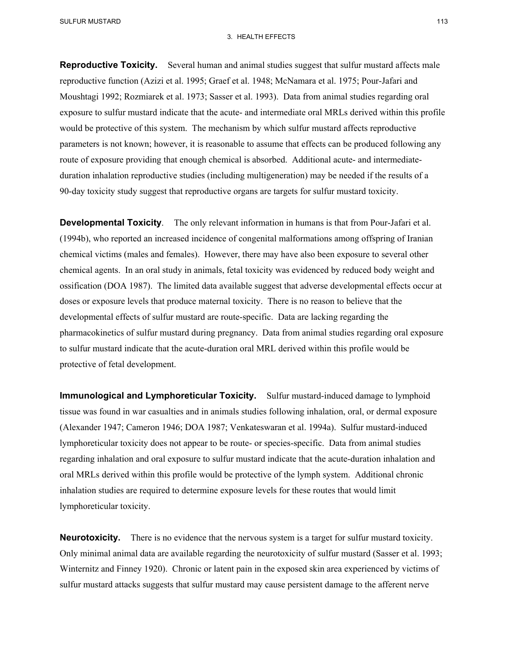#### 3. HEALTH EFFECTS

**Reproductive Toxicity.** Several human and animal studies suggest that sulfur mustard affects male reproductive function (Azizi et al. 1995; Graef et al. 1948; McNamara et al. 1975; Pour-Jafari and Moushtagi 1992; Rozmiarek et al. 1973; Sasser et al. 1993). Data from animal studies regarding oral exposure to sulfur mustard indicate that the acute- and intermediate oral MRLs derived within this profile would be protective of this system. The mechanism by which sulfur mustard affects reproductive parameters is not known; however, it is reasonable to assume that effects can be produced following any route of exposure providing that enough chemical is absorbed. Additional acute- and intermediateduration inhalation reproductive studies (including multigeneration) may be needed if the results of a 90-day toxicity study suggest that reproductive organs are targets for sulfur mustard toxicity.

 **Developmental Toxicity**. The only relevant information in humans is that from Pour-Jafari et al. (1994b), who reported an increased incidence of congenital malformations among offspring of Iranian chemical victims (males and females). However, there may have also been exposure to several other chemical agents. In an oral study in animals, fetal toxicity was evidenced by reduced body weight and ossification (DOA 1987). The limited data available suggest that adverse developmental effects occur at doses or exposure levels that produce maternal toxicity. There is no reason to believe that the developmental effects of sulfur mustard are route-specific. Data are lacking regarding the pharmacokinetics of sulfur mustard during pregnancy. Data from animal studies regarding oral exposure to sulfur mustard indicate that the acute-duration oral MRL derived within this profile would be protective of fetal development.

**Immunological and Lymphoreticular Toxicity.** Sulfur mustard-induced damage to lymphoid tissue was found in war casualties and in animals studies following inhalation, oral, or dermal exposure (Alexander 1947; Cameron 1946; DOA 1987; Venkateswaran et al. 1994a). Sulfur mustard-induced lymphoreticular toxicity does not appear to be route- or species-specific. Data from animal studies regarding inhalation and oral exposure to sulfur mustard indicate that the acute-duration inhalation and oral MRLs derived within this profile would be protective of the lymph system. Additional chronic inhalation studies are required to determine exposure levels for these routes that would limit lymphoreticular toxicity.

**Neurotoxicity.** There is no evidence that the nervous system is a target for sulfur mustard toxicity. Only minimal animal data are available regarding the neurotoxicity of sulfur mustard (Sasser et al. 1993; Winternitz and Finney 1920). Chronic or latent pain in the exposed skin area experienced by victims of sulfur mustard attacks suggests that sulfur mustard may cause persistent damage to the afferent nerve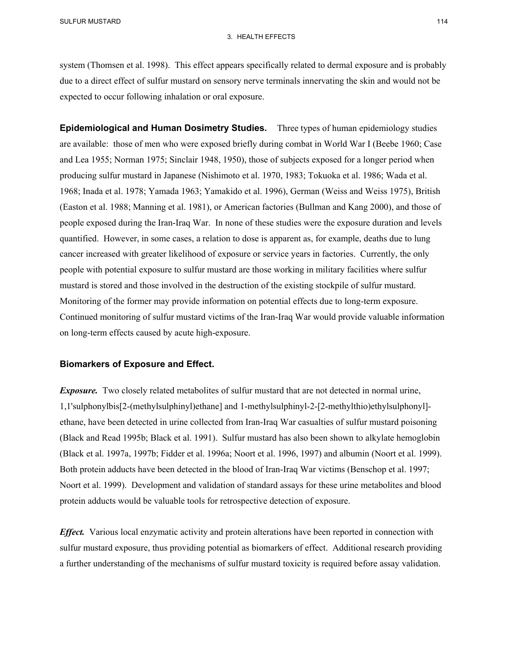system (Thomsen et al. 1998). This effect appears specifically related to dermal exposure and is probably due to a direct effect of sulfur mustard on sensory nerve terminals innervating the skin and would not be expected to occur following inhalation or oral exposure.

**Epidemiological and Human Dosimetry Studies.** Three types of human epidemiology studies are available: those of men who were exposed briefly during combat in World War I (Beebe 1960; Case and Lea 1955; Norman 1975; Sinclair 1948, 1950), those of subjects exposed for a longer period when producing sulfur mustard in Japanese (Nishimoto et al. 1970, 1983; Tokuoka et al. 1986; Wada et al. 1968; Inada et al. 1978; Yamada 1963; Yamakido et al. 1996), German (Weiss and Weiss 1975), British (Easton et al. 1988; Manning et al. 1981), or American factories (Bullman and Kang 2000), and those of people exposed during the Iran-Iraq War. In none of these studies were the exposure duration and levels quantified. However, in some cases, a relation to dose is apparent as, for example, deaths due to lung cancer increased with greater likelihood of exposure or service years in factories. Currently, the only people with potential exposure to sulfur mustard are those working in military facilities where sulfur mustard is stored and those involved in the destruction of the existing stockpile of sulfur mustard. Monitoring of the former may provide information on potential effects due to long-term exposure. Continued monitoring of sulfur mustard victims of the Iran-Iraq War would provide valuable information on long-term effects caused by acute high-exposure.

### **Biomarkers of Exposure and Effect.**

*Exposure.* Two closely related metabolites of sulfur mustard that are not detected in normal urine, 1,1'sulphonylbis[2-(methylsulphinyl)ethane] and 1-methylsulphinyl-2-[2-methylthio)ethylsulphonyl] ethane, have been detected in urine collected from Iran-Iraq War casualties of sulfur mustard poisoning (Black and Read 1995b; Black et al. 1991). Sulfur mustard has also been shown to alkylate hemoglobin (Black et al. 1997a, 1997b; Fidder et al. 1996a; Noort et al. 1996, 1997) and albumin (Noort et al. 1999). Both protein adducts have been detected in the blood of Iran-Iraq War victims (Benschop et al. 1997; Noort et al. 1999). Development and validation of standard assays for these urine metabolites and blood protein adducts would be valuable tools for retrospective detection of exposure.

*Effect.* Various local enzymatic activity and protein alterations have been reported in connection with sulfur mustard exposure, thus providing potential as biomarkers of effect. Additional research providing a further understanding of the mechanisms of sulfur mustard toxicity is required before assay validation.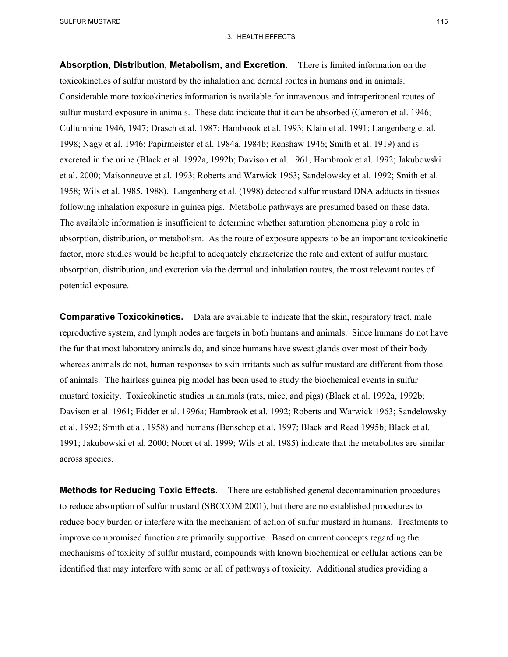#### 3. HEALTH EFFECTS

 absorption, distribution, or metabolism. As the route of exposure appears to be an important toxicokinetic factor, more studies would be helpful to adequately characterize the rate and extent of sulfur mustard **Absorption, Distribution, Metabolism, and Excretion.** There is limited information on the toxicokinetics of sulfur mustard by the inhalation and dermal routes in humans and in animals. Considerable more toxicokinetics information is available for intravenous and intraperitoneal routes of sulfur mustard exposure in animals. These data indicate that it can be absorbed (Cameron et al. 1946; Cullumbine 1946, 1947; Drasch et al. 1987; Hambrook et al. 1993; Klain et al. 1991; Langenberg et al. 1998; Nagy et al. 1946; Papirmeister et al. 1984a, 1984b; Renshaw 1946; Smith et al. 1919) and is excreted in the urine (Black et al. 1992a, 1992b; Davison et al. 1961; Hambrook et al. 1992; Jakubowski et al. 2000; Maisonneuve et al. 1993; Roberts and Warwick 1963; Sandelowsky et al. 1992; Smith et al. 1958; Wils et al. 1985, 1988). Langenberg et al. (1998) detected sulfur mustard DNA adducts in tissues following inhalation exposure in guinea pigs. Metabolic pathways are presumed based on these data. The available information is insufficient to determine whether saturation phenomena play a role in absorption, distribution, and excretion via the dermal and inhalation routes, the most relevant routes of potential exposure.

**Comparative Toxicokinetics.** Data are available to indicate that the skin, respiratory tract, male reproductive system, and lymph nodes are targets in both humans and animals. Since humans do not have the fur that most laboratory animals do, and since humans have sweat glands over most of their body whereas animals do not, human responses to skin irritants such as sulfur mustard are different from those of animals. The hairless guinea pig model has been used to study the biochemical events in sulfur mustard toxicity. Toxicokinetic studies in animals (rats, mice, and pigs) (Black et al. 1992a, 1992b; Davison et al. 1961; Fidder et al. 1996a; Hambrook et al. 1992; Roberts and Warwick 1963; Sandelowsky et al. 1992; Smith et al. 1958) and humans (Benschop et al. 1997; Black and Read 1995b; Black et al. 1991; Jakubowski et al. 2000; Noort et al. 1999; Wils et al. 1985) indicate that the metabolites are similar across species.

**Methods for Reducing Toxic Effects.** There are established general decontamination procedures to reduce absorption of sulfur mustard (SBCCOM 2001), but there are no established procedures to reduce body burden or interfere with the mechanism of action of sulfur mustard in humans. Treatments to improve compromised function are primarily supportive. Based on current concepts regarding the mechanisms of toxicity of sulfur mustard, compounds with known biochemical or cellular actions can be identified that may interfere with some or all of pathways of toxicity. Additional studies providing a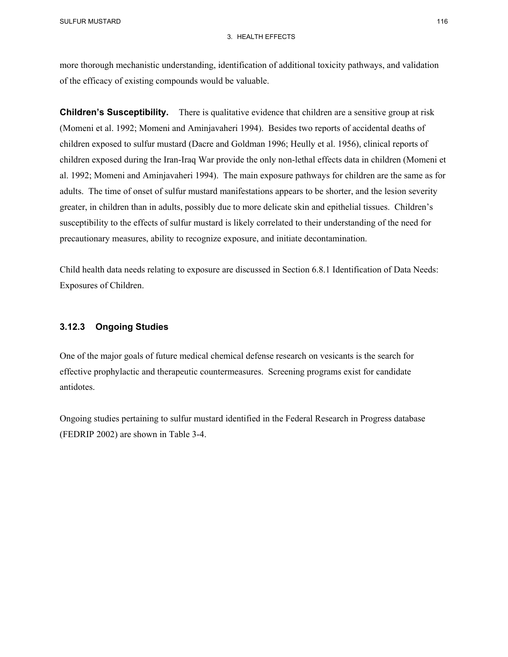more thorough mechanistic understanding, identification of additional toxicity pathways, and validation of the efficacy of existing compounds would be valuable.

**Children's Susceptibility.** There is qualitative evidence that children are a sensitive group at risk (Momeni et al. 1992; Momeni and Aminjavaheri 1994). Besides two reports of accidental deaths of children exposed to sulfur mustard (Dacre and Goldman 1996; Heully et al. 1956), clinical reports of children exposed during the Iran-Iraq War provide the only non-lethal effects data in children (Momeni et al. 1992; Momeni and Aminjavaheri 1994). The main exposure pathways for children are the same as for adults. The time of onset of sulfur mustard manifestations appears to be shorter, and the lesion severity greater, in children than in adults, possibly due to more delicate skin and epithelial tissues. Children's susceptibility to the effects of sulfur mustard is likely correlated to their understanding of the need for precautionary measures, ability to recognize exposure, and initiate decontamination.

Child health data needs relating to exposure are discussed in Section 6.8.1 Identification of Data Needs: Exposures of Children.

### **3.12.3 Ongoing Studies**

One of the major goals of future medical chemical defense research on vesicants is the search for effective prophylactic and therapeutic countermeasures. Screening programs exist for candidate antidotes.

Ongoing studies pertaining to sulfur mustard identified in the Federal Research in Progress database (FEDRIP 2002) are shown in Table 3-4.